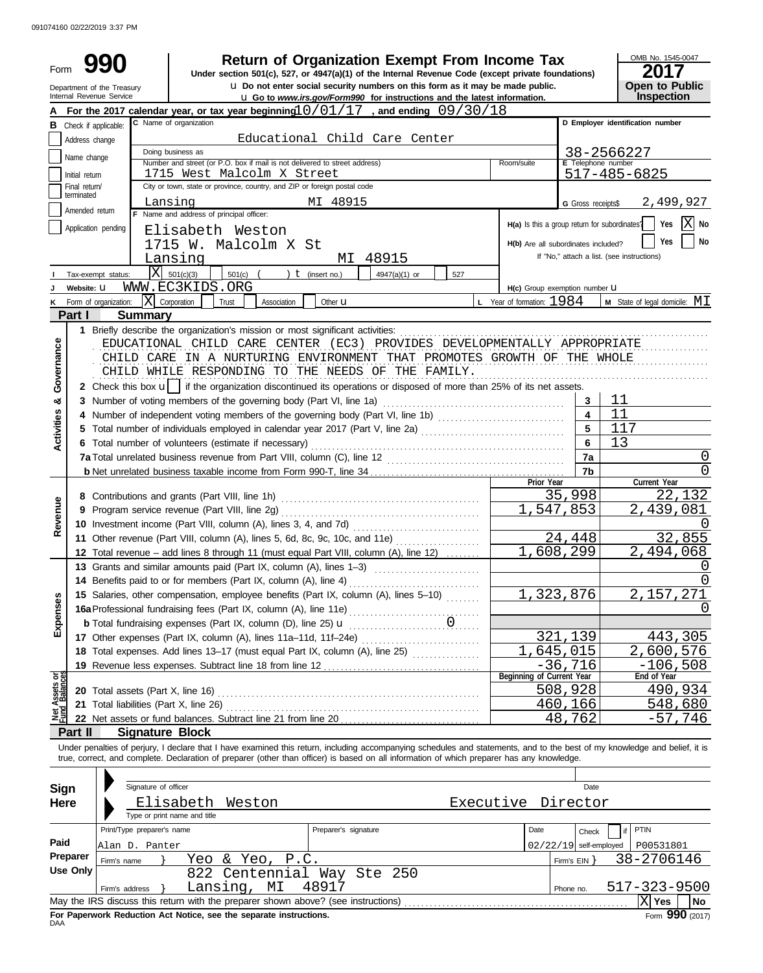|                                                                                                                                                                                                    |                                                                                                                                           |                               |                                                                                                 |                                                                                                                                                                                                   |                 |                      | <b>Return of Organization Exempt From Income Tax</b>                                                                                                                                                                                                                                                                     |     |                                    |                           |                                               |              | OMB No. 1545-0047                      |
|----------------------------------------------------------------------------------------------------------------------------------------------------------------------------------------------------|-------------------------------------------------------------------------------------------------------------------------------------------|-------------------------------|-------------------------------------------------------------------------------------------------|---------------------------------------------------------------------------------------------------------------------------------------------------------------------------------------------------|-----------------|----------------------|--------------------------------------------------------------------------------------------------------------------------------------------------------------------------------------------------------------------------------------------------------------------------------------------------------------------------|-----|------------------------------------|---------------------------|-----------------------------------------------|--------------|----------------------------------------|
| Form<br>Under section 501(c), 527, or 4947(a)(1) of the Internal Revenue Code (except private foundations)<br><b>u</b> Do not enter social security numbers on this form as it may be made public. |                                                                                                                                           |                               |                                                                                                 |                                                                                                                                                                                                   |                 |                      |                                                                                                                                                                                                                                                                                                                          |     |                                    | <b>Open to Public</b>     |                                               |              |                                        |
|                                                                                                                                                                                                    | Department of the Treasury<br>Internal Revenue Service<br><b>u</b> Go to www.irs.gov/Form990 for instructions and the latest information. |                               |                                                                                                 |                                                                                                                                                                                                   |                 |                      |                                                                                                                                                                                                                                                                                                                          |     |                                    |                           |                                               | Inspection   |                                        |
|                                                                                                                                                                                                    |                                                                                                                                           |                               |                                                                                                 |                                                                                                                                                                                                   |                 |                      | For the 2017 calendar year, or tax year beginning $10/01/17$ , and ending $09/30/18$                                                                                                                                                                                                                                     |     |                                    |                           |                                               |              |                                        |
|                                                                                                                                                                                                    |                                                                                                                                           | <b>B</b> Check if applicable: | C Name of organization                                                                          |                                                                                                                                                                                                   |                 |                      |                                                                                                                                                                                                                                                                                                                          |     |                                    |                           |                                               |              | D Employer identification number       |
|                                                                                                                                                                                                    | Address change                                                                                                                            |                               |                                                                                                 |                                                                                                                                                                                                   |                 |                      | Educational Child Care Center                                                                                                                                                                                                                                                                                            |     |                                    |                           |                                               |              |                                        |
|                                                                                                                                                                                                    | Name change                                                                                                                               |                               | Doing business as<br>Number and street (or P.O. box if mail is not delivered to street address) |                                                                                                                                                                                                   |                 |                      |                                                                                                                                                                                                                                                                                                                          |     | Room/suite                         |                           | E Telephone number                            | 38-2566227   |                                        |
|                                                                                                                                                                                                    | Initial return                                                                                                                            |                               | 1715 West Malcolm X Street                                                                      |                                                                                                                                                                                                   |                 |                      |                                                                                                                                                                                                                                                                                                                          |     |                                    |                           |                                               | 517-485-6825 |                                        |
|                                                                                                                                                                                                    | Final return/<br>terminated                                                                                                               |                               | City or town, state or province, country, and ZIP or foreign postal code                        |                                                                                                                                                                                                   |                 |                      |                                                                                                                                                                                                                                                                                                                          |     |                                    |                           |                                               |              |                                        |
|                                                                                                                                                                                                    | Amended return                                                                                                                            |                               | Lansing<br>F Name and address of principal officer:                                             |                                                                                                                                                                                                   |                 | MI 48915             |                                                                                                                                                                                                                                                                                                                          |     |                                    |                           | G Gross receipts\$                            |              | 2,499,927                              |
|                                                                                                                                                                                                    |                                                                                                                                           | Application pending           |                                                                                                 |                                                                                                                                                                                                   |                 |                      |                                                                                                                                                                                                                                                                                                                          |     |                                    |                           | H(a) Is this a group return for subordinates? |              | X No<br>Yes                            |
|                                                                                                                                                                                                    |                                                                                                                                           |                               | Elisabeth Weston<br>1715 W. Malcolm X St                                                        |                                                                                                                                                                                                   |                 |                      |                                                                                                                                                                                                                                                                                                                          |     |                                    |                           | H(b) Are all subordinates included?           |              | No<br>Yes                              |
|                                                                                                                                                                                                    |                                                                                                                                           |                               | Lansing                                                                                         |                                                                                                                                                                                                   |                 |                      | 48915<br>MI                                                                                                                                                                                                                                                                                                              |     |                                    |                           | If "No," attach a list. (see instructions)    |              |                                        |
|                                                                                                                                                                                                    |                                                                                                                                           | Tax-exempt status:            | $X = 501(c)(3)$                                                                                 | $501(c)$ (                                                                                                                                                                                        |                 | ) $t$ (insert no.)   | 4947(a)(1) or                                                                                                                                                                                                                                                                                                            | 527 |                                    |                           |                                               |              |                                        |
|                                                                                                                                                                                                    | Website: U                                                                                                                                |                               | WWW.EC3KIDS.ORG                                                                                 |                                                                                                                                                                                                   |                 |                      |                                                                                                                                                                                                                                                                                                                          |     |                                    |                           | H(c) Group exemption number U                 |              |                                        |
|                                                                                                                                                                                                    |                                                                                                                                           | Form of organization:         | $ X $ Corporation                                                                               | Trust                                                                                                                                                                                             | Association     | Other <b>u</b>       |                                                                                                                                                                                                                                                                                                                          |     | <b>L</b> Year of formation: $1984$ |                           |                                               |              | <b>M</b> State of legal domicile: $MI$ |
|                                                                                                                                                                                                    | Part I                                                                                                                                    | <b>Summary</b>                |                                                                                                 |                                                                                                                                                                                                   |                 |                      |                                                                                                                                                                                                                                                                                                                          |     |                                    |                           |                                               |              |                                        |
|                                                                                                                                                                                                    |                                                                                                                                           |                               | 1 Briefly describe the organization's mission or most significant activities:                   |                                                                                                                                                                                                   |                 |                      |                                                                                                                                                                                                                                                                                                                          |     |                                    |                           |                                               |              |                                        |
| Governance                                                                                                                                                                                         |                                                                                                                                           |                               |                                                                                                 |                                                                                                                                                                                                   |                 |                      | EDUCATIONAL CHILD CARE CENTER (EC3) PROVIDES DEVELOPMENTALLY APPROPRIATE                                                                                                                                                                                                                                                 |     |                                    |                           |                                               |              |                                        |
|                                                                                                                                                                                                    |                                                                                                                                           |                               |                                                                                                 |                                                                                                                                                                                                   |                 |                      | CHILD CARE IN A NURTURING ENVIRONMENT THAT PROMOTES GROWTH OF THE WHOLE                                                                                                                                                                                                                                                  |     |                                    |                           |                                               |              |                                        |
|                                                                                                                                                                                                    |                                                                                                                                           |                               |                                                                                                 |                                                                                                                                                                                                   |                 |                      | CHILD WHILE RESPONDING TO THE NEEDS OF THE FAMILY.                                                                                                                                                                                                                                                                       |     |                                    |                           |                                               |              |                                        |
|                                                                                                                                                                                                    |                                                                                                                                           |                               |                                                                                                 |                                                                                                                                                                                                   |                 |                      | 2 Check this box u   if the organization discontinued its operations or disposed of more than 25% of its net assets.                                                                                                                                                                                                     |     |                                    |                           | 3                                             | 11           |                                        |
| න්                                                                                                                                                                                                 |                                                                                                                                           |                               |                                                                                                 |                                                                                                                                                                                                   |                 |                      |                                                                                                                                                                                                                                                                                                                          |     |                                    |                           | $\overline{\mathbf{4}}$                       | 11           |                                        |
|                                                                                                                                                                                                    |                                                                                                                                           |                               |                                                                                                 | 4 Number of independent voting members of the governing body (Part VI, line 1b)<br>5 Total number of individuals employed in calendar year 2017 (Part V, line 2a) [[[[[[[[[[[[[[[[[[[[[[[[[[[[[[[ |                 |                      |                                                                                                                                                                                                                                                                                                                          |     |                                    |                           |                                               | 117          |                                        |
| <b>Activities</b>                                                                                                                                                                                  |                                                                                                                                           |                               | 6 Total number of volunteers (estimate if necessary)                                            |                                                                                                                                                                                                   |                 |                      |                                                                                                                                                                                                                                                                                                                          |     |                                    |                           | 6                                             | 13           |                                        |
|                                                                                                                                                                                                    |                                                                                                                                           |                               |                                                                                                 |                                                                                                                                                                                                   |                 |                      |                                                                                                                                                                                                                                                                                                                          |     |                                    |                           | 7a                                            |              | 0                                      |
|                                                                                                                                                                                                    |                                                                                                                                           |                               |                                                                                                 |                                                                                                                                                                                                   |                 |                      |                                                                                                                                                                                                                                                                                                                          |     |                                    |                           | 7b                                            |              | 0                                      |
|                                                                                                                                                                                                    |                                                                                                                                           |                               |                                                                                                 |                                                                                                                                                                                                   |                 |                      |                                                                                                                                                                                                                                                                                                                          |     |                                    |                           |                                               |              |                                        |
|                                                                                                                                                                                                    |                                                                                                                                           |                               |                                                                                                 |                                                                                                                                                                                                   |                 |                      |                                                                                                                                                                                                                                                                                                                          |     |                                    | Prior Year                |                                               |              | Current Year                           |
|                                                                                                                                                                                                    |                                                                                                                                           |                               |                                                                                                 |                                                                                                                                                                                                   |                 |                      |                                                                                                                                                                                                                                                                                                                          |     |                                    |                           | 35,998                                        |              | 22,132                                 |
|                                                                                                                                                                                                    |                                                                                                                                           |                               |                                                                                                 |                                                                                                                                                                                                   |                 |                      |                                                                                                                                                                                                                                                                                                                          |     |                                    | 1,547,853                 |                                               |              | 2,439,081                              |
| Revenue                                                                                                                                                                                            |                                                                                                                                           |                               |                                                                                                 |                                                                                                                                                                                                   |                 |                      |                                                                                                                                                                                                                                                                                                                          |     |                                    |                           |                                               |              | $\left( \right)$                       |
|                                                                                                                                                                                                    |                                                                                                                                           |                               |                                                                                                 |                                                                                                                                                                                                   |                 |                      | 11 Other revenue (Part VIII, column (A), lines 5, 6d, 8c, 9c, 10c, and 11e)                                                                                                                                                                                                                                              |     |                                    |                           | 24,448                                        |              | 32,855                                 |
|                                                                                                                                                                                                    |                                                                                                                                           |                               |                                                                                                 |                                                                                                                                                                                                   |                 |                      | 12 Total revenue - add lines 8 through 11 (must equal Part VIII, column (A), line 12)                                                                                                                                                                                                                                    |     |                                    | 1,608,299                 |                                               |              | 2,494,068<br>0                         |
|                                                                                                                                                                                                    |                                                                                                                                           |                               |                                                                                                 |                                                                                                                                                                                                   |                 |                      | 13 Grants and similar amounts paid (Part IX, column (A), lines 1-3)                                                                                                                                                                                                                                                      |     |                                    |                           |                                               |              | 0                                      |
|                                                                                                                                                                                                    |                                                                                                                                           |                               |                                                                                                 |                                                                                                                                                                                                   |                 |                      | 14 Benefits paid to or for members (Part IX, column (A), line 4)<br>15 Salaries, other compensation, employee benefits (Part IX, column (A), lines 5-10)                                                                                                                                                                 |     |                                    |                           | 1,323,876                                     |              | 2,157,271                              |
|                                                                                                                                                                                                    |                                                                                                                                           |                               |                                                                                                 |                                                                                                                                                                                                   |                 |                      |                                                                                                                                                                                                                                                                                                                          |     |                                    |                           |                                               |              | 0                                      |
|                                                                                                                                                                                                    |                                                                                                                                           |                               | <b>b</b> Total fundraising expenses (Part IX, column (D), line 25) <b>u</b>                     |                                                                                                                                                                                                   |                 |                      |                                                                                                                                                                                                                                                                                                                          |     |                                    |                           |                                               |              |                                        |
| Expenses                                                                                                                                                                                           |                                                                                                                                           |                               |                                                                                                 |                                                                                                                                                                                                   |                 |                      |                                                                                                                                                                                                                                                                                                                          |     |                                    |                           | 321,139                                       |              | 443,305                                |
|                                                                                                                                                                                                    |                                                                                                                                           |                               |                                                                                                 |                                                                                                                                                                                                   |                 |                      | 18 Total expenses. Add lines 13-17 (must equal Part IX, column (A), line 25) [1] [1] 1] 18 Total expenses. Add lines 13-17 (must equal Part IX, column (A), line 25)                                                                                                                                                     |     |                                    | 1,645,015                 |                                               |              | 2,600,576                              |
|                                                                                                                                                                                                    |                                                                                                                                           |                               |                                                                                                 |                                                                                                                                                                                                   |                 |                      |                                                                                                                                                                                                                                                                                                                          |     |                                    | Beginning of Current Year | $-36,716$                                     |              | $-106,508$<br>End of Year              |
|                                                                                                                                                                                                    |                                                                                                                                           |                               |                                                                                                 |                                                                                                                                                                                                   |                 |                      |                                                                                                                                                                                                                                                                                                                          |     |                                    |                           | 508,928                                       |              | 490,934                                |
| Assets or                                                                                                                                                                                          |                                                                                                                                           |                               |                                                                                                 |                                                                                                                                                                                                   |                 |                      |                                                                                                                                                                                                                                                                                                                          |     |                                    |                           | 460,166                                       |              | 548,680                                |
| 호<br>도                                                                                                                                                                                             |                                                                                                                                           |                               |                                                                                                 |                                                                                                                                                                                                   |                 |                      |                                                                                                                                                                                                                                                                                                                          |     |                                    |                           | 48,762                                        |              | $-57,746$                              |
|                                                                                                                                                                                                    | Part II                                                                                                                                   |                               | <b>Signature Block</b>                                                                          |                                                                                                                                                                                                   |                 |                      |                                                                                                                                                                                                                                                                                                                          |     |                                    |                           |                                               |              |                                        |
|                                                                                                                                                                                                    |                                                                                                                                           |                               |                                                                                                 |                                                                                                                                                                                                   |                 |                      | Under penalties of perjury, I declare that I have examined this return, including accompanying schedules and statements, and to the best of my knowledge and belief, it is<br>true, correct, and complete. Declaration of preparer (other than officer) is based on all information of which preparer has any knowledge. |     |                                    |                           |                                               |              |                                        |
|                                                                                                                                                                                                    |                                                                                                                                           |                               |                                                                                                 |                                                                                                                                                                                                   |                 |                      |                                                                                                                                                                                                                                                                                                                          |     |                                    |                           |                                               |              |                                        |
| Sign                                                                                                                                                                                               |                                                                                                                                           |                               | Signature of officer                                                                            |                                                                                                                                                                                                   |                 |                      |                                                                                                                                                                                                                                                                                                                          |     |                                    |                           | Date                                          |              |                                        |
| Here                                                                                                                                                                                               |                                                                                                                                           |                               | Elisabeth Weston                                                                                |                                                                                                                                                                                                   |                 |                      |                                                                                                                                                                                                                                                                                                                          |     |                                    |                           | Executive Director                            |              |                                        |
|                                                                                                                                                                                                    |                                                                                                                                           |                               | Type or print name and title                                                                    |                                                                                                                                                                                                   |                 |                      |                                                                                                                                                                                                                                                                                                                          |     |                                    |                           |                                               |              |                                        |
|                                                                                                                                                                                                    |                                                                                                                                           | Print/Type preparer's name    |                                                                                                 |                                                                                                                                                                                                   |                 | Preparer's signature |                                                                                                                                                                                                                                                                                                                          |     |                                    | Date                      | Check                                         | if           | <b>PTIN</b>                            |
| Paid                                                                                                                                                                                               |                                                                                                                                           | Alan D. Panter                |                                                                                                 |                                                                                                                                                                                                   |                 |                      |                                                                                                                                                                                                                                                                                                                          |     |                                    |                           | $02/22/19$ self-employed                      |              | P00531801                              |
|                                                                                                                                                                                                    | Preparer<br><b>Use Only</b>                                                                                                               | Firm's name                   |                                                                                                 |                                                                                                                                                                                                   | Yeo & Yeo, P.C. |                      |                                                                                                                                                                                                                                                                                                                          |     |                                    |                           | Firm's $EIN$ }                                |              | 38-2706146                             |
|                                                                                                                                                                                                    |                                                                                                                                           | Firm's address $\}$           | 822                                                                                             | Lansing, MI                                                                                                                                                                                       |                 | 48917                | Centennial Way Ste 250                                                                                                                                                                                                                                                                                                   |     |                                    |                           | Phone no.                                     |              | 517-323-9500                           |

| 48917<br>MI<br>Lansing,<br>Firm's address                                                      | Phone no. | 517-323-9500 |  |                 |  |  |  |  |  |
|------------------------------------------------------------------------------------------------|-----------|--------------|--|-----------------|--|--|--|--|--|
| May the IRS discuss this return with the preparer shown above? (see instructions)<br>$ X $ Yes |           |              |  |                 |  |  |  |  |  |
| For Paperwork Reduction Act Notice, see the separate instructions.<br>DAA                      |           |              |  | Form 990 (2017) |  |  |  |  |  |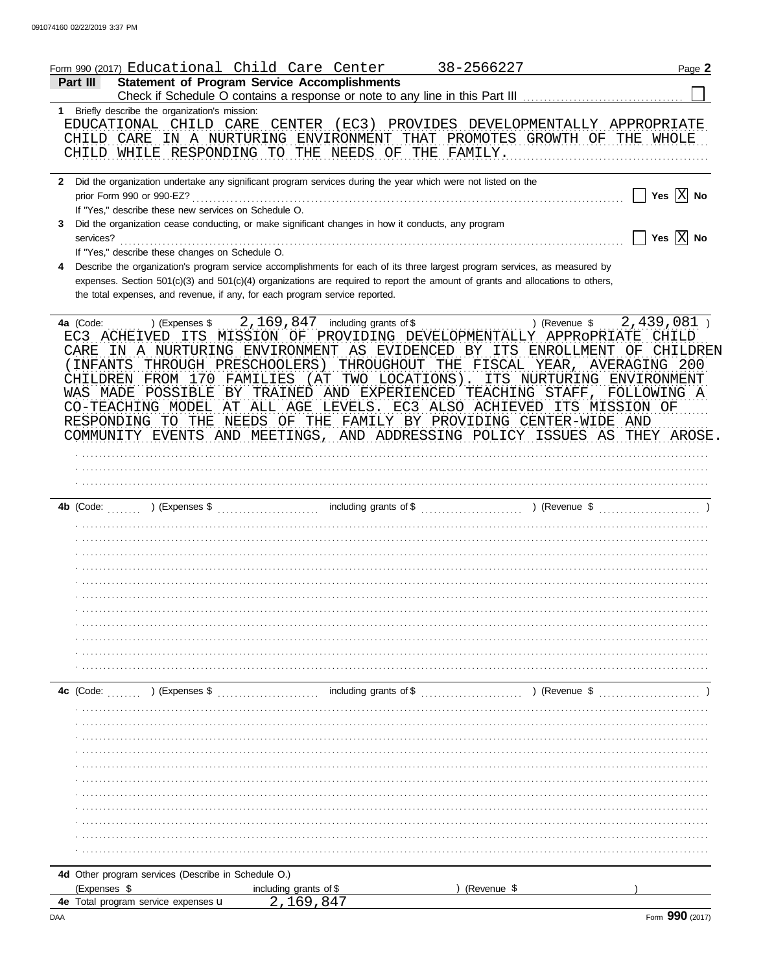| <b>Statement of Program Service Accomplishments</b><br><b>Part III</b><br>1 Briefly describe the organization's mission:<br>EDUCATIONAL CHILD CARE CENTER (EC3) PROVIDES DEVELOPMENTALLY APPROPRIATE<br>CHILD CARE IN A NURTURING ENVIRONMENT THAT PROMOTES GROWTH OF THE WHOLE<br>CHILD WHILE RESPONDING TO THE NEEDS OF THE FAMILY.<br>2 Did the organization undertake any significant program services during the year which were not listed on the<br>Yes $\boxed{\text{X}}$ No<br>prior Form 990 or 990-EZ?<br>If "Yes," describe these new services on Schedule O.<br>Did the organization cease conducting, or make significant changes in how it conducts, any program<br>3.<br>Yes $\overline{X}$ No<br>services?<br>If "Yes," describe these changes on Schedule O.<br>Describe the organization's program service accomplishments for each of its three largest program services, as measured by<br>4<br>expenses. Section 501(c)(3) and 501(c)(4) organizations are required to report the amount of grants and allocations to others,<br>the total expenses, and revenue, if any, for each program service reported.<br>) (Revenue $\frac{2}{439}$ , 081)<br>4a (Code:<br>EC3 ACHEIVED ITS MISSION OF PROVIDING DEVELOPMENTALLY APPROPRIATE CHILD<br>CARE IN A NURTURING ENVIRONMENT AS EVIDENCED BY ITS ENROLLMENT<br>INFANTS THROUGH PRESCHOOLERS) THROUGHOUT THE FISCAL YEAR, AVERAGING 200<br>CHILDREN FROM 170 FAMILIES (AT TWO LOCATIONS). ITS NURTURING ENVIRONMENT<br>WAS MADE POSSIBLE<br>BY TRAINED AND EXPERIENCED TEACHING STAFF,<br>FOLLOWING A<br>CO-TEACHING MODEL AT ALL AGE LEVELS. EC3 ALSO ACHIEVED ITS MISSION OF<br>RESPONDING TO THE NEEDS OF THE FAMILY BY PROVIDING CENTER-WIDE AND<br>COMMUNITY EVENTS AND MEETINGS, AND ADDRESSING POLICY ISSUES AS THEY AROSE.<br><u> 1999 - Johann Stoff, martin Stoff, martin Stoff, martin Stoff, martin Stoff, martin Stoff, martin Stoff, marti</u><br><b>4c</b> (Code: $\ldots$ ) (Expenses \$<br>4d Other program services (Describe in Schedule O.)<br>(Expenses \$<br>(Revenue \$<br>including grants of \$<br><b>4e</b> Total program service expenses <b>u</b> |  | Form 990 (2017) Educational Child Care Center | 38-2566227 | Page 2      |
|----------------------------------------------------------------------------------------------------------------------------------------------------------------------------------------------------------------------------------------------------------------------------------------------------------------------------------------------------------------------------------------------------------------------------------------------------------------------------------------------------------------------------------------------------------------------------------------------------------------------------------------------------------------------------------------------------------------------------------------------------------------------------------------------------------------------------------------------------------------------------------------------------------------------------------------------------------------------------------------------------------------------------------------------------------------------------------------------------------------------------------------------------------------------------------------------------------------------------------------------------------------------------------------------------------------------------------------------------------------------------------------------------------------------------------------------------------------------------------------------------------------------------------------------------------------------------------------------------------------------------------------------------------------------------------------------------------------------------------------------------------------------------------------------------------------------------------------------------------------------------------------------------------------------------------------------------------------------------------------------------------------------------------------------------------------------------------------------------------------------------------------------------|--|-----------------------------------------------|------------|-------------|
|                                                                                                                                                                                                                                                                                                                                                                                                                                                                                                                                                                                                                                                                                                                                                                                                                                                                                                                                                                                                                                                                                                                                                                                                                                                                                                                                                                                                                                                                                                                                                                                                                                                                                                                                                                                                                                                                                                                                                                                                                                                                                                                                                    |  |                                               |            |             |
|                                                                                                                                                                                                                                                                                                                                                                                                                                                                                                                                                                                                                                                                                                                                                                                                                                                                                                                                                                                                                                                                                                                                                                                                                                                                                                                                                                                                                                                                                                                                                                                                                                                                                                                                                                                                                                                                                                                                                                                                                                                                                                                                                    |  |                                               |            |             |
|                                                                                                                                                                                                                                                                                                                                                                                                                                                                                                                                                                                                                                                                                                                                                                                                                                                                                                                                                                                                                                                                                                                                                                                                                                                                                                                                                                                                                                                                                                                                                                                                                                                                                                                                                                                                                                                                                                                                                                                                                                                                                                                                                    |  |                                               |            |             |
|                                                                                                                                                                                                                                                                                                                                                                                                                                                                                                                                                                                                                                                                                                                                                                                                                                                                                                                                                                                                                                                                                                                                                                                                                                                                                                                                                                                                                                                                                                                                                                                                                                                                                                                                                                                                                                                                                                                                                                                                                                                                                                                                                    |  |                                               |            |             |
|                                                                                                                                                                                                                                                                                                                                                                                                                                                                                                                                                                                                                                                                                                                                                                                                                                                                                                                                                                                                                                                                                                                                                                                                                                                                                                                                                                                                                                                                                                                                                                                                                                                                                                                                                                                                                                                                                                                                                                                                                                                                                                                                                    |  |                                               |            |             |
|                                                                                                                                                                                                                                                                                                                                                                                                                                                                                                                                                                                                                                                                                                                                                                                                                                                                                                                                                                                                                                                                                                                                                                                                                                                                                                                                                                                                                                                                                                                                                                                                                                                                                                                                                                                                                                                                                                                                                                                                                                                                                                                                                    |  |                                               |            |             |
|                                                                                                                                                                                                                                                                                                                                                                                                                                                                                                                                                                                                                                                                                                                                                                                                                                                                                                                                                                                                                                                                                                                                                                                                                                                                                                                                                                                                                                                                                                                                                                                                                                                                                                                                                                                                                                                                                                                                                                                                                                                                                                                                                    |  |                                               |            |             |
|                                                                                                                                                                                                                                                                                                                                                                                                                                                                                                                                                                                                                                                                                                                                                                                                                                                                                                                                                                                                                                                                                                                                                                                                                                                                                                                                                                                                                                                                                                                                                                                                                                                                                                                                                                                                                                                                                                                                                                                                                                                                                                                                                    |  |                                               |            | OF CHILDREN |
|                                                                                                                                                                                                                                                                                                                                                                                                                                                                                                                                                                                                                                                                                                                                                                                                                                                                                                                                                                                                                                                                                                                                                                                                                                                                                                                                                                                                                                                                                                                                                                                                                                                                                                                                                                                                                                                                                                                                                                                                                                                                                                                                                    |  |                                               |            |             |
|                                                                                                                                                                                                                                                                                                                                                                                                                                                                                                                                                                                                                                                                                                                                                                                                                                                                                                                                                                                                                                                                                                                                                                                                                                                                                                                                                                                                                                                                                                                                                                                                                                                                                                                                                                                                                                                                                                                                                                                                                                                                                                                                                    |  |                                               |            |             |
|                                                                                                                                                                                                                                                                                                                                                                                                                                                                                                                                                                                                                                                                                                                                                                                                                                                                                                                                                                                                                                                                                                                                                                                                                                                                                                                                                                                                                                                                                                                                                                                                                                                                                                                                                                                                                                                                                                                                                                                                                                                                                                                                                    |  |                                               |            |             |
|                                                                                                                                                                                                                                                                                                                                                                                                                                                                                                                                                                                                                                                                                                                                                                                                                                                                                                                                                                                                                                                                                                                                                                                                                                                                                                                                                                                                                                                                                                                                                                                                                                                                                                                                                                                                                                                                                                                                                                                                                                                                                                                                                    |  |                                               |            |             |
|                                                                                                                                                                                                                                                                                                                                                                                                                                                                                                                                                                                                                                                                                                                                                                                                                                                                                                                                                                                                                                                                                                                                                                                                                                                                                                                                                                                                                                                                                                                                                                                                                                                                                                                                                                                                                                                                                                                                                                                                                                                                                                                                                    |  |                                               |            |             |
|                                                                                                                                                                                                                                                                                                                                                                                                                                                                                                                                                                                                                                                                                                                                                                                                                                                                                                                                                                                                                                                                                                                                                                                                                                                                                                                                                                                                                                                                                                                                                                                                                                                                                                                                                                                                                                                                                                                                                                                                                                                                                                                                                    |  |                                               |            |             |
|                                                                                                                                                                                                                                                                                                                                                                                                                                                                                                                                                                                                                                                                                                                                                                                                                                                                                                                                                                                                                                                                                                                                                                                                                                                                                                                                                                                                                                                                                                                                                                                                                                                                                                                                                                                                                                                                                                                                                                                                                                                                                                                                                    |  |                                               |            |             |
|                                                                                                                                                                                                                                                                                                                                                                                                                                                                                                                                                                                                                                                                                                                                                                                                                                                                                                                                                                                                                                                                                                                                                                                                                                                                                                                                                                                                                                                                                                                                                                                                                                                                                                                                                                                                                                                                                                                                                                                                                                                                                                                                                    |  |                                               |            |             |
|                                                                                                                                                                                                                                                                                                                                                                                                                                                                                                                                                                                                                                                                                                                                                                                                                                                                                                                                                                                                                                                                                                                                                                                                                                                                                                                                                                                                                                                                                                                                                                                                                                                                                                                                                                                                                                                                                                                                                                                                                                                                                                                                                    |  |                                               |            |             |
|                                                                                                                                                                                                                                                                                                                                                                                                                                                                                                                                                                                                                                                                                                                                                                                                                                                                                                                                                                                                                                                                                                                                                                                                                                                                                                                                                                                                                                                                                                                                                                                                                                                                                                                                                                                                                                                                                                                                                                                                                                                                                                                                                    |  |                                               |            |             |
|                                                                                                                                                                                                                                                                                                                                                                                                                                                                                                                                                                                                                                                                                                                                                                                                                                                                                                                                                                                                                                                                                                                                                                                                                                                                                                                                                                                                                                                                                                                                                                                                                                                                                                                                                                                                                                                                                                                                                                                                                                                                                                                                                    |  |                                               |            |             |
|                                                                                                                                                                                                                                                                                                                                                                                                                                                                                                                                                                                                                                                                                                                                                                                                                                                                                                                                                                                                                                                                                                                                                                                                                                                                                                                                                                                                                                                                                                                                                                                                                                                                                                                                                                                                                                                                                                                                                                                                                                                                                                                                                    |  |                                               |            |             |
|                                                                                                                                                                                                                                                                                                                                                                                                                                                                                                                                                                                                                                                                                                                                                                                                                                                                                                                                                                                                                                                                                                                                                                                                                                                                                                                                                                                                                                                                                                                                                                                                                                                                                                                                                                                                                                                                                                                                                                                                                                                                                                                                                    |  |                                               |            |             |
|                                                                                                                                                                                                                                                                                                                                                                                                                                                                                                                                                                                                                                                                                                                                                                                                                                                                                                                                                                                                                                                                                                                                                                                                                                                                                                                                                                                                                                                                                                                                                                                                                                                                                                                                                                                                                                                                                                                                                                                                                                                                                                                                                    |  |                                               |            |             |
|                                                                                                                                                                                                                                                                                                                                                                                                                                                                                                                                                                                                                                                                                                                                                                                                                                                                                                                                                                                                                                                                                                                                                                                                                                                                                                                                                                                                                                                                                                                                                                                                                                                                                                                                                                                                                                                                                                                                                                                                                                                                                                                                                    |  |                                               |            |             |
|                                                                                                                                                                                                                                                                                                                                                                                                                                                                                                                                                                                                                                                                                                                                                                                                                                                                                                                                                                                                                                                                                                                                                                                                                                                                                                                                                                                                                                                                                                                                                                                                                                                                                                                                                                                                                                                                                                                                                                                                                                                                                                                                                    |  |                                               |            |             |
|                                                                                                                                                                                                                                                                                                                                                                                                                                                                                                                                                                                                                                                                                                                                                                                                                                                                                                                                                                                                                                                                                                                                                                                                                                                                                                                                                                                                                                                                                                                                                                                                                                                                                                                                                                                                                                                                                                                                                                                                                                                                                                                                                    |  |                                               |            |             |
|                                                                                                                                                                                                                                                                                                                                                                                                                                                                                                                                                                                                                                                                                                                                                                                                                                                                                                                                                                                                                                                                                                                                                                                                                                                                                                                                                                                                                                                                                                                                                                                                                                                                                                                                                                                                                                                                                                                                                                                                                                                                                                                                                    |  |                                               |            |             |
|                                                                                                                                                                                                                                                                                                                                                                                                                                                                                                                                                                                                                                                                                                                                                                                                                                                                                                                                                                                                                                                                                                                                                                                                                                                                                                                                                                                                                                                                                                                                                                                                                                                                                                                                                                                                                                                                                                                                                                                                                                                                                                                                                    |  |                                               |            |             |
|                                                                                                                                                                                                                                                                                                                                                                                                                                                                                                                                                                                                                                                                                                                                                                                                                                                                                                                                                                                                                                                                                                                                                                                                                                                                                                                                                                                                                                                                                                                                                                                                                                                                                                                                                                                                                                                                                                                                                                                                                                                                                                                                                    |  |                                               |            |             |
|                                                                                                                                                                                                                                                                                                                                                                                                                                                                                                                                                                                                                                                                                                                                                                                                                                                                                                                                                                                                                                                                                                                                                                                                                                                                                                                                                                                                                                                                                                                                                                                                                                                                                                                                                                                                                                                                                                                                                                                                                                                                                                                                                    |  |                                               |            |             |
|                                                                                                                                                                                                                                                                                                                                                                                                                                                                                                                                                                                                                                                                                                                                                                                                                                                                                                                                                                                                                                                                                                                                                                                                                                                                                                                                                                                                                                                                                                                                                                                                                                                                                                                                                                                                                                                                                                                                                                                                                                                                                                                                                    |  |                                               |            |             |
|                                                                                                                                                                                                                                                                                                                                                                                                                                                                                                                                                                                                                                                                                                                                                                                                                                                                                                                                                                                                                                                                                                                                                                                                                                                                                                                                                                                                                                                                                                                                                                                                                                                                                                                                                                                                                                                                                                                                                                                                                                                                                                                                                    |  |                                               |            |             |
|                                                                                                                                                                                                                                                                                                                                                                                                                                                                                                                                                                                                                                                                                                                                                                                                                                                                                                                                                                                                                                                                                                                                                                                                                                                                                                                                                                                                                                                                                                                                                                                                                                                                                                                                                                                                                                                                                                                                                                                                                                                                                                                                                    |  |                                               |            |             |
|                                                                                                                                                                                                                                                                                                                                                                                                                                                                                                                                                                                                                                                                                                                                                                                                                                                                                                                                                                                                                                                                                                                                                                                                                                                                                                                                                                                                                                                                                                                                                                                                                                                                                                                                                                                                                                                                                                                                                                                                                                                                                                                                                    |  |                                               |            |             |
|                                                                                                                                                                                                                                                                                                                                                                                                                                                                                                                                                                                                                                                                                                                                                                                                                                                                                                                                                                                                                                                                                                                                                                                                                                                                                                                                                                                                                                                                                                                                                                                                                                                                                                                                                                                                                                                                                                                                                                                                                                                                                                                                                    |  |                                               |            |             |
|                                                                                                                                                                                                                                                                                                                                                                                                                                                                                                                                                                                                                                                                                                                                                                                                                                                                                                                                                                                                                                                                                                                                                                                                                                                                                                                                                                                                                                                                                                                                                                                                                                                                                                                                                                                                                                                                                                                                                                                                                                                                                                                                                    |  |                                               |            |             |
|                                                                                                                                                                                                                                                                                                                                                                                                                                                                                                                                                                                                                                                                                                                                                                                                                                                                                                                                                                                                                                                                                                                                                                                                                                                                                                                                                                                                                                                                                                                                                                                                                                                                                                                                                                                                                                                                                                                                                                                                                                                                                                                                                    |  |                                               |            |             |
|                                                                                                                                                                                                                                                                                                                                                                                                                                                                                                                                                                                                                                                                                                                                                                                                                                                                                                                                                                                                                                                                                                                                                                                                                                                                                                                                                                                                                                                                                                                                                                                                                                                                                                                                                                                                                                                                                                                                                                                                                                                                                                                                                    |  |                                               |            |             |
|                                                                                                                                                                                                                                                                                                                                                                                                                                                                                                                                                                                                                                                                                                                                                                                                                                                                                                                                                                                                                                                                                                                                                                                                                                                                                                                                                                                                                                                                                                                                                                                                                                                                                                                                                                                                                                                                                                                                                                                                                                                                                                                                                    |  | 2,169,847                                     |            |             |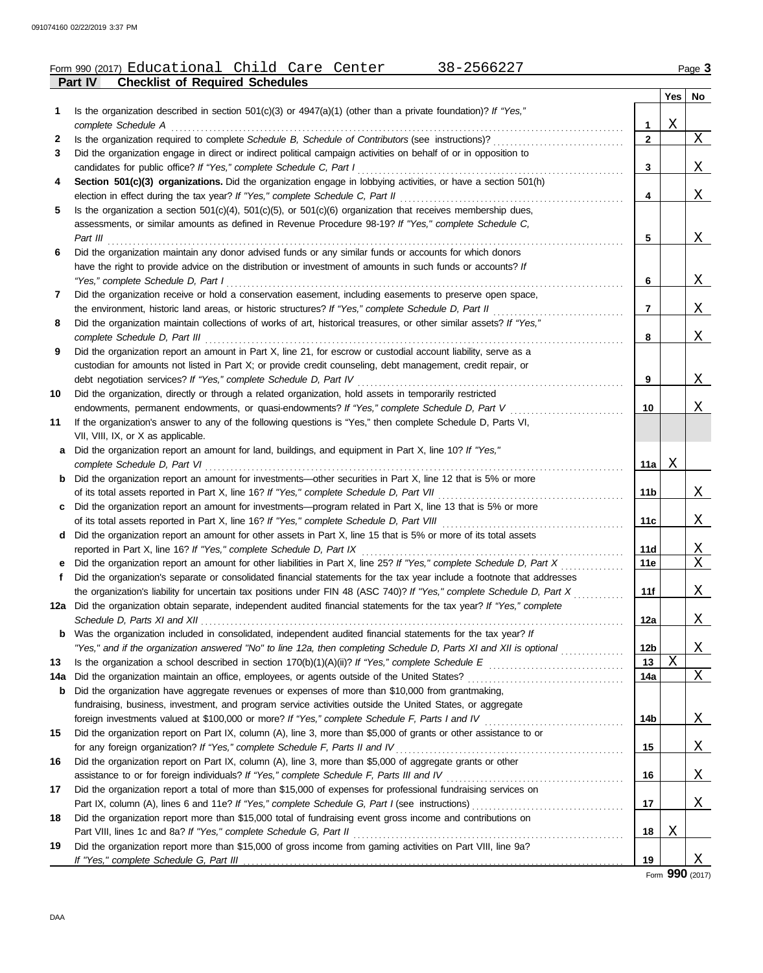|     | Form 990 (2017) Educational Child Care Center<br>38-2566227                                                                                                                                   |                 |     | Page 3                  |
|-----|-----------------------------------------------------------------------------------------------------------------------------------------------------------------------------------------------|-----------------|-----|-------------------------|
|     | <b>Checklist of Required Schedules</b><br>Part IV                                                                                                                                             |                 |     |                         |
|     |                                                                                                                                                                                               |                 | Yes | No                      |
| 1   | Is the organization described in section $501(c)(3)$ or $4947(a)(1)$ (other than a private foundation)? If "Yes,"<br>complete Schedule A                                                      | 1               | Χ   |                         |
| 2   | Is the organization required to complete Schedule B, Schedule of Contributors (see instructions)?                                                                                             | $\mathbf{2}$    |     | X                       |
| 3   | Did the organization engage in direct or indirect political campaign activities on behalf of or in opposition to                                                                              |                 |     |                         |
|     | candidates for public office? If "Yes," complete Schedule C, Part I                                                                                                                           | 3               |     | X                       |
| 4   | Section 501(c)(3) organizations. Did the organization engage in lobbying activities, or have a section 501(h)                                                                                 |                 |     |                         |
|     | election in effect during the tax year? If "Yes," complete Schedule C, Part II                                                                                                                | 4               |     | X                       |
| 5   | Is the organization a section $501(c)(4)$ , $501(c)(5)$ , or $501(c)(6)$ organization that receives membership dues,                                                                          |                 |     |                         |
|     | assessments, or similar amounts as defined in Revenue Procedure 98-19? If "Yes," complete Schedule C,                                                                                         |                 |     |                         |
|     | Part III                                                                                                                                                                                      | 5               |     | X                       |
| 6   | Did the organization maintain any donor advised funds or any similar funds or accounts for which donors                                                                                       |                 |     |                         |
|     | have the right to provide advice on the distribution or investment of amounts in such funds or accounts? If                                                                                   |                 |     |                         |
|     | "Yes," complete Schedule D, Part I                                                                                                                                                            | 6               |     | X                       |
| 7   | Did the organization receive or hold a conservation easement, including easements to preserve open space,                                                                                     |                 |     |                         |
|     | the environment, historic land areas, or historic structures? If "Yes," complete Schedule D, Part II                                                                                          | $\overline{7}$  |     | X                       |
| 8   | Did the organization maintain collections of works of art, historical treasures, or other similar assets? If "Yes,"                                                                           |                 |     |                         |
|     | complete Schedule D, Part III                                                                                                                                                                 | 8               |     | X                       |
| 9   | Did the organization report an amount in Part X, line 21, for escrow or custodial account liability, serve as a                                                                               |                 |     |                         |
|     | custodian for amounts not listed in Part X; or provide credit counseling, debt management, credit repair, or                                                                                  |                 |     |                         |
|     | debt negotiation services? If "Yes," complete Schedule D, Part IV                                                                                                                             | 9               |     | X                       |
| 10  | Did the organization, directly or through a related organization, hold assets in temporarily restricted                                                                                       |                 |     |                         |
|     | endowments, permanent endowments, or quasi-endowments? If "Yes," complete Schedule D, Part V                                                                                                  | 10              |     | Χ                       |
| 11  | If the organization's answer to any of the following questions is "Yes," then complete Schedule D, Parts VI,                                                                                  |                 |     |                         |
|     | VII, VIII, IX, or X as applicable.                                                                                                                                                            |                 |     |                         |
| а   | Did the organization report an amount for land, buildings, and equipment in Part X, line 10? If "Yes,"                                                                                        |                 |     |                         |
|     | complete Schedule D, Part VI<br>Did the organization report an amount for investments—other securities in Part X, line 12 that is 5% or more                                                  | 11a             | Χ   |                         |
| b   | of its total assets reported in Part X, line 16? If "Yes," complete Schedule D, Part VII                                                                                                      | 11 <sub>b</sub> |     | $X_{\perp}$             |
|     | Did the organization report an amount for investments—program related in Part X, line 13 that is 5% or more                                                                                   |                 |     |                         |
| c   |                                                                                                                                                                                               | 11c             |     | X                       |
| d   | Did the organization report an amount for other assets in Part X, line 15 that is 5% or more of its total assets                                                                              |                 |     |                         |
|     | reported in Part X, line 16? If "Yes," complete Schedule D, Part IX                                                                                                                           | 11d             |     |                         |
|     | Did the organization report an amount for other liabilities in Part X, line 25? If "Yes," complete Schedule D, Part X                                                                         | 11e             |     | $\frac{X}{X}$           |
|     | Did the organization's separate or consolidated financial statements for the tax year include a footnote that addresses                                                                       |                 |     |                         |
|     | the organization's liability for uncertain tax positions under FIN 48 (ASC 740)? If "Yes," complete Schedule D, Part X                                                                        | 11f             |     | <u>X</u>                |
|     | 12a Did the organization obtain separate, independent audited financial statements for the tax year? If "Yes," complete                                                                       |                 |     |                         |
|     |                                                                                                                                                                                               | 12a             |     | $\overline{\mathrm{X}}$ |
| b   | Was the organization included in consolidated, independent audited financial statements for the tax year? If                                                                                  |                 |     |                         |
|     | "Yes," and if the organization answered "No" to line 12a, then completing Schedule D, Parts XI and XII is optional                                                                            | 12 <sub>b</sub> |     | $\overline{\mathrm{X}}$ |
| 13  |                                                                                                                                                                                               | 13              | Χ   |                         |
| 14a | Did the organization maintain an office, employees, or agents outside of the United States?                                                                                                   | 14a             |     | X                       |
| b   | Did the organization have aggregate revenues or expenses of more than \$10,000 from grantmaking,                                                                                              |                 |     |                         |
|     | fundraising, business, investment, and program service activities outside the United States, or aggregate                                                                                     |                 |     |                         |
|     |                                                                                                                                                                                               | 14 <sub>b</sub> |     | <u>X</u>                |
| 15  | Did the organization report on Part IX, column (A), line 3, more than \$5,000 of grants or other assistance to or                                                                             |                 |     |                         |
|     | for any foreign organization? If "Yes," complete Schedule F, Parts II and IV<br>[[[CORD REFERENCE PRISTS] and IV contents the content or content or content of the Schedule P of the Schedule | 15              |     | <u>X</u>                |
| 16  | Did the organization report on Part IX, column (A), line 3, more than \$5,000 of aggregate grants or other                                                                                    |                 |     |                         |
|     |                                                                                                                                                                                               | 16              |     | X                       |
| 17  | Did the organization report a total of more than \$15,000 of expenses for professional fundraising services on                                                                                |                 |     |                         |
|     |                                                                                                                                                                                               | 17              |     | X                       |
| 18  | Did the organization report more than \$15,000 total of fundraising event gross income and contributions on                                                                                   |                 |     |                         |
|     |                                                                                                                                                                                               | 18              | X   |                         |

Form **990** (2017)

X

**19**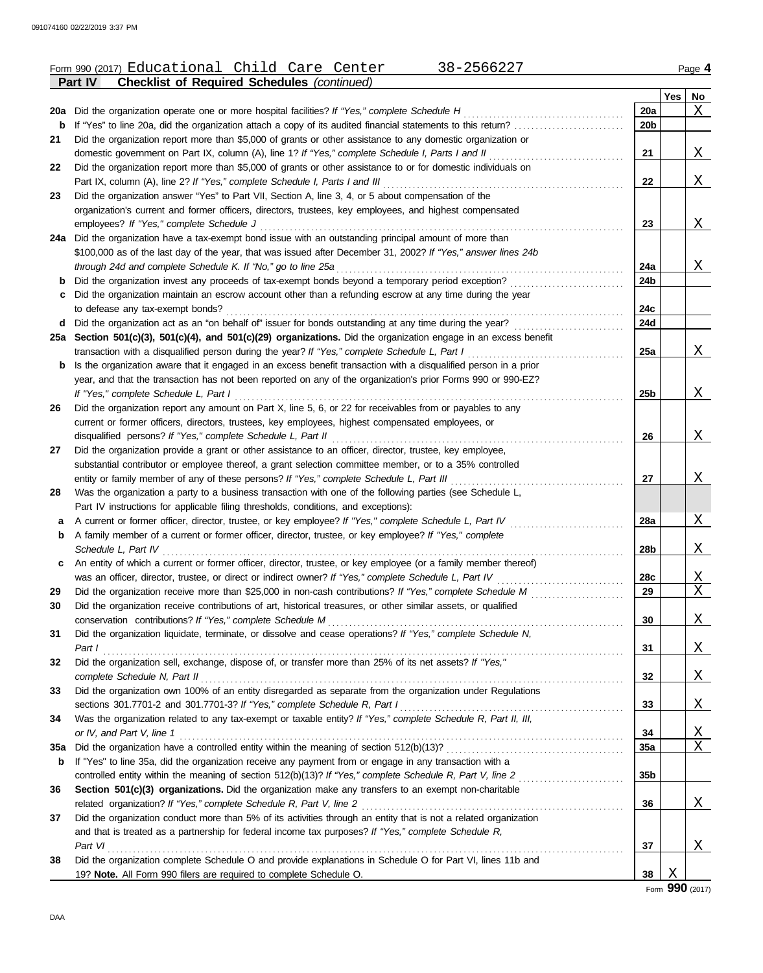|     | Form 990 (2017) Educational Child Care Center<br>38-2566227                                                      |                 |     | Page 4                  |
|-----|------------------------------------------------------------------------------------------------------------------|-----------------|-----|-------------------------|
|     | <b>Checklist of Required Schedules (continued)</b><br><b>Part IV</b>                                             |                 |     |                         |
|     |                                                                                                                  |                 | Yes | No                      |
|     | 20a Did the organization operate one or more hospital facilities? If "Yes," complete Schedule H                  | 20a             |     | Χ                       |
| b   | If "Yes" to line 20a, did the organization attach a copy of its audited financial statements to this return?     | 20 <sub>b</sub> |     |                         |
| 21  | Did the organization report more than \$5,000 of grants or other assistance to any domestic organization or      |                 |     |                         |
|     | domestic government on Part IX, column (A), line 1? If "Yes," complete Schedule I, Parts I and II                | 21              |     | Χ                       |
| 22  | Did the organization report more than \$5,000 of grants or other assistance to or for domestic individuals on    |                 |     |                         |
|     | Part IX, column (A), line 2? If "Yes," complete Schedule I, Parts I and III                                      | 22              |     | Χ                       |
| 23  | Did the organization answer "Yes" to Part VII, Section A, line 3, 4, or 5 about compensation of the              |                 |     |                         |
|     | organization's current and former officers, directors, trustees, key employees, and highest compensated          |                 |     |                         |
|     | employees? If "Yes," complete Schedule J                                                                         | 23              |     | Χ                       |
|     | 24a Did the organization have a tax-exempt bond issue with an outstanding principal amount of more than          |                 |     |                         |
|     | \$100,000 as of the last day of the year, that was issued after December 31, 2002? If "Yes," answer lines 24b    |                 |     |                         |
|     | through 24d and complete Schedule K. If "No," go to line 25a                                                     | 24a             |     | X                       |
| b   | Did the organization invest any proceeds of tax-exempt bonds beyond a temporary period exception?                | 24b             |     |                         |
| C   | Did the organization maintain an escrow account other than a refunding escrow at any time during the year        |                 |     |                         |
|     | to defease any tax-exempt bonds?                                                                                 | 24c             |     |                         |
|     | d Did the organization act as an "on behalf of" issuer for bonds outstanding at any time during the year?        | 24d             |     |                         |
|     | 25a Section 501(c)(3), 501(c)(4), and 501(c)(29) organizations. Did the organization engage in an excess benefit |                 |     |                         |
|     | transaction with a disqualified person during the year? If "Yes," complete Schedule L, Part I                    | 25a             |     | Χ                       |
| b   | Is the organization aware that it engaged in an excess benefit transaction with a disqualified person in a prior |                 |     |                         |
|     | year, and that the transaction has not been reported on any of the organization's prior Forms 990 or 990-EZ?     |                 |     |                         |
|     | If "Yes," complete Schedule L, Part I                                                                            | 25b             |     | X                       |
| 26  | Did the organization report any amount on Part X, line 5, 6, or 22 for receivables from or payables to any       |                 |     |                         |
|     | current or former officers, directors, trustees, key employees, highest compensated employees, or                |                 |     |                         |
|     | disqualified persons? If "Yes," complete Schedule L, Part II                                                     | 26              |     | X                       |
| 27  | Did the organization provide a grant or other assistance to an officer, director, trustee, key employee,         |                 |     |                         |
|     | substantial contributor or employee thereof, a grant selection committee member, or to a 35% controlled          |                 |     |                         |
|     | entity or family member of any of these persons? If "Yes," complete Schedule L, Part III                         | 27              |     | Χ                       |
| 28  | Was the organization a party to a business transaction with one of the following parties (see Schedule L,        |                 |     |                         |
|     | Part IV instructions for applicable filing thresholds, conditions, and exceptions):                              |                 |     |                         |
| a   | A current or former officer, director, trustee, or key employee? If "Yes," complete Schedule L, Part IV          | 28a             |     | Χ                       |
| b   | A family member of a current or former officer, director, trustee, or key employee? If "Yes," complete           |                 |     |                         |
|     | Schedule L, Part IV                                                                                              | 28b             |     | Χ                       |
| c   | An entity of which a current or former officer, director, trustee, or key employee (or a family member thereof)  |                 |     |                         |
|     | was an officer, director, trustee, or direct or indirect owner? If "Yes," complete Schedule L, Part IV           | 28c             |     | <u>X</u>                |
| 29  |                                                                                                                  | 29              |     | $\overline{\mathbf{X}}$ |
| 30  | Did the organization receive contributions of art, historical treasures, or other similar assets, or qualified   |                 |     |                         |
|     |                                                                                                                  | 30              |     | X                       |
| 31  | Did the organization liquidate, terminate, or dissolve and cease operations? If "Yes," complete Schedule N,      |                 |     |                         |
|     | Part I                                                                                                           | 31              |     | X                       |
| 32  | Did the organization sell, exchange, dispose of, or transfer more than 25% of its net assets? If "Yes,"          |                 |     |                         |
|     | complete Schedule N, Part II                                                                                     | 32              |     | Χ                       |
| 33  | Did the organization own 100% of an entity disregarded as separate from the organization under Regulations       |                 |     |                         |
|     |                                                                                                                  | 33              |     | Χ                       |
| 34  | Was the organization related to any tax-exempt or taxable entity? If "Yes," complete Schedule R, Part II, III,   |                 |     |                         |
|     | or IV, and Part V, line 1                                                                                        | 34              |     | X                       |
| 35a |                                                                                                                  | 35a             |     | Χ                       |
| b   | If "Yes" to line 35a, did the organization receive any payment from or engage in any transaction with a          |                 |     |                         |
|     | controlled entity within the meaning of section 512(b)(13)? If "Yes," complete Schedule R, Part V, line 2        | 35 <sub>b</sub> |     |                         |
| 36  | Section 501(c)(3) organizations. Did the organization make any transfers to an exempt non-charitable             |                 |     |                         |
|     |                                                                                                                  | 36              |     | X                       |
| 37  | Did the organization conduct more than 5% of its activities through an entity that is not a related organization |                 |     |                         |
|     | and that is treated as a partnership for federal income tax purposes? If "Yes," complete Schedule R,             |                 |     |                         |
|     |                                                                                                                  |                 |     |                         |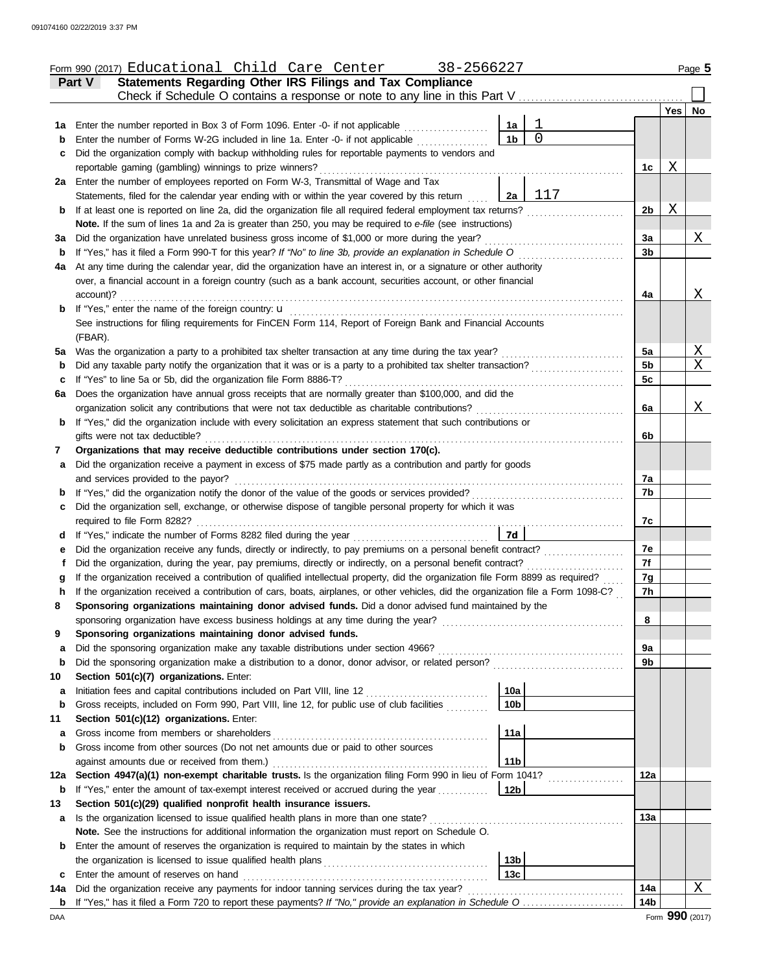|         | Form 990 (2017) Educational Child Care Center<br>38-2566227                                                                                               |                 |                |                 |     | Page 5   |
|---------|-----------------------------------------------------------------------------------------------------------------------------------------------------------|-----------------|----------------|-----------------|-----|----------|
|         | Statements Regarding Other IRS Filings and Tax Compliance<br>Part V                                                                                       |                 |                |                 |     |          |
|         | Check if Schedule O contains a response or note to any line in this Part V                                                                                |                 |                |                 |     |          |
|         |                                                                                                                                                           |                 |                |                 | Yes | No       |
| 1a      | Enter the number reported in Box 3 of Form 1096. Enter -0- if not applicable                                                                              | 1a              | $\mathbf 1$    |                 |     |          |
| b       | Enter the number of Forms W-2G included in line 1a. Enter -0- if not applicable                                                                           | 1 <sub>b</sub>  | $\overline{0}$ |                 |     |          |
| c       | Did the organization comply with backup withholding rules for reportable payments to vendors and                                                          |                 |                |                 |     |          |
|         | reportable gaming (gambling) winnings to prize winners?                                                                                                   |                 |                | 1c              | Χ   |          |
|         | 2a Enter the number of employees reported on Form W-3, Transmittal of Wage and Tax                                                                        |                 |                |                 |     |          |
|         | Statements, filed for the calendar year ending with or within the year covered by this return                                                             | 2a              | 117            |                 |     |          |
| b       | If at least one is reported on line 2a, did the organization file all required federal employment tax returns?                                            |                 |                | 2 <sub>b</sub>  | Χ   |          |
|         | Note. If the sum of lines 1a and 2a is greater than 250, you may be required to e-file (see instructions)                                                 |                 |                |                 |     |          |
| За      | Did the organization have unrelated business gross income of \$1,000 or more during the year?                                                             |                 |                | 3a              |     | Χ        |
| b       | If "Yes," has it filed a Form 990-T for this year? If "No" to line 3b, provide an explanation in Schedule O                                               |                 |                | 3b              |     |          |
| 4a      | At any time during the calendar year, did the organization have an interest in, or a signature or other authority                                         |                 |                |                 |     |          |
|         | over, a financial account in a foreign country (such as a bank account, securities account, or other financial<br>account)?                               |                 |                | 4a              |     | Χ        |
| b       | If "Yes," enter the name of the foreign country: u                                                                                                        |                 |                |                 |     |          |
|         | See instructions for filing requirements for FinCEN Form 114, Report of Foreign Bank and Financial Accounts                                               |                 |                |                 |     |          |
|         | (FBAR).                                                                                                                                                   |                 |                |                 |     |          |
| 5a      | Was the organization a party to a prohibited tax shelter transaction at any time during the tax year?                                                     |                 |                | 5a              |     | <u>X</u> |
| b       | Did any taxable party notify the organization that it was or is a party to a prohibited tax shelter transaction?                                          |                 |                | 5 <sub>b</sub>  |     | X        |
| c       | If "Yes" to line 5a or 5b, did the organization file Form 8886-T?                                                                                         |                 |                | 5c              |     |          |
| 6a      | Does the organization have annual gross receipts that are normally greater than \$100,000, and did the                                                    |                 |                |                 |     |          |
|         | organization solicit any contributions that were not tax deductible as charitable contributions?                                                          |                 |                | 6a              |     | Χ        |
| b       | If "Yes," did the organization include with every solicitation an express statement that such contributions or                                            |                 |                |                 |     |          |
|         | gifts were not tax deductible?                                                                                                                            |                 |                | 6b              |     |          |
| 7       | Organizations that may receive deductible contributions under section 170(c).                                                                             |                 |                |                 |     |          |
| a       | Did the organization receive a payment in excess of \$75 made partly as a contribution and partly for goods                                               |                 |                |                 |     |          |
|         | and services provided to the payor?                                                                                                                       |                 |                | 7a              |     |          |
| b       | If "Yes," did the organization notify the donor of the value of the goods or services provided?                                                           |                 |                | 7b              |     |          |
| с       | Did the organization sell, exchange, or otherwise dispose of tangible personal property for which it was                                                  |                 |                |                 |     |          |
|         | required to file Form 8282?                                                                                                                               |                 |                | 7c              |     |          |
| d       | If "Yes," indicate the number of Forms 8282 filed during the year                                                                                         | 7d              |                |                 |     |          |
| е       | Did the organization receive any funds, directly or indirectly, to pay premiums on a personal benefit contract?                                           |                 |                | 7e              |     |          |
|         | Did the organization, during the year, pay premiums, directly or indirectly, on a personal benefit contract?                                              |                 |                | 7f              |     |          |
|         | If the organization received a contribution of qualified intellectual property, did the organization file Form 8899 as required?                          |                 |                | 7g              |     |          |
|         | If the organization received a contribution of cars, boats, airplanes, or other vehicles, did the organization file a Form 1098-C?                        |                 |                | 7 <sub>h</sub>  |     |          |
| 8       | Sponsoring organizations maintaining donor advised funds. Did a donor advised fund maintained by the                                                      |                 |                |                 |     |          |
|         | sponsoring organization have excess business holdings at any time during the year?                                                                        |                 |                | 8               |     |          |
| 9       | Sponsoring organizations maintaining donor advised funds.                                                                                                 |                 |                |                 |     |          |
| a       | Did the sponsoring organization make any taxable distributions under section 4966?                                                                        |                 |                | 9a<br>9b        |     |          |
| b       | Did the sponsoring organization make a distribution to a donor, donor advisor, or related person?                                                         |                 |                |                 |     |          |
| 10<br>а | Section 501(c)(7) organizations. Enter:<br>Initiation fees and capital contributions included on Part VIII, line 12 [11] [11] [12] [11] [12] [11] [12] [1 | 10a             |                |                 |     |          |
| b       | Gross receipts, included on Form 990, Part VIII, line 12, for public use of club facilities                                                               | 10 <sub>b</sub> |                |                 |     |          |
| 11      | Section 501(c)(12) organizations. Enter:                                                                                                                  |                 |                |                 |     |          |
| a       | Gross income from members or shareholders                                                                                                                 | 11a             |                |                 |     |          |
| b       | Gross income from other sources (Do not net amounts due or paid to other sources                                                                          |                 |                |                 |     |          |
|         | against amounts due or received from them.)                                                                                                               | 11 <sub>b</sub> |                |                 |     |          |
| 12a     | Section 4947(a)(1) non-exempt charitable trusts. Is the organization filing Form 990 in lieu of Form 1041?                                                |                 |                | 12a             |     |          |
| b       | If "Yes," enter the amount of tax-exempt interest received or accrued during the year                                                                     | 12b             |                |                 |     |          |
| 13      | Section 501(c)(29) qualified nonprofit health insurance issuers.                                                                                          |                 |                |                 |     |          |
| a       | Is the organization licensed to issue qualified health plans in more than one state?                                                                      |                 |                | <b>13a</b>      |     |          |
|         | Note. See the instructions for additional information the organization must report on Schedule O.                                                         |                 |                |                 |     |          |
| b       | Enter the amount of reserves the organization is required to maintain by the states in which                                                              |                 |                |                 |     |          |
|         |                                                                                                                                                           | 13 <sub>b</sub> |                |                 |     |          |
| с       | Enter the amount of reserves on hand                                                                                                                      | 13 <sub>c</sub> |                |                 |     |          |
| 14a     | Did the organization receive any payments for indoor tanning services during the tax year?                                                                |                 |                | 14a             |     | Χ        |
|         | <b>b</b> If "Yes," has it filed a Form 720 to report these payments? If "No," provide an explanation in Schedule O                                        |                 |                | 14 <sub>b</sub> |     |          |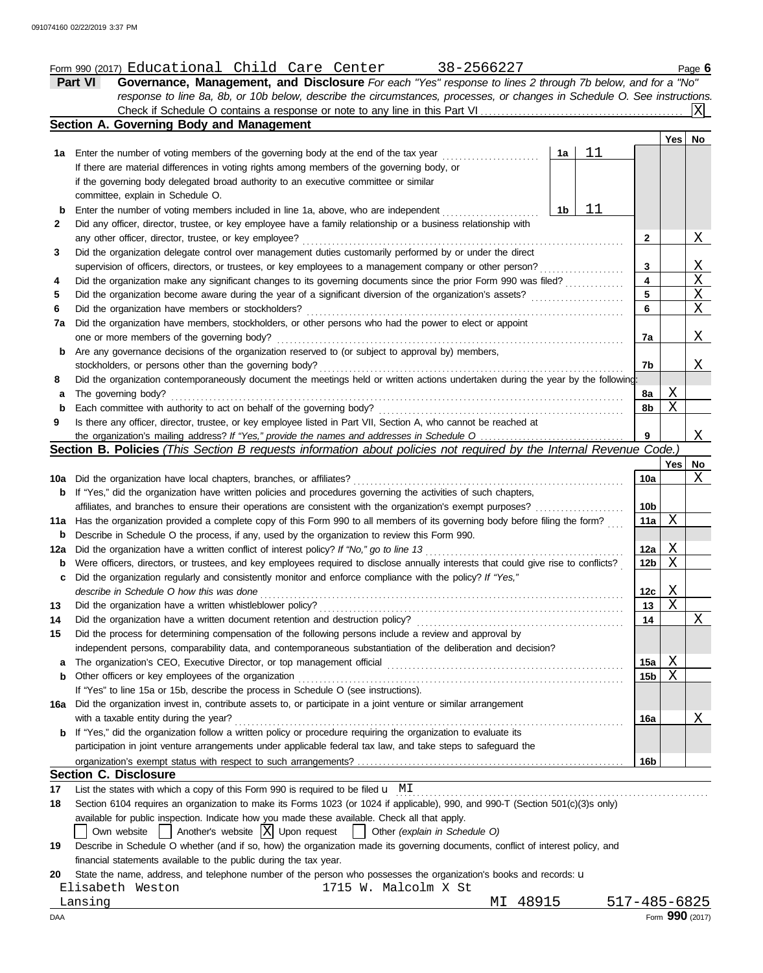## Form 990 (2017) Page **6** Educational Child Care Center 38-2566227

| <b>Governance, Management, and Disclosure</b> For each "Yes" response to lines 2 through 7b below, and for a "No"         |  |
|---------------------------------------------------------------------------------------------------------------------------|--|
| response to line 8a, 8b, or 10b below, describe the circumstances, processes, or changes in Schedule O. See instructions. |  |
|                                                                                                                           |  |
| Section A. Governing Body and Management                                                                                  |  |
|                                                                                                                           |  |

|                                                                                                                     |                                                                                                                                                                                   |    | 11 |                 | Yes    | No |  |  |
|---------------------------------------------------------------------------------------------------------------------|-----------------------------------------------------------------------------------------------------------------------------------------------------------------------------------|----|----|-----------------|--------|----|--|--|
| 1а                                                                                                                  | Enter the number of voting members of the governing body at the end of the tax year<br>If there are material differences in voting rights among members of the governing body, or | 1a |    |                 |        |    |  |  |
|                                                                                                                     | if the governing body delegated broad authority to an executive committee or similar                                                                                              |    |    |                 |        |    |  |  |
|                                                                                                                     | committee, explain in Schedule O.                                                                                                                                                 |    |    |                 |        |    |  |  |
| b                                                                                                                   | Enter the number of voting members included in line 1a, above, who are independent                                                                                                | 1b | 11 |                 |        |    |  |  |
| 2                                                                                                                   | Did any officer, director, trustee, or key employee have a family relationship or a business relationship with                                                                    |    |    |                 |        |    |  |  |
|                                                                                                                     | any other officer, director, trustee, or key employee?                                                                                                                            |    |    | $\mathbf{2}$    |        | X  |  |  |
| 3                                                                                                                   | Did the organization delegate control over management duties customarily performed by or under the direct                                                                         |    |    |                 |        |    |  |  |
|                                                                                                                     | supervision of officers, directors, or trustees, or key employees to a management company or other person?                                                                        |    |    | 3               |        | Χ  |  |  |
| 4                                                                                                                   | Did the organization make any significant changes to its governing documents since the prior Form 990 was filed?                                                                  |    |    | 4               |        | Χ  |  |  |
| 5                                                                                                                   | Did the organization become aware during the year of a significant diversion of the organization's assets?                                                                        |    |    | 5               |        | Χ  |  |  |
| 6                                                                                                                   | Did the organization have members or stockholders?                                                                                                                                |    |    | 6               |        | Χ  |  |  |
| 7a                                                                                                                  | Did the organization have members, stockholders, or other persons who had the power to elect or appoint                                                                           |    |    |                 |        |    |  |  |
|                                                                                                                     | one or more members of the governing body?                                                                                                                                        |    |    | 7a              |        | X  |  |  |
| b                                                                                                                   | Are any governance decisions of the organization reserved to (or subject to approval by) members,                                                                                 |    |    |                 |        |    |  |  |
|                                                                                                                     | stockholders, or persons other than the governing body?                                                                                                                           |    |    | 7b              |        | X  |  |  |
| 8                                                                                                                   | Did the organization contemporaneously document the meetings held or written actions undertaken during the year by the following:                                                 |    |    |                 |        |    |  |  |
| a                                                                                                                   | The governing body?                                                                                                                                                               |    |    | 8a              | Χ      |    |  |  |
| b                                                                                                                   | Each committee with authority to act on behalf of the governing body?                                                                                                             |    |    | 8b              | Χ      |    |  |  |
| 9                                                                                                                   | Is there any officer, director, trustee, or key employee listed in Part VII, Section A, who cannot be reached at                                                                  |    |    |                 |        |    |  |  |
|                                                                                                                     |                                                                                                                                                                                   |    |    | 9               |        | Χ  |  |  |
| Section B. Policies (This Section B requests information about policies not required by the Internal Revenue Code.) |                                                                                                                                                                                   |    |    |                 |        |    |  |  |
|                                                                                                                     |                                                                                                                                                                                   |    |    |                 | Yes    | No |  |  |
|                                                                                                                     | 10a Did the organization have local chapters, branches, or affiliates?                                                                                                            |    |    | 10a             |        | Χ  |  |  |
| b                                                                                                                   | If "Yes," did the organization have written policies and procedures governing the activities of such chapters,                                                                    |    |    |                 |        |    |  |  |
|                                                                                                                     | affiliates, and branches to ensure their operations are consistent with the organization's exempt purposes?                                                                       |    |    | 10 <sub>b</sub> |        |    |  |  |
| 11a                                                                                                                 | Has the organization provided a complete copy of this Form 990 to all members of its governing body before filing the form?                                                       |    |    | 11a             | Χ      |    |  |  |
| b                                                                                                                   | Describe in Schedule O the process, if any, used by the organization to review this Form 990.                                                                                     |    |    |                 |        |    |  |  |
| 12a                                                                                                                 |                                                                                                                                                                                   |    |    | 12a             | Χ      |    |  |  |
| b                                                                                                                   | Were officers, directors, or trustees, and key employees required to disclose annually interests that could give rise to conflicts?                                               |    |    | 12 <sub>b</sub> | Χ      |    |  |  |
| c                                                                                                                   | Did the organization regularly and consistently monitor and enforce compliance with the policy? If "Yes,"                                                                         |    |    |                 |        |    |  |  |
|                                                                                                                     | describe in Schedule O how this was done                                                                                                                                          |    |    | 12c             | Χ<br>X |    |  |  |
| 13                                                                                                                  | Did the organization have a written whistleblower policy?<br>Did the organization have a written document retention and destruction policy?                                       |    |    | 13              |        | X  |  |  |
| 14                                                                                                                  | Did the process for determining compensation of the following persons include a review and approval by                                                                            |    |    | 14              |        |    |  |  |
| 15                                                                                                                  | independent persons, comparability data, and contemporaneous substantiation of the deliberation and decision?                                                                     |    |    |                 |        |    |  |  |
| а                                                                                                                   |                                                                                                                                                                                   |    |    | 15a             | Χ      |    |  |  |
| b                                                                                                                   | Other officers or key employees of the organization                                                                                                                               |    |    | 15 <sub>b</sub> | Χ      |    |  |  |
|                                                                                                                     | If "Yes" to line 15a or 15b, describe the process in Schedule O (see instructions).                                                                                               |    |    |                 |        |    |  |  |
| 16a                                                                                                                 | Did the organization invest in, contribute assets to, or participate in a joint venture or similar arrangement                                                                    |    |    |                 |        |    |  |  |
|                                                                                                                     | with a taxable entity during the year?                                                                                                                                            |    |    | 16a             |        | X  |  |  |
| b                                                                                                                   | If "Yes," did the organization follow a written policy or procedure requiring the organization to evaluate its                                                                    |    |    |                 |        |    |  |  |
|                                                                                                                     | participation in joint venture arrangements under applicable federal tax law, and take steps to safeguard the                                                                     |    |    |                 |        |    |  |  |
|                                                                                                                     |                                                                                                                                                                                   |    |    | 16b             |        |    |  |  |
|                                                                                                                     | <b>Section C. Disclosure</b>                                                                                                                                                      |    |    |                 |        |    |  |  |
| 17                                                                                                                  | List the states with which a copy of this Form 990 is required to be filed $\mathbf{u}$ MI                                                                                        |    |    |                 |        |    |  |  |
| 18                                                                                                                  | Section 6104 requires an organization to make its Forms 1023 (or 1024 if applicable), 990, and 990-T (Section 501(c)(3)s only)                                                    |    |    |                 |        |    |  |  |
|                                                                                                                     | available for public inspection. Indicate how you made these available. Check all that apply.                                                                                     |    |    |                 |        |    |  |  |
|                                                                                                                     |                                                                                                                                                                                   |    |    |                 |        |    |  |  |

|  | Own website |  | $\vert$ Another's website $\vert X \vert$ Upon request |  |  |  | Other (explain in Schedule O) |
|--|-------------|--|--------------------------------------------------------|--|--|--|-------------------------------|
|--|-------------|--|--------------------------------------------------------|--|--|--|-------------------------------|

| 19 | Describe in Schedule O whether (and if so, how) the organization made its governing documents, conflict of interest policy, and |  |  |  |  |  |  |
|----|---------------------------------------------------------------------------------------------------------------------------------|--|--|--|--|--|--|
|    | financial statements available to the public during the tax year.                                                               |  |  |  |  |  |  |
|    | -- - - -                                                                                                                        |  |  |  |  |  |  |

20 State the name, address, and telephone number of the person who possesses the organization's books and records: u

| DAA              |                      |          | Form 990 (2017) |
|------------------|----------------------|----------|-----------------|
| Lansing          |                      | MI 48915 | 517-485-6825    |
| Elisabeth Weston | 1715 W. Malcolm X St |          |                 |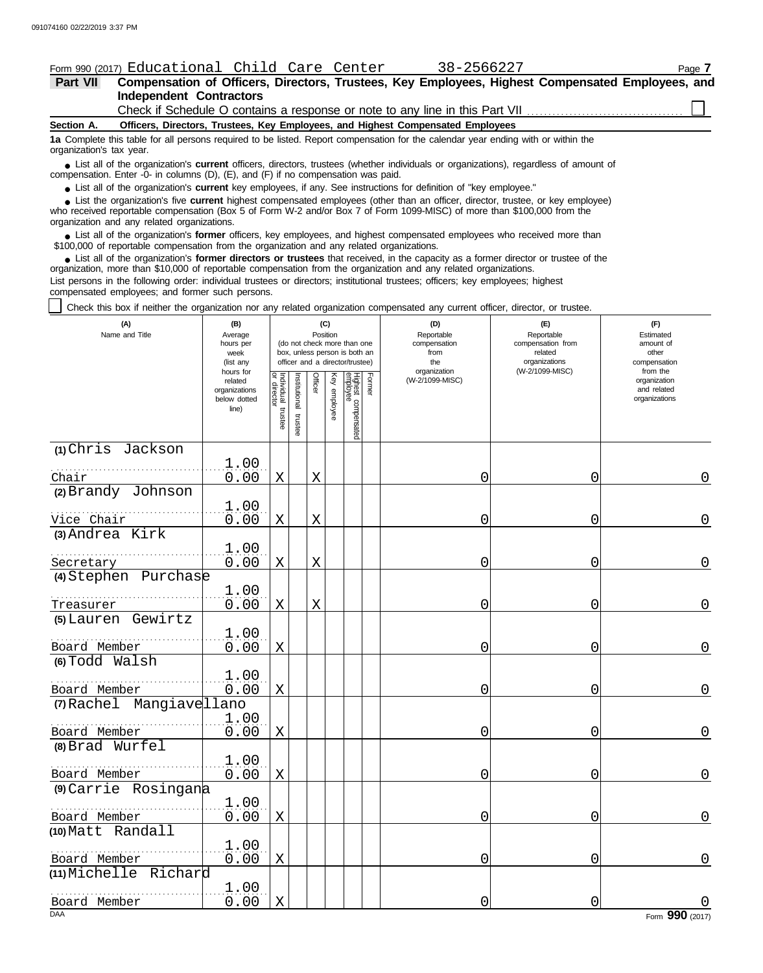**(1)** Chris Jackson

**(2)** Brandy Johnson

**(4)** Stephen Purchase

**(7)** Rachel Mangiavellano

. . . . . . . . . . . . . . . . . . . . . . . . . . . . . . . . . . . . . . . . . . . . . . . . . . . Board Member

. . . . . . . . . . . . . . . . . . . . . . . . . . . . . . . . . . . . . . . . . . . . . . . . . . . Board Member

. . . . . . . . . . . . . . . . . . . . . . . . . . . . . . . . . . . . . . . . . . . . . . . . . . .

. . . . . . . . . . . . . . . . . . . . . . . . . . . . . . . . . . . . . . . . . . . . . . . . . . .

. . . . . . . . . . . . . . . . . . . . . . . . . . . . . . . . . . . . . . . . . . . . . . . . . . . 1.00

. . . . . . . . . . . . . . . . . . . . . . . . . . . . . . . . . . . . . . . . . . . . . . . . . . . 1.00

. . . . . . . . . . . . . . . . . . . . . . . . . . . . . . . . . . . . . . . . . . . . . . . . . . .

. . . . . . . . . . . . . . . . . . . . . . . . . . . . . . . . . . . . . . . . . . . . . . . . . . .

. . . . . . . . . . . . . . . . . . . . . . . . . . . . . . . . . . . . . . . . . . . . . . . . . . .

. . . . . . . . . . . . . . . . . . . . . . . . . . . . . . . . . . . . . . . . . . . . . . . . . . . Vice Chair

. . . . . . . . . . . . . . . . . . . . . . . . . . . . . . . . . . . . . . . . . . . . . . . . . . .

**(5)** Lauren Gewirtz

**(6)** Todd Walsh

**(8)** Brad Wurfel

Board Member

Board Member

Board Member

Board Member

**(10)** Matt Randall

**(9)** Carrie Rosingana

**(11)** Michelle Richard

**(3)** Andrea Kirk

Secretary

Treasurer

Chair

### Form 990 (2017) Educational Child Care Center 38-2566227 Page **7**

 $\frac{1.00}{0.00}$ 

 $\frac{1.00}{0.00}$ 

1.00

1.00

 $\frac{1.00}{0.00}$ 

 $\frac{1.00}{0.00}$ 

 $\frac{1.00}{0.00}$ 

1.00

1.00

| Part VII                                                                                                                                                                                                                                                                                                   |                                                                                                                                   |                                                                                                                                                                                                                                                                |                                                                                     |                                                                                       | Compensation of Officers, Directors, Trustees, Key Employees, Highest Compensated Employees, and                   |  |  |  |  |
|------------------------------------------------------------------------------------------------------------------------------------------------------------------------------------------------------------------------------------------------------------------------------------------------------------|-----------------------------------------------------------------------------------------------------------------------------------|----------------------------------------------------------------------------------------------------------------------------------------------------------------------------------------------------------------------------------------------------------------|-------------------------------------------------------------------------------------|---------------------------------------------------------------------------------------|--------------------------------------------------------------------------------------------------------------------|--|--|--|--|
| <b>Independent Contractors</b>                                                                                                                                                                                                                                                                             |                                                                                                                                   |                                                                                                                                                                                                                                                                |                                                                                     |                                                                                       |                                                                                                                    |  |  |  |  |
|                                                                                                                                                                                                                                                                                                            |                                                                                                                                   |                                                                                                                                                                                                                                                                |                                                                                     | Check if Schedule O contains a response or note to any line in this Part VII          |                                                                                                                    |  |  |  |  |
| Officers, Directors, Trustees, Key Employees, and Highest Compensated Employees<br>Section A.                                                                                                                                                                                                              |                                                                                                                                   |                                                                                                                                                                                                                                                                |                                                                                     |                                                                                       |                                                                                                                    |  |  |  |  |
| organization's tax year.                                                                                                                                                                                                                                                                                   | 1a Complete this table for all persons required to be listed. Report compensation for the calendar year ending with or within the |                                                                                                                                                                                                                                                                |                                                                                     |                                                                                       |                                                                                                                    |  |  |  |  |
| • List all of the organization's <b>current</b> officers, directors, trustees (whether individuals or organizations), regardless of amount of<br>compensation. Enter -0- in columns (D), (E), and (F) if no compensation was paid.                                                                         |                                                                                                                                   |                                                                                                                                                                                                                                                                |                                                                                     |                                                                                       |                                                                                                                    |  |  |  |  |
| • List all of the organization's current key employees, if any. See instructions for definition of "key employee."                                                                                                                                                                                         |                                                                                                                                   |                                                                                                                                                                                                                                                                |                                                                                     |                                                                                       |                                                                                                                    |  |  |  |  |
| • List the organization's five current highest compensated employees (other than an officer, director, trustee, or key employee)<br>who received reportable compensation (Box 5 of Form W-2 and/or Box 7 of Form 1099-MISC) of more than \$100,000 from the<br>organization and any related organizations. |                                                                                                                                   |                                                                                                                                                                                                                                                                |                                                                                     |                                                                                       |                                                                                                                    |  |  |  |  |
| • List all of the organization's former officers, key employees, and highest compensated employees who received more than<br>\$100,000 of reportable compensation from the organization and any related organizations.                                                                                     |                                                                                                                                   |                                                                                                                                                                                                                                                                |                                                                                     |                                                                                       |                                                                                                                    |  |  |  |  |
| • List all of the organization's former directors or trustees that received, in the capacity as a former director or trustee of the<br>organization, more than \$10,000 of reportable compensation from the organization and any related organizations.                                                    |                                                                                                                                   |                                                                                                                                                                                                                                                                |                                                                                     |                                                                                       |                                                                                                                    |  |  |  |  |
| List persons in the following order: individual trustees or directors; institutional trustees; officers; key employees; highest<br>compensated employees; and former such persons.                                                                                                                         |                                                                                                                                   |                                                                                                                                                                                                                                                                |                                                                                     |                                                                                       |                                                                                                                    |  |  |  |  |
| Check this box if neither the organization nor any related organization compensated any current officer, director, or trustee.                                                                                                                                                                             |                                                                                                                                   |                                                                                                                                                                                                                                                                |                                                                                     |                                                                                       |                                                                                                                    |  |  |  |  |
| (A)<br>Name and Title                                                                                                                                                                                                                                                                                      | (B)<br>Average<br>hours per<br>week<br>(list any<br>hours for<br>related<br>organizations<br>below dotted<br>line)                | (C)<br>Position<br>(do not check more than one<br>box, unless person is both an<br>officer and a director/trustee)<br>Individual trustee<br>or director<br>Highest compensated<br>employee<br>Institutional<br>Former<br>Officer<br>Key<br>employee<br>trustee | (D)<br>Reportable<br>compensation<br>from<br>the<br>organization<br>(W-2/1099-MISC) | (E)<br>Reportable<br>compensation from<br>related<br>organizations<br>(W-2/1099-MISC) | (F)<br>Estimated<br>amount of<br>other<br>compensation<br>from the<br>organization<br>and related<br>organizations |  |  |  |  |

Board Member

0.00 X X 0 0 0 0

0.00 X X 0 0 0 0

0.00 X X 0 0 0 0

0.00 X X 0 0 0 0

0.00 X 0 0 0 0 0

0.00 X 0 0 0 0 0

0.00 X 0 0 0 0 0

0.00 X 0 0 0 0 0

0.00 X 0 0 0 0 0

0.00 X 0 0 0 0 0

0.00 X 0 0 0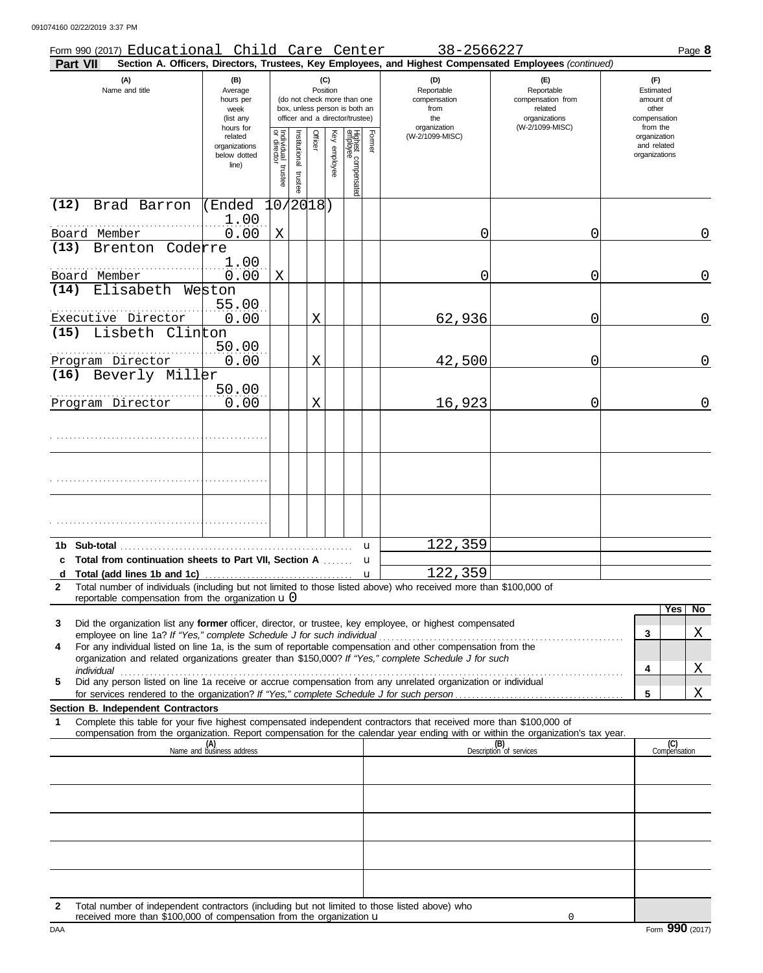091074160 02/22/2019 3:37 PM

| Part VII                  | Form 990 (2017) Educational Child Care Center                                                                                                                      |                                                                |                                      |                       |                 |                                                                                                 |                                 |                                                  | 38-2566227<br>Section A. Officers, Directors, Trustees, Key Employees, and Highest Compensated Employees (continued)                                                                                                                                                                                                                                                                                                                                     |                                                        | Page 8                                                   |
|---------------------------|--------------------------------------------------------------------------------------------------------------------------------------------------------------------|----------------------------------------------------------------|--------------------------------------|-----------------------|-----------------|-------------------------------------------------------------------------------------------------|---------------------------------|--------------------------------------------------|----------------------------------------------------------------------------------------------------------------------------------------------------------------------------------------------------------------------------------------------------------------------------------------------------------------------------------------------------------------------------------------------------------------------------------------------------------|--------------------------------------------------------|----------------------------------------------------------|
|                           | (A)<br>Name and title                                                                                                                                              | (B)<br>Average<br>hours per<br>week<br>(list any               |                                      |                       | (C)<br>Position | (do not check more than one<br>box, unless person is both an<br>officer and a director/trustee) |                                 | (D)<br>Reportable<br>compensation<br>from<br>the | (E)<br>Reportable<br>compensation from<br>related<br>organizations<br>(W-2/1099-MISC)                                                                                                                                                                                                                                                                                                                                                                    | (F)<br>Estimated<br>amount of<br>other<br>compensation |                                                          |
|                           |                                                                                                                                                                    | hours for<br>related<br>organizations<br>below dotted<br>line) | Individual<br>or director<br>trustee | Institutional trustee | Officer         | Key employee                                                                                    | Highest compensated<br>employee | Former                                           | organization<br>(W-2/1099-MISC)                                                                                                                                                                                                                                                                                                                                                                                                                          |                                                        | from the<br>organization<br>and related<br>organizations |
| (12)                      | Brad Barron                                                                                                                                                        | (Ended<br>1.00                                                 |                                      | 0/2018)               |                 |                                                                                                 |                                 |                                                  |                                                                                                                                                                                                                                                                                                                                                                                                                                                          |                                                        |                                                          |
| Board Member<br>(13)      | Brenton Coderre                                                                                                                                                    | 0.00                                                           | X                                    |                       |                 |                                                                                                 |                                 |                                                  | 0                                                                                                                                                                                                                                                                                                                                                                                                                                                        | 0                                                      | $\overline{0}$                                           |
| Board Member              |                                                                                                                                                                    | 1.00<br>0.00                                                   | X                                    |                       |                 |                                                                                                 |                                 |                                                  | 0                                                                                                                                                                                                                                                                                                                                                                                                                                                        | 0                                                      | 0                                                        |
| (14)                      | Elisabeth Weston<br>Executive Director                                                                                                                             | 55.00<br>0.00                                                  |                                      |                       | Χ               |                                                                                                 |                                 |                                                  | 62,936                                                                                                                                                                                                                                                                                                                                                                                                                                                   | 0                                                      | 0                                                        |
| (15)                      | Lisbeth Clinton                                                                                                                                                    | 50.00                                                          |                                      |                       |                 |                                                                                                 |                                 |                                                  |                                                                                                                                                                                                                                                                                                                                                                                                                                                          |                                                        |                                                          |
| (16)                      | Program Director<br>Beverly Miller                                                                                                                                 | 0.00                                                           |                                      |                       | Χ               |                                                                                                 |                                 |                                                  | 42,500                                                                                                                                                                                                                                                                                                                                                                                                                                                   | 0                                                      | 0                                                        |
|                           | Program Director                                                                                                                                                   | 50.00<br>0.00                                                  |                                      |                       | Χ               |                                                                                                 |                                 |                                                  | 16,923                                                                                                                                                                                                                                                                                                                                                                                                                                                   | 0                                                      | 0                                                        |
|                           |                                                                                                                                                                    |                                                                |                                      |                       |                 |                                                                                                 |                                 |                                                  |                                                                                                                                                                                                                                                                                                                                                                                                                                                          |                                                        |                                                          |
|                           |                                                                                                                                                                    |                                                                |                                      |                       |                 |                                                                                                 |                                 |                                                  |                                                                                                                                                                                                                                                                                                                                                                                                                                                          |                                                        |                                                          |
|                           |                                                                                                                                                                    |                                                                |                                      |                       |                 |                                                                                                 |                                 |                                                  |                                                                                                                                                                                                                                                                                                                                                                                                                                                          |                                                        |                                                          |
| 1b Sub-total              |                                                                                                                                                                    |                                                                |                                      |                       |                 |                                                                                                 |                                 | u                                                | 122,359                                                                                                                                                                                                                                                                                                                                                                                                                                                  |                                                        |                                                          |
| d<br>2                    | c Total from continuation sheets to Part VII, Section A<br>reportable compensation from the organization $\mathbf{u}$ 0                                            |                                                                |                                      |                       |                 |                                                                                                 |                                 | u<br>u                                           | 122,359<br>Total number of individuals (including but not limited to those listed above) who received more than \$100,000 of                                                                                                                                                                                                                                                                                                                             |                                                        |                                                          |
| 3<br>4<br>individual<br>5 | employee on line 1a? If "Yes," complete Schedule J for such individual<br>for services rendered to the organization? If "Yes," complete Schedule J for such person |                                                                |                                      |                       |                 |                                                                                                 |                                 |                                                  | Did the organization list any <b>former</b> officer, director, or trustee, key employee, or highest compensated<br>For any individual listed on line 1a, is the sum of reportable compensation and other compensation from the<br>organization and related organizations greater than \$150,000? If "Yes," complete Schedule J for such<br>Did any person listed on line 1a receive or accrue compensation from any unrelated organization or individual |                                                        | No<br>Yes<br>Χ<br>3<br>Χ<br>4<br>5<br>Χ                  |
| 1                         | Section B. Independent Contractors                                                                                                                                 |                                                                |                                      |                       |                 |                                                                                                 |                                 |                                                  | Complete this table for your five highest compensated independent contractors that received more than \$100,000 of                                                                                                                                                                                                                                                                                                                                       |                                                        |                                                          |
|                           |                                                                                                                                                                    | (A)<br>Name and business address                               |                                      |                       |                 |                                                                                                 |                                 |                                                  | compensation from the organization. Report compensation for the calendar year ending with or within the organization's tax year.                                                                                                                                                                                                                                                                                                                         | (B)<br>Description of services                         | (C)<br>Compensation                                      |
|                           |                                                                                                                                                                    |                                                                |                                      |                       |                 |                                                                                                 |                                 |                                                  |                                                                                                                                                                                                                                                                                                                                                                                                                                                          |                                                        |                                                          |
|                           |                                                                                                                                                                    |                                                                |                                      |                       |                 |                                                                                                 |                                 |                                                  |                                                                                                                                                                                                                                                                                                                                                                                                                                                          |                                                        |                                                          |
|                           |                                                                                                                                                                    |                                                                |                                      |                       |                 |                                                                                                 |                                 |                                                  |                                                                                                                                                                                                                                                                                                                                                                                                                                                          |                                                        |                                                          |
| 2                         | Total number of independent contractors (including but not limited to those listed above) who                                                                      |                                                                |                                      |                       |                 |                                                                                                 |                                 |                                                  |                                                                                                                                                                                                                                                                                                                                                                                                                                                          |                                                        |                                                          |
| DAA                       | received more than \$100,000 of compensation from the organization $\mathbf u$                                                                                     |                                                                |                                      |                       |                 |                                                                                                 |                                 |                                                  |                                                                                                                                                                                                                                                                                                                                                                                                                                                          | 0                                                      | Form 990 (2017)                                          |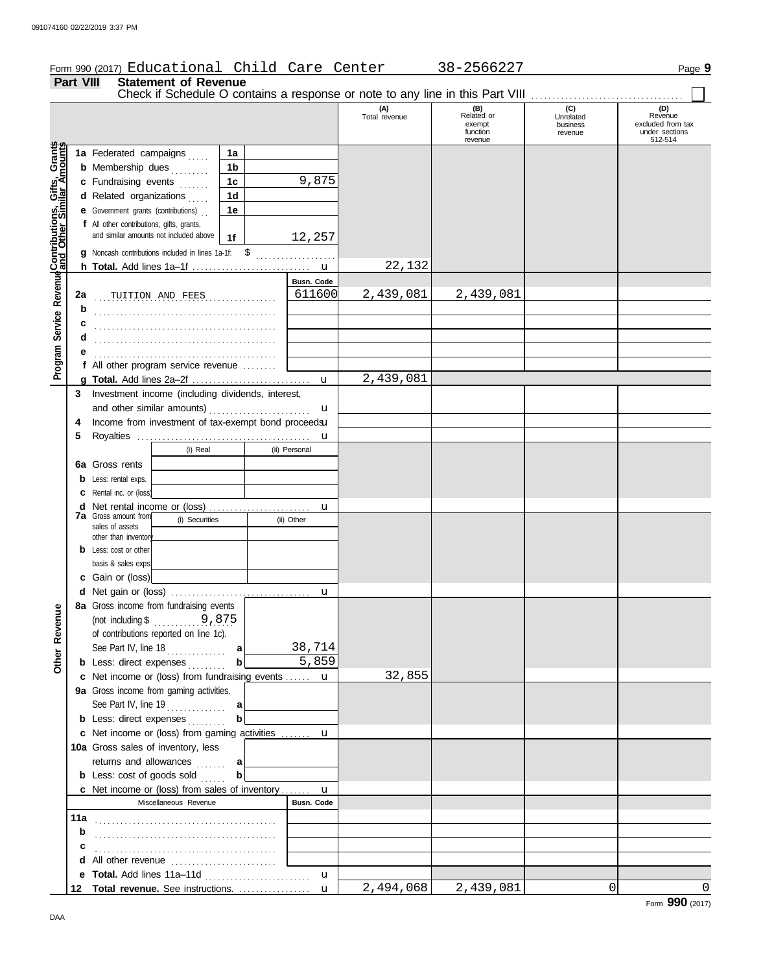# Form 990 (2017) Page **9** Educational Child Care Center 38-2566227 **Part VIII Statement of Revenue**

| 1 GIL VIII                                           |     | אווסות טו ולפאפוועס<br>Check if Schedule O contains a response or note to any line in this Part VIII |                |                    |                      |                                                    |                                         |                                                                  |
|------------------------------------------------------|-----|------------------------------------------------------------------------------------------------------|----------------|--------------------|----------------------|----------------------------------------------------|-----------------------------------------|------------------------------------------------------------------|
|                                                      |     |                                                                                                      |                |                    | (A)<br>Total revenue | (B)<br>Related or<br>exempt<br>function<br>revenue | (C)<br>Unrelated<br>business<br>revenue | (D)<br>Revenue<br>excluded from tax<br>under sections<br>512-514 |
| Program Service Revenue Contributions, Gifts, Grants |     | 1a Federated campaigns                                                                               | 1a             |                    |                      |                                                    |                                         |                                                                  |
|                                                      |     | <b>b</b> Membership dues                                                                             | 1 <sub>b</sub> |                    |                      |                                                    |                                         |                                                                  |
|                                                      |     | c Fundraising events                                                                                 | 1c             | 9,875              |                      |                                                    |                                         |                                                                  |
|                                                      |     | d Related organizations                                                                              | 1 <sub>d</sub> |                    |                      |                                                    |                                         |                                                                  |
|                                                      |     | <b>e</b> Government grants (contributions)                                                           | 1e             |                    |                      |                                                    |                                         |                                                                  |
|                                                      |     | f All other contributions, gifts, grants,                                                            |                |                    |                      |                                                    |                                         |                                                                  |
|                                                      |     | and similar amounts not included above                                                               | 1f             | 12,257             |                      |                                                    |                                         |                                                                  |
|                                                      |     | g Noncash contributions included in lines 1a-1f:                                                     | -\$            |                    |                      |                                                    |                                         |                                                                  |
|                                                      |     |                                                                                                      |                |                    | 22,132               |                                                    |                                         |                                                                  |
|                                                      |     |                                                                                                      |                | Busn. Code         |                      |                                                    |                                         |                                                                  |
|                                                      | 2a  | TUITION AND FEES                                                                                     |                | 611600             | 2,439,081            | 2,439,081                                          |                                         |                                                                  |
|                                                      | b   |                                                                                                      |                |                    |                      |                                                    |                                         |                                                                  |
|                                                      |     |                                                                                                      |                |                    |                      |                                                    |                                         |                                                                  |
|                                                      |     |                                                                                                      |                |                    |                      |                                                    |                                         |                                                                  |
|                                                      |     |                                                                                                      |                |                    |                      |                                                    |                                         |                                                                  |
|                                                      |     |                                                                                                      |                |                    |                      |                                                    |                                         |                                                                  |
|                                                      |     | f All other program service revenue                                                                  |                |                    | 2,439,081            |                                                    |                                         |                                                                  |
|                                                      |     |                                                                                                      |                | $\mathbf{u}$       |                      |                                                    |                                         |                                                                  |
|                                                      | 3   | Investment income (including dividends, interest,                                                    |                |                    |                      |                                                    |                                         |                                                                  |
|                                                      |     | and other similar amounts)<br>Income from investment of tax-exempt bond proceedsu                    |                | u                  |                      |                                                    |                                         |                                                                  |
|                                                      | 4   |                                                                                                      |                |                    |                      |                                                    |                                         |                                                                  |
|                                                      | 5   | (i) Real                                                                                             |                | u<br>(ii) Personal |                      |                                                    |                                         |                                                                  |
|                                                      |     |                                                                                                      |                |                    |                      |                                                    |                                         |                                                                  |
|                                                      |     | 6a Gross rents                                                                                       |                |                    |                      |                                                    |                                         |                                                                  |
|                                                      |     | <b>b</b> Less: rental exps.                                                                          |                |                    |                      |                                                    |                                         |                                                                  |
|                                                      |     | C Rental inc. or (loss)                                                                              |                |                    |                      |                                                    |                                         |                                                                  |
|                                                      |     | <b>7a</b> Gross amount from                                                                          |                | u                  |                      |                                                    |                                         |                                                                  |
|                                                      |     | (i) Securities<br>sales of assets                                                                    |                | (ii) Other         |                      |                                                    |                                         |                                                                  |
|                                                      |     | other than inventory                                                                                 |                |                    |                      |                                                    |                                         |                                                                  |
|                                                      |     | <b>b</b> Less: cost or other                                                                         |                |                    |                      |                                                    |                                         |                                                                  |
|                                                      |     | basis & sales exps.                                                                                  |                |                    |                      |                                                    |                                         |                                                                  |
|                                                      |     | c Gain or (loss)                                                                                     |                |                    |                      |                                                    |                                         |                                                                  |
|                                                      |     |                                                                                                      |                | u                  |                      |                                                    |                                         |                                                                  |
| ω                                                    |     | 8a Gross income from fundraising events                                                              |                |                    |                      |                                                    |                                         |                                                                  |
|                                                      |     | (not including $\frac{1}{2}$ , 875                                                                   |                |                    |                      |                                                    |                                         |                                                                  |
| Other Revenu                                         |     | of contributions reported on line 1c).                                                               |                |                    |                      |                                                    |                                         |                                                                  |
|                                                      |     |                                                                                                      |                | 38,714             |                      |                                                    |                                         |                                                                  |
|                                                      |     | <b>b</b> Less: direct expenses                                                                       | b              | 5,859              |                      |                                                    |                                         |                                                                  |
|                                                      |     | c Net income or (loss) from fundraising events  u                                                    |                |                    | 32,855               |                                                    |                                         |                                                                  |
|                                                      |     | 9a Gross income from gaming activities.                                                              |                |                    |                      |                                                    |                                         |                                                                  |
|                                                      |     |                                                                                                      |                |                    |                      |                                                    |                                         |                                                                  |
|                                                      |     | <b>b</b> Less: direct expenses                                                                       | b              |                    |                      |                                                    |                                         |                                                                  |
|                                                      |     | c Net income or (loss) from gaming activities  u                                                     |                |                    |                      |                                                    |                                         |                                                                  |
|                                                      |     | 10a Gross sales of inventory, less                                                                   |                |                    |                      |                                                    |                                         |                                                                  |
|                                                      |     | returns and allowances                                                                               | a              |                    |                      |                                                    |                                         |                                                                  |
|                                                      |     | <b>b</b> Less: cost of goods sold                                                                    | b              |                    |                      |                                                    |                                         |                                                                  |
|                                                      |     | c Net income or (loss) from sales of inventory                                                       |                | $\mathbf u$        |                      |                                                    |                                         |                                                                  |
|                                                      |     | Miscellaneous Revenue                                                                                |                | Busn. Code         |                      |                                                    |                                         |                                                                  |
|                                                      | 11a |                                                                                                      |                |                    |                      |                                                    |                                         |                                                                  |
|                                                      | b   |                                                                                                      |                |                    |                      |                                                    |                                         |                                                                  |
|                                                      |     |                                                                                                      |                |                    |                      |                                                    |                                         |                                                                  |
|                                                      |     | d All other revenue                                                                                  |                |                    |                      |                                                    |                                         |                                                                  |
|                                                      |     |                                                                                                      |                | $\mathbf{u}$       |                      |                                                    |                                         |                                                                  |
|                                                      |     | 12 Total revenue. See instructions.                                                                  |                | $\mathbf{u}$       | 2,494,068            | 2,439,081                                          | $\Omega$                                | 0<br>$\mathbf{a}$                                                |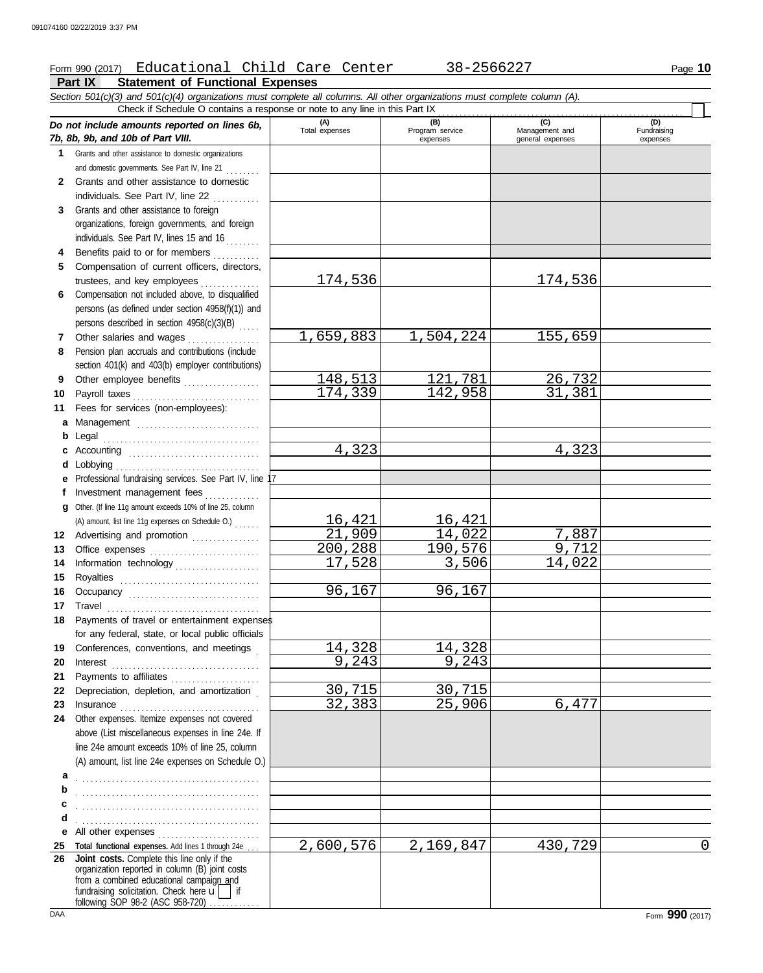# Form 990 (2017) Educational Child Care Center 38-2566227 Page 10

**Part IX Statement of Functional Expenses**

*Section 501(c)(3) and 501(c)(4) organizations must complete all columns. All other organizations must complete column (A). Do not include amounts reported on lines 6b, 7b, 8b, 9b, and 10b of Part VIII.* **1 2** Grants and other assist and domestic governme . . . . . . . . Grants and other **(A) (B) (C) (C) Total expenses Program service Management and** (B)<br>Program service<br>expenses expenses general expenses Check if Schedule O contains a response or note to any line in this Part IX

- **3** individuals. See F Grants and other as organizations, foreign individuals. See Par
- **4 5** Benefits paid to a Compensation of trustees, and key
- **6** Compensation not persons (as defined persons described
- **7 8** Other salaries an Pension plan accrua
- **9** section  $401(k)$  and Other employee
- **10 11 a b c** Payroll taxes Fees for services **Management** Legal . . . . . . . . . . . . . . . . . . . . . . . . . . . . . . . . . . . . . Accounting ....
- **d** Lobbying . . . . . . . . . . . . . . . . . . . . . . . . . . . . . . . . . . **e** Professional fundraising services. See Part IV, line 17 **f** Investment mana
- **g** Other. (If line 11g amou Advertising and a (A) amount, list line  $11g$
- **12 13** Office expenses
- **14 15** Information techn Royalties ......
- **16** Occupancy ....
- **17 18** Travel . . . . . . . . . . . . . . . . . . . . . . . . . . . . . . . . . . . . Payments of trav
- **19** for any federal, st Conferences, cor
- **20** Interest . . . . . . . . . . . . . . . . . . . . . . . . . . . . . . . . . . .
- **21** Payments to affili
- **22 23** Depreciation, dep Insurance ......
- **24** Other expenses. Itemize expenses not covered above (List miscella line 24e amount exc
- **a**  $(A)$  amount, list line . . . . . . . . . . . . . . . . . . . . . . . . . . . . . . . . . . . . . . . . . . .
- **b c d** . . . . . . . . . . . . . . . . . . . . . . . . . . . . . . . . . . . . . . . . . . . . . . . . . . . . . . . . . . . . . . . . . . . . . . . . . . . . . . . . . . . . . .

**25 Total functional expenses.** Add lines 1 through 24e . . . **26 Joint costs.** Complete this line only if the fundraising solicitation. Check here  $\mathbf{u}$  if organization reporte from a combined educational campaign and

following SOP 98-2 (ASC 958-720)

(D)<br>Fundraising expenses

|                             | Grants and other assistance to domestic organizations                                              |           |           |         |   |
|-----------------------------|----------------------------------------------------------------------------------------------------|-----------|-----------|---------|---|
|                             | and domestic governments. See Part IV, line 21                                                     |           |           |         |   |
|                             | Grants and other assistance to domestic                                                            |           |           |         |   |
|                             | individuals. See Part IV, line 22                                                                  |           |           |         |   |
|                             | Grants and other assistance to foreign                                                             |           |           |         |   |
|                             | organizations, foreign governments, and foreign                                                    |           |           |         |   |
|                             | individuals. See Part IV, lines 15 and 16                                                          |           |           |         |   |
|                             | Benefits paid to or for members                                                                    |           |           |         |   |
|                             | Compensation of current officers, directors,                                                       |           |           |         |   |
| trustees, and key employees |                                                                                                    | 174,536   |           | 174,536 |   |
|                             | Compensation not included above, to disqualified                                                   |           |           |         |   |
|                             | persons (as defined under section 4958(f)(1)) and                                                  |           |           |         |   |
|                             | persons described in section 4958(c)(3)(B)                                                         |           |           |         |   |
|                             | Other salaries and wages                                                                           | 1,659,883 | 1,504,224 | 155,659 |   |
|                             | Pension plan accruals and contributions (include                                                   |           |           |         |   |
|                             | section 401(k) and 403(b) employer contributions)                                                  |           |           |         |   |
|                             | Other employee benefits                                                                            | 148,513   | 121,781   | 26,732  |   |
|                             | Payroll taxes                                                                                      | 174,339   | 142,958   | 31,381  |   |
|                             | Fees for services (non-employees):                                                                 |           |           |         |   |
|                             | a Management                                                                                       |           |           |         |   |
| <b>b</b> Legal              |                                                                                                    |           |           |         |   |
|                             |                                                                                                    | 4,323     |           | 4,323   |   |
| <b>d</b> Lobbying           |                                                                                                    |           |           |         |   |
|                             | e Professional fundraising services. See Part IV, line 17                                          |           |           |         |   |
|                             | f Investment management fees                                                                       |           |           |         |   |
|                             | g Other. (If line 11g amount exceeds 10% of line 25, column                                        |           |           |         |   |
|                             | (A) amount, list line 11g expenses on Schedule O.)                                                 | 16,421    | 16,421    |         |   |
|                             | Advertising and promotion                                                                          | 21,909    | 14,022    | 7,887   |   |
|                             |                                                                                                    | 200,288   | 190,576   | 9,712   |   |
|                             | Information technology                                                                             | 17,528    | 3,506     | 14,022  |   |
|                             |                                                                                                    |           |           |         |   |
|                             |                                                                                                    | 96,167    | 96,167    |         |   |
|                             | Occupancy                                                                                          |           |           |         |   |
|                             | Payments of travel or entertainment expenses                                                       |           |           |         |   |
|                             | for any federal, state, or local public officials                                                  |           |           |         |   |
|                             | Conferences, conventions, and meetings                                                             | 14,328    | 14,328    |         |   |
|                             |                                                                                                    | 9,243     | 9,243     |         |   |
|                             | $Interest$                                                                                         |           |           |         |   |
| Payments to affiliates      | Depreciation, depletion, and amortization                                                          | 30,715    | 30,715    |         |   |
|                             |                                                                                                    | 32,383    | 25,906    | 6,477   |   |
|                             | Insurance<br>Other expenses. Itemize expenses not covered                                          |           |           |         |   |
|                             | above (List miscellaneous expenses in line 24e. If                                                 |           |           |         |   |
|                             | line 24e amount exceeds 10% of line 25, column                                                     |           |           |         |   |
|                             | (A) amount, list line 24e expenses on Schedule O.)                                                 |           |           |         |   |
|                             |                                                                                                    |           |           |         |   |
| а                           |                                                                                                    |           |           |         |   |
|                             |                                                                                                    |           |           |         |   |
|                             |                                                                                                    |           |           |         |   |
| d                           |                                                                                                    |           |           |         |   |
|                             | e All other expenses                                                                               |           |           |         |   |
|                             | Total functional expenses. Add lines 1 through 24e.<br>Joint costs. Complete this line only if the | 2,600,576 | 2,169,847 | 430,729 | 0 |
|                             | organization reported in column (B) joint costs                                                    |           |           |         |   |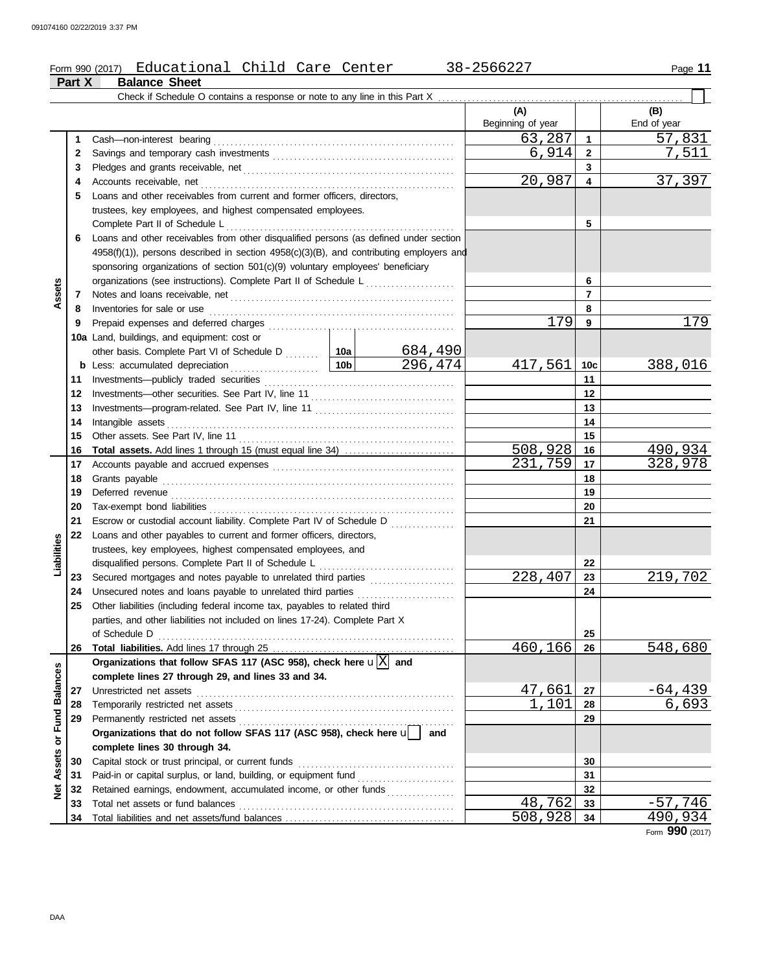#### Form 990 (2017) Page **11** Educational Child Care Center 38-2566227

|                  | Part X | <b>Balance Sheet</b>                                                                                                                                                                                                                 |                 |                |                          |                 |                    |
|------------------|--------|--------------------------------------------------------------------------------------------------------------------------------------------------------------------------------------------------------------------------------------|-----------------|----------------|--------------------------|-----------------|--------------------|
|                  |        | Check if Schedule O contains a response or note to any line in this Part X.                                                                                                                                                          |                 |                |                          |                 |                    |
|                  |        |                                                                                                                                                                                                                                      |                 |                | (A)<br>Beginning of year |                 | (B)<br>End of year |
|                  | 1      | Cash-non-interest bearing                                                                                                                                                                                                            |                 |                | 63,287                   | 1               | 57,831             |
|                  | 2      |                                                                                                                                                                                                                                      |                 |                | 6,914                    | $\mathbf{2}$    | 7,511              |
|                  | 3      |                                                                                                                                                                                                                                      |                 |                |                          | 3               |                    |
|                  | 4      | Accounts receivable, net                                                                                                                                                                                                             |                 |                | 20,987                   | 4               | 37,397             |
|                  | 5      | Loans and other receivables from current and former officers, directors,                                                                                                                                                             |                 |                |                          |                 |                    |
|                  |        | trustees, key employees, and highest compensated employees.                                                                                                                                                                          |                 |                |                          |                 |                    |
|                  |        | Complete Part II of Schedule L                                                                                                                                                                                                       |                 |                |                          | 5               |                    |
|                  | 6      | Loans and other receivables from other disqualified persons (as defined under section                                                                                                                                                |                 |                |                          |                 |                    |
|                  |        | $4958(f)(1)$ , persons described in section $4958(c)(3)(B)$ , and contributing employers and                                                                                                                                         |                 |                |                          |                 |                    |
|                  |        | sponsoring organizations of section 501(c)(9) voluntary employees' beneficiary                                                                                                                                                       |                 |                |                          |                 |                    |
|                  |        | organizations (see instructions). Complete Part II of Schedule L                                                                                                                                                                     |                 |                |                          | 6               |                    |
| Assets           | 7      | Notes and loans receivable, net <b>consider the constant of the constant of the constant of the constant of the constant of the constant of the constant of the constant of the constant of the constant of the constant of the </b> |                 |                |                          | $\overline{7}$  |                    |
|                  | 8      | Inventories for sale or use                                                                                                                                                                                                          |                 |                |                          | 8               |                    |
|                  | 9      |                                                                                                                                                                                                                                      |                 |                | 179                      | 9               | 179                |
|                  |        | 10a Land, buildings, and equipment: cost or                                                                                                                                                                                          |                 |                |                          |                 |                    |
|                  |        | other basis. Complete Part VI of Schedule D  10a                                                                                                                                                                                     |                 | <u>684,490</u> |                          |                 |                    |
|                  | b      | Less: accumulated depreciation<br>.                                                                                                                                                                                                  | 10 <sub>b</sub> | 296,474        | 417,561                  | 10 <sub>c</sub> | 388,016            |
|                  | 11     |                                                                                                                                                                                                                                      |                 |                |                          | 11              |                    |
|                  | 12     |                                                                                                                                                                                                                                      |                 | 12             |                          |                 |                    |
|                  | 13     |                                                                                                                                                                                                                                      |                 |                |                          | 13              |                    |
|                  | 14     | Intangible assets                                                                                                                                                                                                                    |                 | 14             |                          |                 |                    |
|                  | 15     |                                                                                                                                                                                                                                      |                 |                |                          | 15              |                    |
|                  | 16     |                                                                                                                                                                                                                                      |                 |                | 508,928                  | 16              | 490,934            |
|                  | 17     |                                                                                                                                                                                                                                      |                 |                | 231,759                  | 17              | 328,978            |
|                  | 18     | Grants payable                                                                                                                                                                                                                       |                 |                |                          | 18              |                    |
|                  | 19     |                                                                                                                                                                                                                                      |                 |                |                          | 19              |                    |
|                  | 20     |                                                                                                                                                                                                                                      |                 | 20             |                          |                 |                    |
|                  | 21     | Escrow or custodial account liability. Complete Part IV of Schedule D                                                                                                                                                                |                 |                |                          | 21              |                    |
|                  | 22     | Loans and other payables to current and former officers, directors,                                                                                                                                                                  |                 |                |                          |                 |                    |
| Liabilities      |        | trustees, key employees, highest compensated employees, and                                                                                                                                                                          |                 |                |                          |                 |                    |
|                  |        | disqualified persons. Complete Part II of Schedule L                                                                                                                                                                                 |                 |                |                          | 22              |                    |
|                  | 23     |                                                                                                                                                                                                                                      |                 |                | 228,407                  | 23              | 219,702            |
|                  | 24     | Unsecured notes and loans payable to unrelated third parties [11] [11] Unsecured notes and loans payable to unrelated third parties [11] [11] Unsecured notes and loans                                                              |                 |                |                          | 24              |                    |
|                  | 25     | Other liabilities (including federal income tax, payables to related third                                                                                                                                                           |                 |                |                          |                 |                    |
|                  |        | parties, and other liabilities not included on lines 17-24). Complete Part X                                                                                                                                                         |                 |                |                          |                 |                    |
|                  |        |                                                                                                                                                                                                                                      |                 |                | 460,166                  | 25              |                    |
|                  | 26     | Organizations that follow SFAS 117 (ASC 958), check here $\mathbf{u}[\overline{X}]$ and                                                                                                                                              |                 |                |                          | 26              | 548,680            |
| or Fund Balances |        | complete lines 27 through 29, and lines 33 and 34.                                                                                                                                                                                   |                 |                |                          |                 |                    |
|                  | 27     |                                                                                                                                                                                                                                      |                 |                | 47,661                   | 27              | <u>–64,439 </u>    |
|                  | 28     |                                                                                                                                                                                                                                      |                 |                | 1,101                    | 28              | 6,693              |
|                  | 29     |                                                                                                                                                                                                                                      |                 |                |                          | 29              |                    |
|                  |        | Permanently restricted net assets<br>Organizations that do not follow SFAS 117 (ASC 958), check here under                                                                                                                           |                 |                |                          |                 |                    |
|                  |        | complete lines 30 through 34.                                                                                                                                                                                                        |                 |                |                          |                 |                    |
| Assets           | 30     |                                                                                                                                                                                                                                      |                 |                |                          | 30              |                    |
|                  | 31     |                                                                                                                                                                                                                                      |                 |                |                          | 31              |                    |
| <b>Net</b>       | 32     | Retained earnings, endowment, accumulated income, or other funds                                                                                                                                                                     |                 |                |                          | 32              |                    |
|                  | 33     |                                                                                                                                                                                                                                      |                 |                | 48,762                   | 33              | $-57,746$          |
|                  | 34     |                                                                                                                                                                                                                                      |                 |                | 508,928                  | 34              | 490,934            |

Form **990** (2017)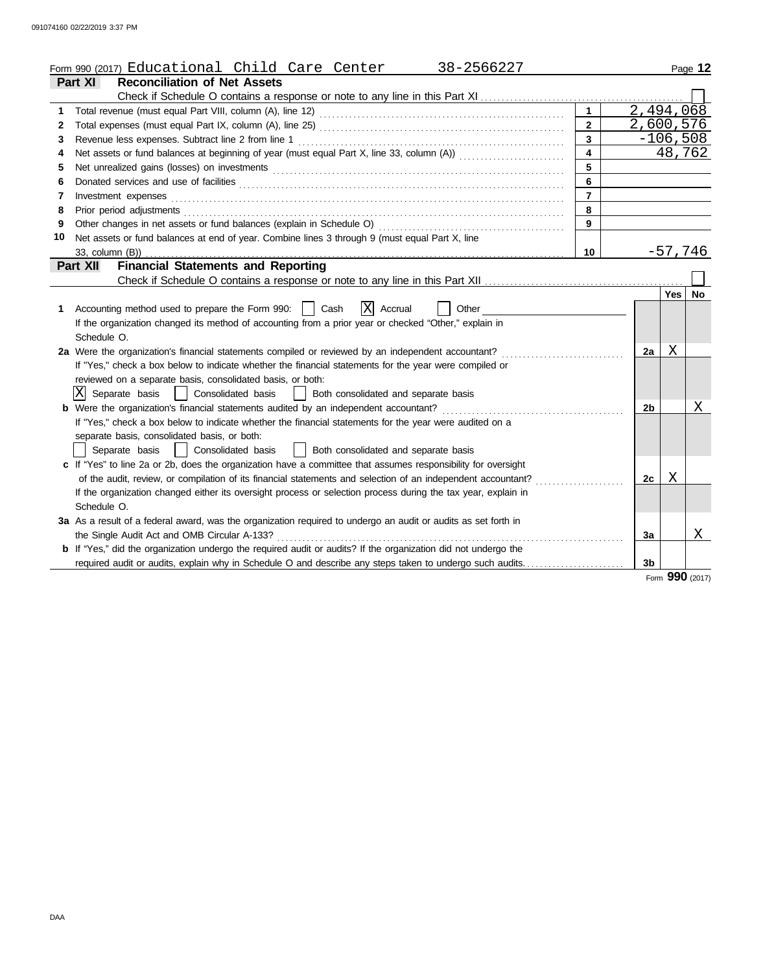|    | Form 990 (2017) Educational Child Care Center<br>38-2566227                                                                                                                                                                    |                |                        |          | Page 12         |
|----|--------------------------------------------------------------------------------------------------------------------------------------------------------------------------------------------------------------------------------|----------------|------------------------|----------|-----------------|
|    | <b>Reconciliation of Net Assets</b><br><b>Part XI</b>                                                                                                                                                                          |                |                        |          |                 |
|    |                                                                                                                                                                                                                                |                |                        |          |                 |
| 1  |                                                                                                                                                                                                                                |                | $\overline{2,494,068}$ |          |                 |
| 2  |                                                                                                                                                                                                                                | $\mathbf{2}$   | 2,600,576              |          |                 |
| 3  | Revenue less expenses. Subtract line 2 from line 1                                                                                                                                                                             | $\mathbf{3}$   |                        |          | $-106,508$      |
| 4  | Net assets or fund balances at beginning of year (must equal Part X, line 33, column (A)) contains that contains the                                                                                                           | 4              |                        |          | 48,762          |
| 5  | Net unrealized gains (losses) on investments [11] match and the contract of the state of the state of the state of the state of the state of the state of the state of the state of the state of the state of the state of the | 5              |                        |          |                 |
| 6  |                                                                                                                                                                                                                                | 6              |                        |          |                 |
| 7  | Investment expenses                                                                                                                                                                                                            | $\overline{7}$ |                        |          |                 |
| 8  | Prior period adjustments                                                                                                                                                                                                       | 8              |                        |          |                 |
| 9  | Other changes in net assets or fund balances (explain in Schedule O)                                                                                                                                                           | 9              |                        |          |                 |
| 10 | Net assets or fund balances at end of year. Combine lines 3 through 9 (must equal Part X, line                                                                                                                                 |                |                        |          |                 |
|    | 33, column (B))                                                                                                                                                                                                                | 10             |                        |          | $-57,746$       |
|    | <b>Financial Statements and Reporting</b><br>Part XII                                                                                                                                                                          |                |                        |          |                 |
|    |                                                                                                                                                                                                                                |                |                        |          |                 |
|    |                                                                                                                                                                                                                                |                |                        | Yes   No |                 |
| 1. | X Accrual<br>Accounting method used to prepare the Form 990:    <br>Cash<br>Other                                                                                                                                              |                |                        |          |                 |
|    | If the organization changed its method of accounting from a prior year or checked "Other," explain in                                                                                                                          |                |                        |          |                 |
|    | Schedule O.                                                                                                                                                                                                                    |                |                        |          |                 |
|    | 2a Were the organization's financial statements compiled or reviewed by an independent accountant?                                                                                                                             |                | 2a                     | Χ        |                 |
|    | If "Yes," check a box below to indicate whether the financial statements for the year were compiled or                                                                                                                         |                |                        |          |                 |
|    | reviewed on a separate basis, consolidated basis, or both:                                                                                                                                                                     |                |                        |          |                 |
|    | ΙXΙ<br>  Consolidated basis<br>Separate basis<br>  Both consolidated and separate basis                                                                                                                                        |                |                        |          |                 |
|    | <b>b</b> Were the organization's financial statements audited by an independent accountant?                                                                                                                                    |                | 2 <sub>b</sub>         |          | X               |
|    | If "Yes," check a box below to indicate whether the financial statements for the year were audited on a                                                                                                                        |                |                        |          |                 |
|    | separate basis, consolidated basis, or both:                                                                                                                                                                                   |                |                        |          |                 |
|    | Both consolidated and separate basis<br>Separate basis<br>Consolidated basis                                                                                                                                                   |                |                        |          |                 |
|    | c If "Yes" to line 2a or 2b, does the organization have a committee that assumes responsibility for oversight                                                                                                                  |                |                        |          |                 |
|    | of the audit, review, or compilation of its financial statements and selection of an independent accountant?                                                                                                                   |                | 2c                     | X        |                 |
|    | If the organization changed either its oversight process or selection process during the tax year, explain in                                                                                                                  |                |                        |          |                 |
|    | Schedule O.                                                                                                                                                                                                                    |                |                        |          |                 |
|    | 3a As a result of a federal award, was the organization required to undergo an audit or audits as set forth in                                                                                                                 |                |                        |          |                 |
|    | the Single Audit Act and OMB Circular A-133?                                                                                                                                                                                   |                | 3a                     |          | Χ               |
|    | <b>b</b> If "Yes," did the organization undergo the required audit or audits? If the organization did not undergo the                                                                                                          |                |                        |          |                 |
|    | required audit or audits, explain why in Schedule O and describe any steps taken to undergo such audits                                                                                                                        |                | 3 <sub>b</sub>         |          |                 |
|    |                                                                                                                                                                                                                                |                |                        |          | Form 990 (2017) |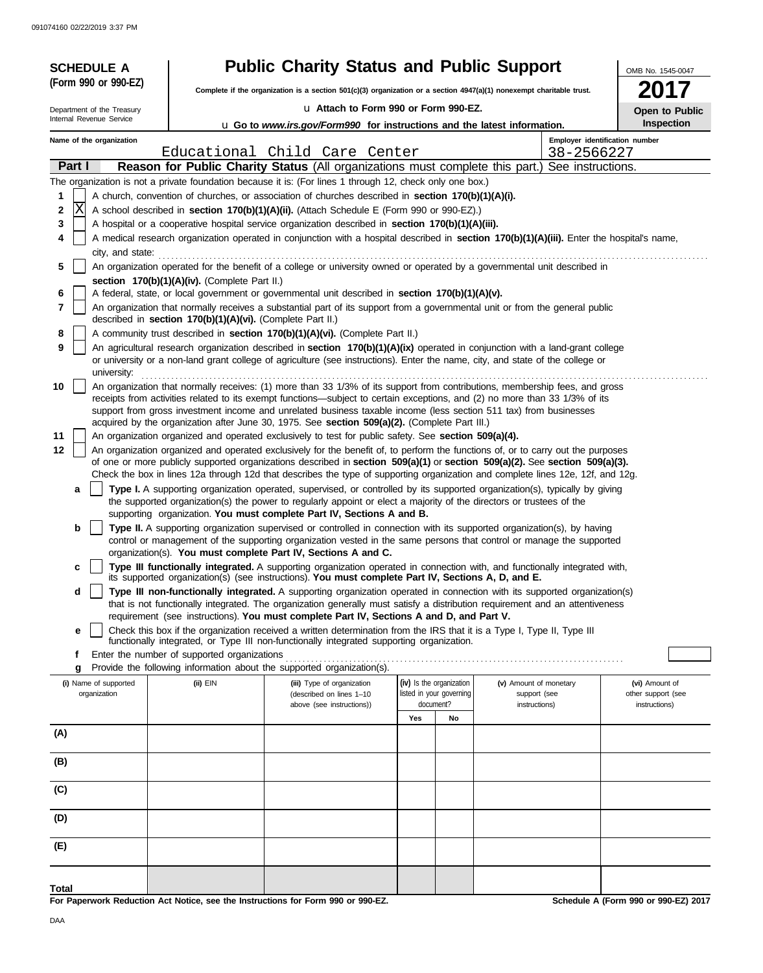| <b>SCHEDULE A</b> |                                                                                                                                               |                                                            | <b>Public Charity Status and Public Support</b>                                                                                                                                                                                                                 |                          |                        |            | OMB No. 1545-0047                    |  |  |  |  |
|-------------------|-----------------------------------------------------------------------------------------------------------------------------------------------|------------------------------------------------------------|-----------------------------------------------------------------------------------------------------------------------------------------------------------------------------------------------------------------------------------------------------------------|--------------------------|------------------------|------------|--------------------------------------|--|--|--|--|
|                   | (Form 990 or 990-EZ)                                                                                                                          |                                                            | Complete if the organization is a section $501(c)(3)$ organization or a section $4947(a)(1)$ nonexempt charitable trust.                                                                                                                                        |                          |                        |            |                                      |  |  |  |  |
|                   | Department of the Treasury                                                                                                                    |                                                            | u Attach to Form 990 or Form 990-EZ.                                                                                                                                                                                                                            |                          |                        |            | Open to Public                       |  |  |  |  |
|                   | Internal Revenue Service                                                                                                                      |                                                            | u Go to www.irs.gov/Form990 for instructions and the latest information.                                                                                                                                                                                        |                          |                        |            | Inspection                           |  |  |  |  |
|                   | Name of the organization                                                                                                                      |                                                            |                                                                                                                                                                                                                                                                 |                          |                        |            | Employer identification number       |  |  |  |  |
|                   |                                                                                                                                               |                                                            | Educational Child Care Center                                                                                                                                                                                                                                   |                          |                        | 38-2566227 |                                      |  |  |  |  |
|                   | Part I                                                                                                                                        |                                                            | Reason for Public Charity Status (All organizations must complete this part.) See instructions.<br>The organization is not a private foundation because it is: (For lines 1 through 12, check only one box.)                                                    |                          |                        |            |                                      |  |  |  |  |
| 1                 |                                                                                                                                               |                                                            | A church, convention of churches, or association of churches described in section 170(b)(1)(A)(i).                                                                                                                                                              |                          |                        |            |                                      |  |  |  |  |
| 2                 | lΧ                                                                                                                                            |                                                            | A school described in <b>section 170(b)(1)(A)(ii).</b> (Attach Schedule E (Form 990 or 990-EZ).)                                                                                                                                                                |                          |                        |            |                                      |  |  |  |  |
| 3                 |                                                                                                                                               |                                                            | A hospital or a cooperative hospital service organization described in section 170(b)(1)(A)(iii).                                                                                                                                                               |                          |                        |            |                                      |  |  |  |  |
| 4                 |                                                                                                                                               |                                                            | A medical research organization operated in conjunction with a hospital described in section 170(b)(1)(A)(iii). Enter the hospital's name,                                                                                                                      |                          |                        |            |                                      |  |  |  |  |
| 5                 | city, and state:<br>An organization operated for the benefit of a college or university owned or operated by a governmental unit described in |                                                            |                                                                                                                                                                                                                                                                 |                          |                        |            |                                      |  |  |  |  |
|                   | section 170(b)(1)(A)(iv). (Complete Part II.)                                                                                                 |                                                            |                                                                                                                                                                                                                                                                 |                          |                        |            |                                      |  |  |  |  |
| 6                 |                                                                                                                                               |                                                            | A federal, state, or local government or governmental unit described in section 170(b)(1)(A)(v).                                                                                                                                                                |                          |                        |            |                                      |  |  |  |  |
| 7                 |                                                                                                                                               | described in section 170(b)(1)(A)(vi). (Complete Part II.) | An organization that normally receives a substantial part of its support from a governmental unit or from the general public                                                                                                                                    |                          |                        |            |                                      |  |  |  |  |
| 8                 |                                                                                                                                               |                                                            | A community trust described in section 170(b)(1)(A)(vi). (Complete Part II.)                                                                                                                                                                                    |                          |                        |            |                                      |  |  |  |  |
| 9                 |                                                                                                                                               |                                                            | An agricultural research organization described in section 170(b)(1)(A)(ix) operated in conjunction with a land-grant college                                                                                                                                   |                          |                        |            |                                      |  |  |  |  |
|                   | university:                                                                                                                                   |                                                            | or university or a non-land grant college of agriculture (see instructions). Enter the name, city, and state of the college or                                                                                                                                  |                          |                        |            |                                      |  |  |  |  |
| 10                |                                                                                                                                               |                                                            | An organization that normally receives: (1) more than 33 1/3% of its support from contributions, membership fees, and gross                                                                                                                                     |                          |                        |            |                                      |  |  |  |  |
|                   |                                                                                                                                               |                                                            | receipts from activities related to its exempt functions—subject to certain exceptions, and (2) no more than 33 1/3% of its<br>support from gross investment income and unrelated business taxable income (less section 511 tax) from businesses                |                          |                        |            |                                      |  |  |  |  |
|                   |                                                                                                                                               |                                                            | acquired by the organization after June 30, 1975. See section 509(a)(2). (Complete Part III.)                                                                                                                                                                   |                          |                        |            |                                      |  |  |  |  |
| 11<br>12          |                                                                                                                                               |                                                            | An organization organized and operated exclusively to test for public safety. See section 509(a)(4).                                                                                                                                                            |                          |                        |            |                                      |  |  |  |  |
|                   |                                                                                                                                               |                                                            | An organization organized and operated exclusively for the benefit of, to perform the functions of, or to carry out the purposes<br>of one or more publicly supported organizations described in section 509(a)(1) or section 509(a)(2). See section 509(a)(3). |                          |                        |            |                                      |  |  |  |  |
|                   |                                                                                                                                               |                                                            | Check the box in lines 12a through 12d that describes the type of supporting organization and complete lines 12e, 12f, and 12g.                                                                                                                                 |                          |                        |            |                                      |  |  |  |  |
|                   | a                                                                                                                                             |                                                            | Type I. A supporting organization operated, supervised, or controlled by its supported organization(s), typically by giving<br>the supported organization(s) the power to regularly appoint or elect a majority of the directors or trustees of the             |                          |                        |            |                                      |  |  |  |  |
|                   |                                                                                                                                               |                                                            | supporting organization. You must complete Part IV, Sections A and B.                                                                                                                                                                                           |                          |                        |            |                                      |  |  |  |  |
|                   | b                                                                                                                                             |                                                            | Type II. A supporting organization supervised or controlled in connection with its supported organization(s), by having                                                                                                                                         |                          |                        |            |                                      |  |  |  |  |
|                   |                                                                                                                                               |                                                            | control or management of the supporting organization vested in the same persons that control or manage the supported<br>organization(s). You must complete Part IV, Sections A and C.                                                                           |                          |                        |            |                                      |  |  |  |  |
|                   | c                                                                                                                                             |                                                            | Type III functionally integrated. A supporting organization operated in connection with, and functionally integrated with,                                                                                                                                      |                          |                        |            |                                      |  |  |  |  |
|                   | d                                                                                                                                             |                                                            | its supported organization(s) (see instructions). You must complete Part IV, Sections A, D, and E.<br>Type III non-functionally integrated. A supporting organization operated in connection with its supported organization(s)                                 |                          |                        |            |                                      |  |  |  |  |
|                   |                                                                                                                                               |                                                            | that is not functionally integrated. The organization generally must satisfy a distribution requirement and an attentiveness                                                                                                                                    |                          |                        |            |                                      |  |  |  |  |
|                   | e                                                                                                                                             |                                                            | requirement (see instructions). You must complete Part IV, Sections A and D, and Part V.<br>Check this box if the organization received a written determination from the IRS that it is a Type I, Type II, Type III                                             |                          |                        |            |                                      |  |  |  |  |
|                   |                                                                                                                                               |                                                            | functionally integrated, or Type III non-functionally integrated supporting organization.                                                                                                                                                                       |                          |                        |            |                                      |  |  |  |  |
|                   | f                                                                                                                                             | Enter the number of supported organizations                |                                                                                                                                                                                                                                                                 |                          |                        |            |                                      |  |  |  |  |
|                   | g<br>(i) Name of supported                                                                                                                    | $(ii)$ EIN                                                 | Provide the following information about the supported organization(s).<br>(iii) Type of organization                                                                                                                                                            | (iv) Is the organization | (v) Amount of monetary |            | (vi) Amount of                       |  |  |  |  |
|                   | organization                                                                                                                                  |                                                            | (described on lines 1-10                                                                                                                                                                                                                                        | listed in your governing | support (see           |            | other support (see                   |  |  |  |  |
|                   |                                                                                                                                               |                                                            | above (see instructions))                                                                                                                                                                                                                                       | document?<br>Yes<br>No   | instructions)          |            | instructions)                        |  |  |  |  |
| (A)               |                                                                                                                                               |                                                            |                                                                                                                                                                                                                                                                 |                          |                        |            |                                      |  |  |  |  |
|                   |                                                                                                                                               |                                                            |                                                                                                                                                                                                                                                                 |                          |                        |            |                                      |  |  |  |  |
| (B)               |                                                                                                                                               |                                                            |                                                                                                                                                                                                                                                                 |                          |                        |            |                                      |  |  |  |  |
| (C)               |                                                                                                                                               |                                                            |                                                                                                                                                                                                                                                                 |                          |                        |            |                                      |  |  |  |  |
|                   |                                                                                                                                               |                                                            |                                                                                                                                                                                                                                                                 |                          |                        |            |                                      |  |  |  |  |
| (D)               |                                                                                                                                               |                                                            |                                                                                                                                                                                                                                                                 |                          |                        |            |                                      |  |  |  |  |
| (E)               |                                                                                                                                               |                                                            |                                                                                                                                                                                                                                                                 |                          |                        |            |                                      |  |  |  |  |
|                   |                                                                                                                                               |                                                            |                                                                                                                                                                                                                                                                 |                          |                        |            |                                      |  |  |  |  |
| Total             |                                                                                                                                               |                                                            |                                                                                                                                                                                                                                                                 |                          |                        |            |                                      |  |  |  |  |
|                   |                                                                                                                                               |                                                            | For Paperwork Reduction Act Notice, see the Instructions for Form 990 or 990-EZ.                                                                                                                                                                                |                          |                        |            | Schedule A (Form 990 or 990-EZ) 2017 |  |  |  |  |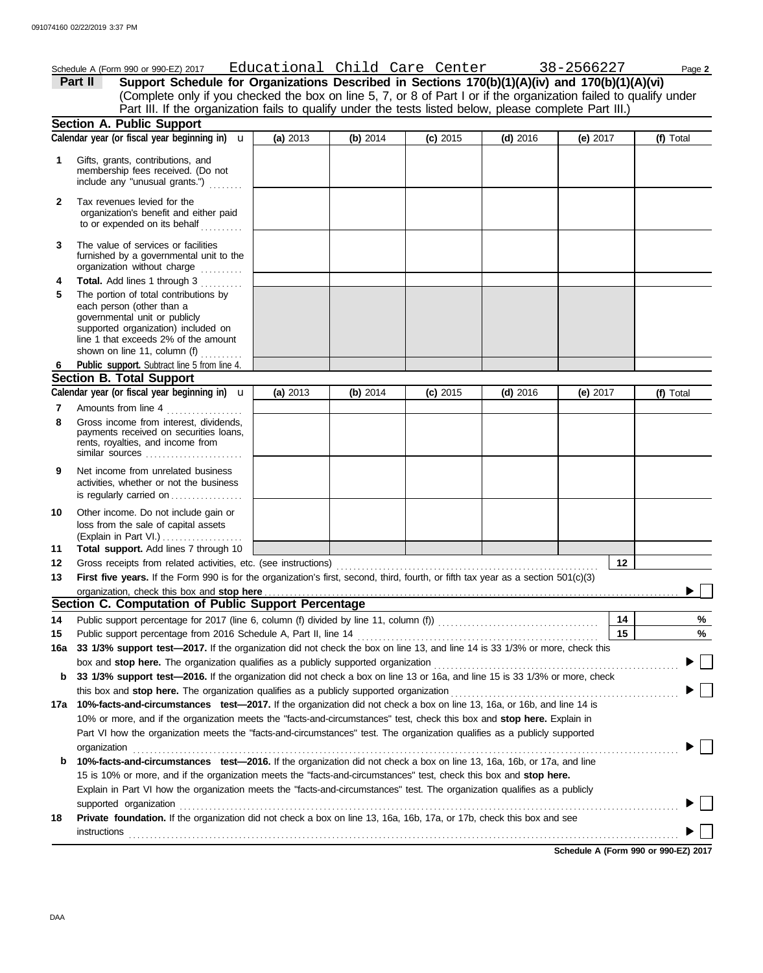|              | Schedule A (Form 990 or 990-EZ) 2017<br>Support Schedule for Organizations Described in Sections 170(b)(1)(A)(iv) and 170(b)(1)(A)(vi)<br>Part II                                                                           |          |          | Educ <u>ational Child Care Center</u> |            | 38-2566227 |    | Page 2    |
|--------------|-----------------------------------------------------------------------------------------------------------------------------------------------------------------------------------------------------------------------------|----------|----------|---------------------------------------|------------|------------|----|-----------|
|              | (Complete only if you checked the box on line 5, 7, or 8 of Part I or if the organization failed to qualify under                                                                                                           |          |          |                                       |            |            |    |           |
|              | Part III. If the organization fails to qualify under the tests listed below, please complete Part III.)                                                                                                                     |          |          |                                       |            |            |    |           |
|              | <b>Section A. Public Support</b>                                                                                                                                                                                            |          |          |                                       |            |            |    |           |
|              | Calendar year (or fiscal year beginning in) $\mathbf u$                                                                                                                                                                     | (a) 2013 | (b) 2014 | $(c)$ 2015                            | $(d)$ 2016 | (e) $2017$ |    | (f) Total |
| 1            | Gifts, grants, contributions, and<br>membership fees received. (Do not<br>include any "unusual grants.")                                                                                                                    |          |          |                                       |            |            |    |           |
| $\mathbf{2}$ | Tax revenues levied for the<br>organization's benefit and either paid<br>to or expended on its behalf<br>.                                                                                                                  |          |          |                                       |            |            |    |           |
| 3            | The value of services or facilities<br>furnished by a governmental unit to the<br>organization without charge<br>.                                                                                                          |          |          |                                       |            |            |    |           |
| 4            | Total. Add lines 1 through 3                                                                                                                                                                                                |          |          |                                       |            |            |    |           |
| 5            | The portion of total contributions by<br>each person (other than a<br>governmental unit or publicly<br>supported organization) included on<br>line 1 that exceeds 2% of the amount<br>shown on line 11, column (f) $\ldots$ |          |          |                                       |            |            |    |           |
| 6            | Public support. Subtract line 5 from line 4.                                                                                                                                                                                |          |          |                                       |            |            |    |           |
|              | <b>Section B. Total Support</b>                                                                                                                                                                                             |          |          |                                       |            |            |    |           |
|              | Calendar year (or fiscal year beginning in) $\mathbf u$                                                                                                                                                                     | (a) 2013 | (b) 2014 | $(c)$ 2015                            | $(d)$ 2016 | (e) $2017$ |    | (f) Total |
| 7<br>8       | Amounts from line 4<br>Gross income from interest, dividends,<br>payments received on securities loans,<br>rents, royalties, and income from                                                                                |          |          |                                       |            |            |    |           |
| 9            | similar sources $\ldots, \ldots, \ldots, \ldots, \ldots$<br>Net income from unrelated business                                                                                                                              |          |          |                                       |            |            |    |           |
|              | activities, whether or not the business<br>is regularly carried on                                                                                                                                                          |          |          |                                       |            |            |    |           |
| 10           | Other income. Do not include gain or<br>loss from the sale of capital assets<br>(Explain in Part VI.)<br>Total support. Add lines 7 through 10                                                                              |          |          |                                       |            |            |    |           |
| 11           |                                                                                                                                                                                                                             |          |          |                                       |            |            | 12 |           |
| 12<br>13     | First five years. If the Form 990 is for the organization's first, second, third, fourth, or fifth tax year as a section 501(c)(3)                                                                                          |          |          |                                       |            |            |    |           |
|              |                                                                                                                                                                                                                             |          |          |                                       |            |            |    |           |
|              | Section C. Computation of Public Support Percentage                                                                                                                                                                         |          |          |                                       |            |            |    |           |
| 14           |                                                                                                                                                                                                                             |          |          |                                       |            |            | 14 | %         |
| 15           | Public support percentage from 2016 Schedule A, Part II, line 14                                                                                                                                                            |          |          |                                       |            |            | 15 | %         |
| 16a          | 33 1/3% support test-2017. If the organization did not check the box on line 13, and line 14 is 33 1/3% or more, check this                                                                                                 |          |          |                                       |            |            |    |           |
|              |                                                                                                                                                                                                                             |          |          |                                       |            |            |    |           |
| b            | 33 1/3% support test-2016. If the organization did not check a box on line 13 or 16a, and line 15 is 33 1/3% or more, check                                                                                                 |          |          |                                       |            |            |    |           |
|              |                                                                                                                                                                                                                             |          |          |                                       |            |            |    |           |
|              | 17a 10%-facts-and-circumstances test-2017. If the organization did not check a box on line 13, 16a, or 16b, and line 14 is                                                                                                  |          |          |                                       |            |            |    |           |
|              | 10% or more, and if the organization meets the "facts-and-circumstances" test, check this box and stop here. Explain in                                                                                                     |          |          |                                       |            |            |    |           |
|              | Part VI how the organization meets the "facts-and-circumstances" test. The organization qualifies as a publicly supported                                                                                                   |          |          |                                       |            |            |    |           |
|              | organization                                                                                                                                                                                                                |          |          |                                       |            |            |    |           |
| b            | 10%-facts-and-circumstances test-2016. If the organization did not check a box on line 13, 16a, 16b, or 17a, and line                                                                                                       |          |          |                                       |            |            |    |           |
|              | 15 is 10% or more, and if the organization meets the "facts-and-circumstances" test, check this box and stop here.                                                                                                          |          |          |                                       |            |            |    |           |
|              | Explain in Part VI how the organization meets the "facts-and-circumstances" test. The organization qualifies as a publicly                                                                                                  |          |          |                                       |            |            |    |           |
|              | supported organization contains and contains a supported organization contains a supported organization                                                                                                                     |          |          |                                       |            |            |    |           |
| 18           | <b>Private foundation.</b> If the organization did not check a box on line 13, 16a, 16b, 17a, or 17b, check this box and see<br><b>instructions</b>                                                                         |          |          |                                       |            |            |    |           |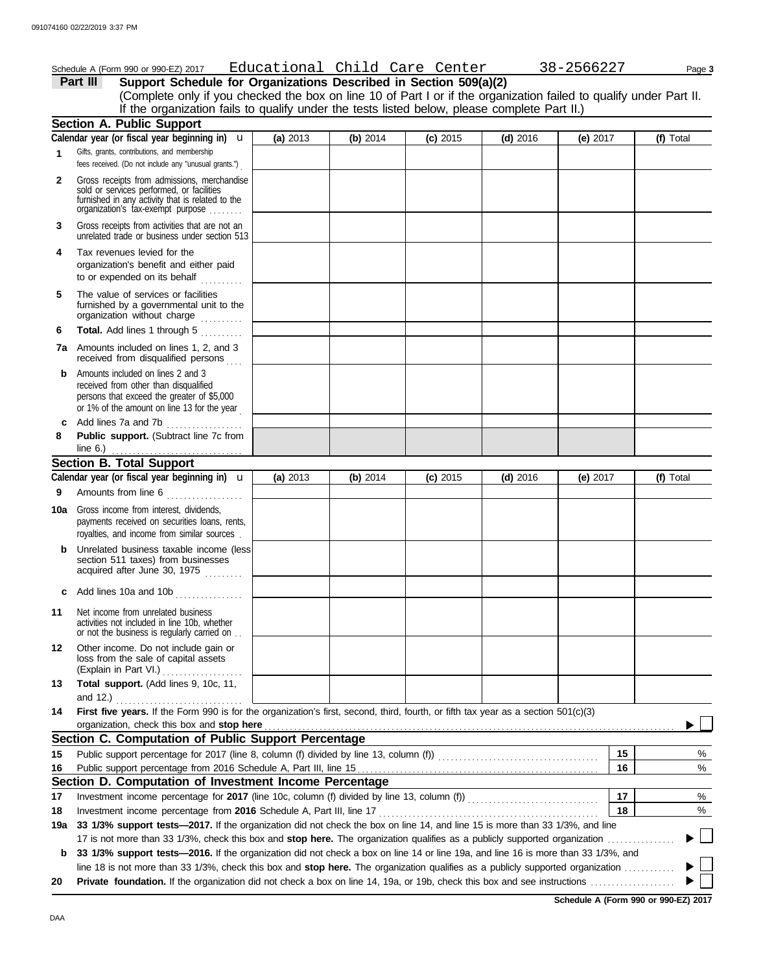|     | Schedule A (Form 990 or 990-EZ) 2017                                                                                                                                                                                                                            |          |            | Educational Child Care Center |            | 38-2566227 | Page 3    |
|-----|-----------------------------------------------------------------------------------------------------------------------------------------------------------------------------------------------------------------------------------------------------------------|----------|------------|-------------------------------|------------|------------|-----------|
|     | Support Schedule for Organizations Described in Section 509(a)(2)<br>Part III                                                                                                                                                                                   |          |            |                               |            |            |           |
|     | (Complete only if you checked the box on line 10 of Part I or if the organization failed to qualify under Part II.                                                                                                                                              |          |            |                               |            |            |           |
|     | If the organization fails to qualify under the tests listed below, please complete Part II.)                                                                                                                                                                    |          |            |                               |            |            |           |
|     | <b>Section A. Public Support</b>                                                                                                                                                                                                                                |          |            |                               |            |            |           |
|     | Calendar year (or fiscal year beginning in) $\mathbf u$                                                                                                                                                                                                         | (a) 2013 | (b) $2014$ | $(c)$ 2015                    | $(d)$ 2016 | (e) $2017$ | (f) Total |
| 1   | Gifts, grants, contributions, and membership                                                                                                                                                                                                                    |          |            |                               |            |            |           |
|     | fees received. (Do not include any "unusual grants.")                                                                                                                                                                                                           |          |            |                               |            |            |           |
| 2   | Gross receipts from admissions, merchandise<br>sold or services performed, or facilities                                                                                                                                                                        |          |            |                               |            |            |           |
|     | furnished in any activity that is related to the<br>organization's tax-exempt purpose                                                                                                                                                                           |          |            |                               |            |            |           |
| 3   | Gross receipts from activities that are not an<br>unrelated trade or business under section 513                                                                                                                                                                 |          |            |                               |            |            |           |
| 4   | Tax revenues levied for the<br>organization's benefit and either paid<br>to or expended on its behalf<br>in State                                                                                                                                               |          |            |                               |            |            |           |
| 5   | The value of services or facilities<br>furnished by a governmental unit to the<br>organization without charge                                                                                                                                                   |          |            |                               |            |            |           |
| 6   | Total. Add lines 1 through 5<br>in de la calactera.<br>Constitución                                                                                                                                                                                             |          |            |                               |            |            |           |
|     | <b>7a</b> Amounts included on lines 1, 2, and 3<br>received from disqualified persons                                                                                                                                                                           |          |            |                               |            |            |           |
| b   | Amounts included on lines 2 and 3                                                                                                                                                                                                                               |          |            |                               |            |            |           |
|     | received from other than disqualified<br>persons that exceed the greater of \$5,000                                                                                                                                                                             |          |            |                               |            |            |           |
|     | or 1% of the amount on line 13 for the year                                                                                                                                                                                                                     |          |            |                               |            |            |           |
|     | Add lines 7a and 7b                                                                                                                                                                                                                                             |          |            |                               |            |            |           |
| 8   | Public support. (Subtract line 7c from<br>line $6.$ )                                                                                                                                                                                                           |          |            |                               |            |            |           |
|     | <b>Section B. Total Support</b>                                                                                                                                                                                                                                 |          |            |                               |            |            |           |
|     | Calendar year (or fiscal year beginning in) $\mathbf u$                                                                                                                                                                                                         |          |            |                               |            |            |           |
|     |                                                                                                                                                                                                                                                                 | (a) 2013 | (b) 2014   | $(c)$ 2015                    | $(d)$ 2016 | (e) $2017$ | (f) Total |
| 9   | Amounts from line 6                                                                                                                                                                                                                                             |          |            |                               |            |            |           |
|     | <b>10a</b> Gross income from interest, dividends,<br>payments received on securities loans, rents,<br>royalties, and income from similar sources.                                                                                                               |          |            |                               |            |            |           |
| b   | Unrelated business taxable income (less)                                                                                                                                                                                                                        |          |            |                               |            |            |           |
|     | section 511 taxes) from businesses<br>acquired after June 30, 1975                                                                                                                                                                                              |          |            |                               |            |            |           |
| c   | Add lines 10a and 10b                                                                                                                                                                                                                                           |          |            |                               |            |            |           |
| 11  | Net income from unrelated business<br>activities not included in line 10b, whether<br>or not the business is regularly carried on                                                                                                                               |          |            |                               |            |            |           |
| 12  | Other income. Do not include gain or<br>loss from the sale of capital assets<br>(Explain in Part VI.)                                                                                                                                                           |          |            |                               |            |            |           |
| 13  | Total support. (Add lines 9, 10c, 11,                                                                                                                                                                                                                           |          |            |                               |            |            |           |
|     | and 12.)                                                                                                                                                                                                                                                        |          |            |                               |            |            |           |
| 14  | First five years. If the Form 990 is for the organization's first, second, third, fourth, or fifth tax year as a section 501(c)(3)<br>organization, check this box and stop here                                                                                |          |            |                               |            |            |           |
|     | Section C. Computation of Public Support Percentage                                                                                                                                                                                                             |          |            |                               |            |            |           |
| 15  | Public support percentage for 2017 (line 8, column (f) divided by line 13, column (f)) [[[[[[[[[[[[[[[[[[[[[[                                                                                                                                                   |          |            |                               |            | 15         | %         |
|     |                                                                                                                                                                                                                                                                 |          |            |                               |            |            |           |
| 16  | Section D. Computation of Investment Income Percentage                                                                                                                                                                                                          |          |            |                               |            | 16         | %         |
|     |                                                                                                                                                                                                                                                                 |          |            |                               |            | 17         | %         |
| 17  | Investment income percentage from 2016 Schedule A, Part III, line 17                                                                                                                                                                                            |          |            |                               |            | 18         | %         |
| 18  | 33 1/3% support tests-2017. If the organization did not check the box on line 14, and line 15 is more than 33 1/3%, and line                                                                                                                                    |          |            |                               |            |            |           |
| 19a |                                                                                                                                                                                                                                                                 |          |            |                               |            |            |           |
|     | 17 is not more than 33 1/3%, check this box and stop here. The organization qualifies as a publicly supported organization<br>33 1/3% support tests-2016. If the organization did not check a box on line 14 or line 19a, and line 16 is more than 33 1/3%, and |          |            |                               |            |            |           |
| b   | line 18 is not more than 33 1/3%, check this box and stop here. The organization qualifies as a publicly supported organization $\ldots$                                                                                                                        |          |            |                               |            |            |           |
| 20  |                                                                                                                                                                                                                                                                 |          |            |                               |            |            |           |
|     |                                                                                                                                                                                                                                                                 |          |            |                               |            |            |           |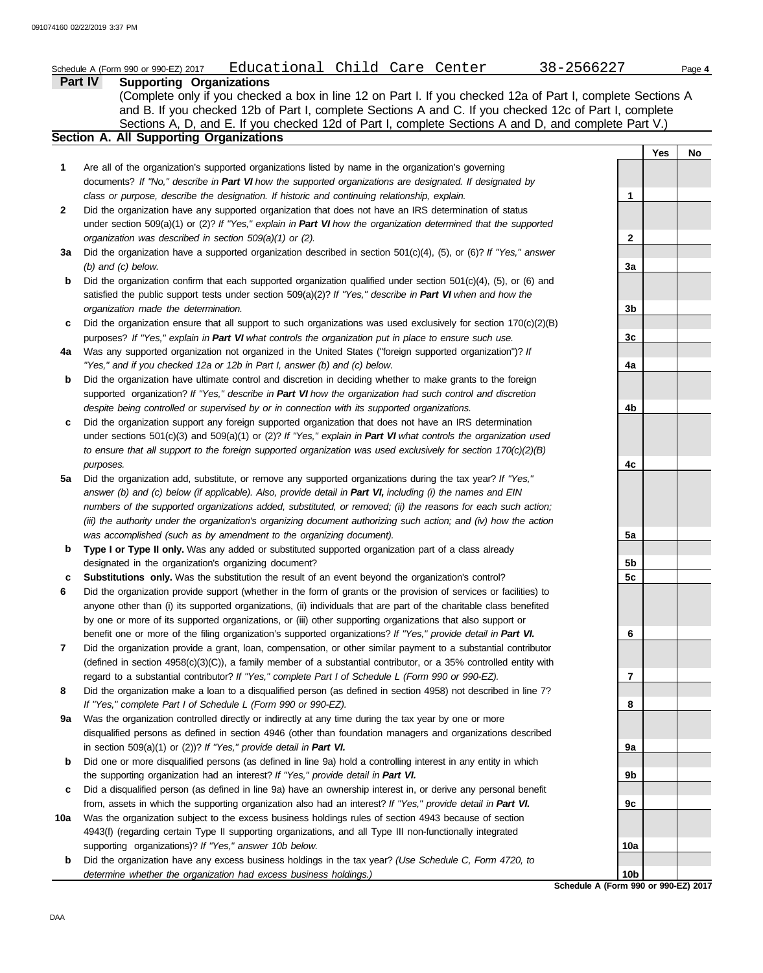|              | Educational Child Care Center<br>38-2566227<br>Schedule A (Form 990 or 990-EZ) 2017<br>Part IV<br><b>Supporting Organizations</b>                                                                                                                                                                                             |                |            | Page 4 |
|--------------|-------------------------------------------------------------------------------------------------------------------------------------------------------------------------------------------------------------------------------------------------------------------------------------------------------------------------------|----------------|------------|--------|
|              | (Complete only if you checked a box in line 12 on Part I. If you checked 12a of Part I, complete Sections A<br>and B. If you checked 12b of Part I, complete Sections A and C. If you checked 12c of Part I, complete<br>Sections A, D, and E. If you checked 12d of Part I, complete Sections A and D, and complete Part V.) |                |            |        |
|              | <b>Section A. All Supporting Organizations</b>                                                                                                                                                                                                                                                                                |                |            |        |
|              |                                                                                                                                                                                                                                                                                                                               |                | <b>Yes</b> | No     |
| 1            | Are all of the organization's supported organizations listed by name in the organization's governing                                                                                                                                                                                                                          |                |            |        |
|              | documents? If "No," describe in Part VI how the supported organizations are designated. If designated by                                                                                                                                                                                                                      |                |            |        |
|              | class or purpose, describe the designation. If historic and continuing relationship, explain.                                                                                                                                                                                                                                 | 1              |            |        |
| $\mathbf{2}$ | Did the organization have any supported organization that does not have an IRS determination of status<br>under section 509(a)(1) or (2)? If "Yes," explain in Part VI how the organization determined that the supported                                                                                                     |                |            |        |
|              | organization was described in section 509(a)(1) or (2).                                                                                                                                                                                                                                                                       | $\mathbf{2}$   |            |        |
| За           | Did the organization have a supported organization described in section 501(c)(4), (5), or (6)? If "Yes," answer                                                                                                                                                                                                              |                |            |        |
|              | $(b)$ and $(c)$ below.                                                                                                                                                                                                                                                                                                        | 3a             |            |        |
| b            | Did the organization confirm that each supported organization qualified under section $501(c)(4)$ , (5), or (6) and                                                                                                                                                                                                           |                |            |        |
|              | satisfied the public support tests under section 509(a)(2)? If "Yes," describe in Part VI when and how the                                                                                                                                                                                                                    |                |            |        |
|              | organization made the determination.                                                                                                                                                                                                                                                                                          | 3b             |            |        |
| c            | Did the organization ensure that all support to such organizations was used exclusively for section $170(c)(2)(B)$                                                                                                                                                                                                            |                |            |        |
|              | purposes? If "Yes," explain in Part VI what controls the organization put in place to ensure such use.                                                                                                                                                                                                                        | 3 <sub>c</sub> |            |        |
| 4a           | Was any supported organization not organized in the United States ("foreign supported organization")? If                                                                                                                                                                                                                      |                |            |        |
|              | "Yes," and if you checked 12a or 12b in Part I, answer (b) and (c) below.                                                                                                                                                                                                                                                     | 4a             |            |        |
| b            | Did the organization have ultimate control and discretion in deciding whether to make grants to the foreign                                                                                                                                                                                                                   |                |            |        |
|              | supported organization? If "Yes," describe in Part VI how the organization had such control and discretion                                                                                                                                                                                                                    |                |            |        |
|              | despite being controlled or supervised by or in connection with its supported organizations.                                                                                                                                                                                                                                  | 4b             |            |        |
| c            | Did the organization support any foreign supported organization that does not have an IRS determination                                                                                                                                                                                                                       |                |            |        |
|              | under sections $501(c)(3)$ and $509(a)(1)$ or (2)? If "Yes," explain in Part VI what controls the organization used                                                                                                                                                                                                           |                |            |        |
|              | to ensure that all support to the foreign supported organization was used exclusively for section $170(c)(2)(B)$                                                                                                                                                                                                              |                |            |        |
|              | purposes.                                                                                                                                                                                                                                                                                                                     | 4c             |            |        |
| 5a           | Did the organization add, substitute, or remove any supported organizations during the tax year? If "Yes,"                                                                                                                                                                                                                    |                |            |        |
|              | answer (b) and (c) below (if applicable). Also, provide detail in Part VI, including (i) the names and EIN                                                                                                                                                                                                                    |                |            |        |
|              | numbers of the supported organizations added, substituted, or removed; (ii) the reasons for each such action;                                                                                                                                                                                                                 |                |            |        |
|              | (iii) the authority under the organization's organizing document authorizing such action; and (iv) how the action                                                                                                                                                                                                             |                |            |        |
|              | was accomplished (such as by amendment to the organizing document).                                                                                                                                                                                                                                                           | 5a             |            |        |
| b            | Type I or Type II only. Was any added or substituted supported organization part of a class already                                                                                                                                                                                                                           |                |            |        |
|              | designated in the organization's organizing document?                                                                                                                                                                                                                                                                         | 5 <sub>b</sub> |            |        |
| c            | Substitutions only. Was the substitution the result of an event beyond the organization's control?                                                                                                                                                                                                                            | 5 <sub>c</sub> |            |        |
| 6            | Did the organization provide support (whether in the form of grants or the provision of services or facilities) to                                                                                                                                                                                                            |                |            |        |
|              | anyone other than (i) its supported organizations, (ii) individuals that are part of the charitable class benefited                                                                                                                                                                                                           |                |            |        |
|              | by one or more of its supported organizations, or (iii) other supporting organizations that also support or                                                                                                                                                                                                                   |                |            |        |
|              | benefit one or more of the filing organization's supported organizations? If "Yes," provide detail in Part VI.                                                                                                                                                                                                                | 6              |            |        |
| 7            | Did the organization provide a grant, loan, compensation, or other similar payment to a substantial contributor                                                                                                                                                                                                               |                |            |        |
|              | (defined in section $4958(c)(3)(C)$ ), a family member of a substantial contributor, or a 35% controlled entity with                                                                                                                                                                                                          |                |            |        |
|              | regard to a substantial contributor? If "Yes," complete Part I of Schedule L (Form 990 or 990-EZ).                                                                                                                                                                                                                            | 7              |            |        |
| 8            | Did the organization make a loan to a disqualified person (as defined in section 4958) not described in line 7?                                                                                                                                                                                                               |                |            |        |
|              | If "Yes," complete Part I of Schedule L (Form 990 or 990-EZ).                                                                                                                                                                                                                                                                 | 8              |            |        |
| 9a           | Was the organization controlled directly or indirectly at any time during the tax year by one or more                                                                                                                                                                                                                         |                |            |        |
|              | disqualified persons as defined in section 4946 (other than foundation managers and organizations described<br>in section 509(a)(1) or (2))? If "Yes," provide detail in Part VI.                                                                                                                                             | 9a             |            |        |
| b            | Did one or more disqualified persons (as defined in line 9a) hold a controlling interest in any entity in which                                                                                                                                                                                                               |                |            |        |
|              | the supporting organization had an interest? If "Yes," provide detail in Part VI.                                                                                                                                                                                                                                             | 9b             |            |        |
| c            | Did a disqualified person (as defined in line 9a) have an ownership interest in, or derive any personal benefit                                                                                                                                                                                                               |                |            |        |
|              | from, assets in which the supporting organization also had an interest? If "Yes," provide detail in Part VI.                                                                                                                                                                                                                  | 9c             |            |        |
| 10a          | Was the organization subject to the excess business holdings rules of section 4943 because of section                                                                                                                                                                                                                         |                |            |        |
|              | 4943(f) (regarding certain Type II supporting organizations, and all Type III non-functionally integrated                                                                                                                                                                                                                     |                |            |        |

**b** Did the organization have any excess business holdings in the tax year? *(Use Schedule C, Form 4720, to* 

supporting organizations)? *If "Yes," answer 10b below.*

*determine whether the organization had excess business holdings.)*

**10a**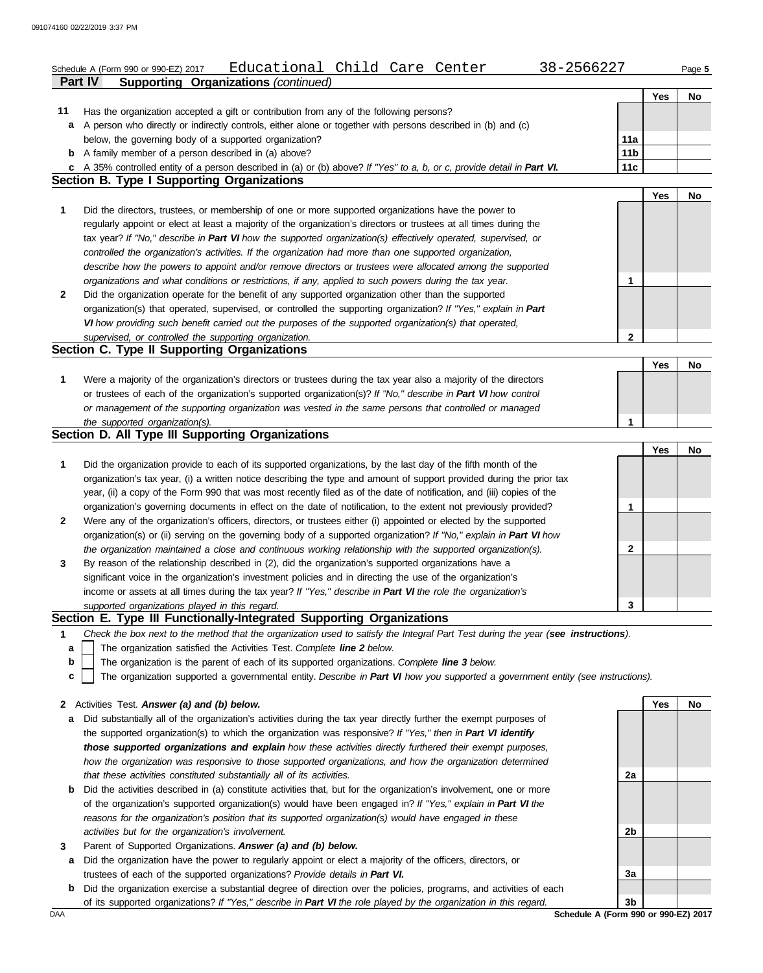|              | Educational Child Care Center<br>38-2566227<br>Schedule A (Form 990 or 990-EZ) 2017<br><b>Supporting Organizations (continued)</b><br><b>Part IV</b> |                 |     | Page 5 |
|--------------|------------------------------------------------------------------------------------------------------------------------------------------------------|-----------------|-----|--------|
|              |                                                                                                                                                      |                 | Yes | No     |
| 11           | Has the organization accepted a gift or contribution from any of the following persons?                                                              |                 |     |        |
| a            | A person who directly or indirectly controls, either alone or together with persons described in (b) and (c)                                         |                 |     |        |
|              | below, the governing body of a supported organization?                                                                                               | 11a             |     |        |
|              | <b>b</b> A family member of a person described in (a) above?                                                                                         | 11 <sub>b</sub> |     |        |
|              | c A 35% controlled entity of a person described in (a) or (b) above? If "Yes" to a, b, or c, provide detail in Part VI.                              | 11c             |     |        |
|              | <b>Section B. Type I Supporting Organizations</b>                                                                                                    |                 |     |        |
|              |                                                                                                                                                      |                 | Yes | No     |
| 1            | Did the directors, trustees, or membership of one or more supported organizations have the power to                                                  |                 |     |        |
|              | regularly appoint or elect at least a majority of the organization's directors or trustees at all times during the                                   |                 |     |        |
|              | tax year? If "No," describe in Part VI how the supported organization(s) effectively operated, supervised, or                                        |                 |     |        |
|              | controlled the organization's activities. If the organization had more than one supported organization,                                              |                 |     |        |
|              | describe how the powers to appoint and/or remove directors or trustees were allocated among the supported                                            |                 |     |        |
|              | organizations and what conditions or restrictions, if any, applied to such powers during the tax year.                                               | 1               |     |        |
| 2            | Did the organization operate for the benefit of any supported organization other than the supported                                                  |                 |     |        |
|              | organization(s) that operated, supervised, or controlled the supporting organization? If "Yes," explain in Part                                      |                 |     |        |
|              | VI how providing such benefit carried out the purposes of the supported organization(s) that operated,                                               |                 |     |        |
|              | supervised, or controlled the supporting organization.                                                                                               | 2               |     |        |
|              | Section C. Type II Supporting Organizations                                                                                                          |                 |     |        |
|              |                                                                                                                                                      |                 | Yes | No     |
| 1            | Were a majority of the organization's directors or trustees during the tax year also a majority of the directors                                     |                 |     |        |
|              | or trustees of each of the organization's supported organization(s)? If "No," describe in Part VI how control                                        |                 |     |        |
|              | or management of the supporting organization was vested in the same persons that controlled or managed                                               | 1               |     |        |
|              | the supported organization(s).<br>Section D. All Type III Supporting Organizations                                                                   |                 |     |        |
|              |                                                                                                                                                      |                 | Yes | No     |
| 1            | Did the organization provide to each of its supported organizations, by the last day of the fifth month of the                                       |                 |     |        |
|              | organization's tax year, (i) a written notice describing the type and amount of support provided during the prior tax                                |                 |     |        |
|              | year, (ii) a copy of the Form 990 that was most recently filed as of the date of notification, and (iii) copies of the                               |                 |     |        |
|              | organization's governing documents in effect on the date of notification, to the extent not previously provided?                                     | 1               |     |        |
| 2            | Were any of the organization's officers, directors, or trustees either (i) appointed or elected by the supported                                     |                 |     |        |
|              | organization(s) or (ii) serving on the governing body of a supported organization? If "No," explain in Part VI how                                   |                 |     |        |
|              | the organization maintained a close and continuous working relationship with the supported organization(s).                                          | 2               |     |        |
| 3            | By reason of the relationship described in (2), did the organization's supported organizations have a                                                |                 |     |        |
|              | significant voice in the organization's investment policies and in directing the use of the organization's                                           |                 |     |        |
|              | income or assets at all times during the tax year? If "Yes," describe in Part VI the role the organization's                                         |                 |     |        |
|              | supported organizations played in this regard.                                                                                                       | 3               |     |        |
|              | Section E. Type III Functionally-Integrated Supporting Organizations                                                                                 |                 |     |        |
| 1            | Check the box next to the method that the organization used to satisfy the Integral Part Test during the year (see instructions).                    |                 |     |        |
| a            | The organization satisfied the Activities Test. Complete line 2 below.                                                                               |                 |     |        |
| b            | The organization is the parent of each of its supported organizations. Complete line 3 below.                                                        |                 |     |        |
| c            | The organization supported a governmental entity. Describe in Part VI how you supported a government entity (see instructions).                      |                 |     |        |
|              |                                                                                                                                                      |                 |     |        |
| $\mathbf{2}$ | Activities Test. Answer (a) and (b) below.                                                                                                           |                 | Yes | No     |
| a            | Did substantially all of the organization's activities during the tax year directly further the exempt purposes of                                   |                 |     |        |
|              | the supported organization(s) to which the organization was responsive? If "Yes," then in Part VI identify                                           |                 |     |        |
|              | those supported organizations and explain how these activities directly furthered their exempt purposes,                                             |                 |     |        |
|              | how the organization was responsive to those supported organizations, and how the organization determined                                            |                 |     |        |
|              | that these activities constituted substantially all of its activities.                                                                               | 2a              |     |        |
| b            | Did the activities described in (a) constitute activities that, but for the organization's involvement, one or more                                  |                 |     |        |
|              | of the organization's supported organization(s) would have been engaged in? If "Yes," explain in Part VI the                                         |                 |     |        |
|              | reasons for the organization's position that its supported organization(s) would have engaged in these                                               |                 |     |        |
|              | activities but for the organization's involvement.                                                                                                   | 2b              |     |        |
| 3            | Parent of Supported Organizations. Answer (a) and (b) below.                                                                                         |                 |     |        |

- **a** Did the organization have the power to regularly appoint or elect a majority of the officers, directors, or trustees of each of the supported organizations? *Provide details in Part VI.*
- **b** Did the organization exercise a substantial degree of direction over the policies, programs, and activities of each of its supported organizations? *If "Yes," describe in Part VI the role played by the organization in this regard.*

DAA **Schedule A (Form 990 or 990-EZ) 2017**<br>DAA **Schedule A (Form 990 or 990-EZ) 2017 3b**

**3a**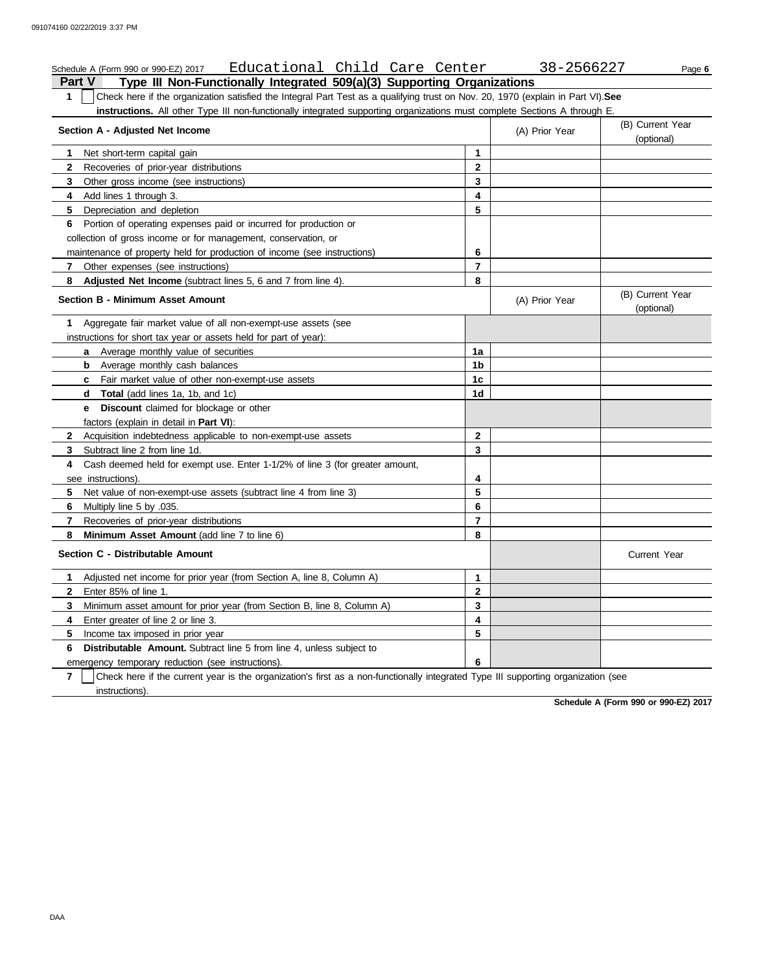#### **Part V Type III Non-Functionally Integrated 509(a)(3) Supporting Organizations** Schedule A (Form 990 or 990-EZ) 2017 Educational Child Care Center 38-2566227 Page **6 1** Check here if the organization satisfied the Integral Part Test as a qualifying trust on Nov. 20, 1970 (explain in Part VI).**See instructions.** All other Type III non-functionally integrated supporting organizations must complete Sections A through E. **1** Net short-term capital gain **2 3** Other gross income (see instructions) **4** Add lines 1 through 3. **5** Depreciation and depletion **6** Portion of operating expenses paid or incurred for production or **7** Other expenses (see instructions) **8 Adjusted Net Income** (subtract lines 5, 6 and 7 from line 4). **1** Aggregate fair market value of all non-exempt-use assets (see **Section A - Adjusted Net Income** Recoveries of prior-year distributions collection of gross income or for management, conservation, or maintenance of property held for production of income (see instructions) **Section B - Minimum Asset Amount** instructions for short tax year or assets held for part of year): **a** Average monthly value of securities **b** Average monthly cash balances **c** Fair market value of other non-exempt-use assets **d Total** (add lines 1a, 1b, and 1c) **e Discount** claimed for blockage or other factors (explain in detail in **Part VI**): **8 Minimum Asset Amount** (add line 7 to line 6) **7 6** Multiply line 5 by .035. **5 4** Cash deemed held for exempt use. Enter 1-1/2% of line 3 (for greater amount, **3** Subtract line 2 from line 1d. **2** Acquisition indebtedness applicable to non-exempt-use assets see instructions). Net value of non-exempt-use assets (subtract line 4 from line 3) Recoveries of prior-year distributions **Section C - Distributable Amount 5** Income tax imposed in prior year **4** Enter greater of line 2 or line 3. **3 2 1** Adjusted net income for prior year (from Section A, line 8, Column A) Enter 85% of line 1. Minimum asset amount for prior year (from Section B, line 8, Column A) **8 7 6 5 4 3 2 1** (A) Prior Year (B) Current Year (optional) (optional) (B) Current Year (A) Prior Year **1a 1b 1c 1d 2 3 4 5 6 7 8 3 2 1 5 4** Current Year

**7 6 Distributable Amount.** Subtract line 5 from line 4, unless subject to emergency temporary reduction (see instructions). instructions). Check here if the current year is the organization's first as a non-functionally integrated Type III supporting organization (see **6**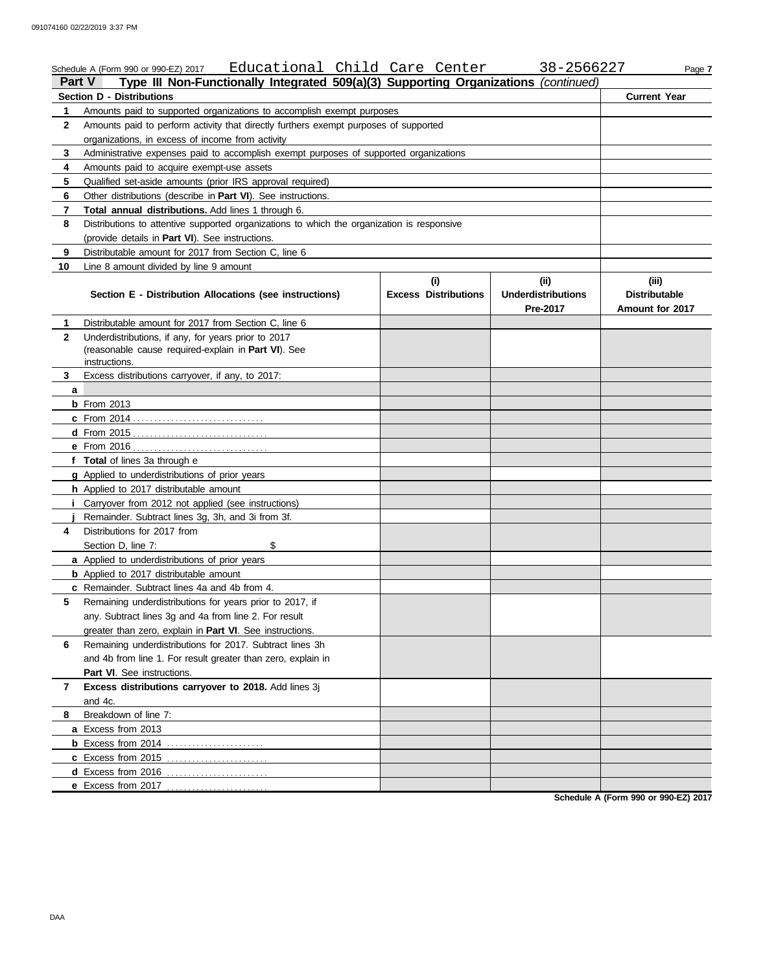|              | Educational Child Care Center<br>Schedule A (Form 990 or 990-EZ) 2017                                                       |                                    | 38-2566227                                     | Page 7                                           |
|--------------|-----------------------------------------------------------------------------------------------------------------------------|------------------------------------|------------------------------------------------|--------------------------------------------------|
| Part V       | Type III Non-Functionally Integrated 509(a)(3) Supporting Organizations (continued)                                         |                                    |                                                |                                                  |
|              | <b>Section D - Distributions</b>                                                                                            |                                    |                                                | <b>Current Year</b>                              |
| 1.           | Amounts paid to supported organizations to accomplish exempt purposes                                                       |                                    |                                                |                                                  |
| $\mathbf{2}$ | Amounts paid to perform activity that directly furthers exempt purposes of supported                                        |                                    |                                                |                                                  |
|              | organizations, in excess of income from activity                                                                            |                                    |                                                |                                                  |
| 3            | Administrative expenses paid to accomplish exempt purposes of supported organizations                                       |                                    |                                                |                                                  |
| 4            | Amounts paid to acquire exempt-use assets                                                                                   |                                    |                                                |                                                  |
| 5            | Qualified set-aside amounts (prior IRS approval required)                                                                   |                                    |                                                |                                                  |
| 6            | Other distributions (describe in Part VI). See instructions.                                                                |                                    |                                                |                                                  |
| 7            | Total annual distributions. Add lines 1 through 6.                                                                          |                                    |                                                |                                                  |
| 8            | Distributions to attentive supported organizations to which the organization is responsive                                  |                                    |                                                |                                                  |
|              | (provide details in Part VI). See instructions.                                                                             |                                    |                                                |                                                  |
| 9            | Distributable amount for 2017 from Section C, line 6                                                                        |                                    |                                                |                                                  |
| 10           | Line 8 amount divided by line 9 amount                                                                                      |                                    |                                                |                                                  |
|              | Section E - Distribution Allocations (see instructions)                                                                     | (i)<br><b>Excess Distributions</b> | (iii)<br><b>Underdistributions</b><br>Pre-2017 | (iii)<br><b>Distributable</b><br>Amount for 2017 |
| 1.           | Distributable amount for 2017 from Section C, line 6                                                                        |                                    |                                                |                                                  |
| $\mathbf{2}$ | Underdistributions, if any, for years prior to 2017<br>(reasonable cause required-explain in Part VI). See<br>instructions. |                                    |                                                |                                                  |
| 3            | Excess distributions carryover, if any, to 2017:                                                                            |                                    |                                                |                                                  |
| a            |                                                                                                                             |                                    |                                                |                                                  |
|              | $b$ From 2013                                                                                                               |                                    |                                                |                                                  |
|              | <b>c</b> From 2014                                                                                                          |                                    |                                                |                                                  |
|              |                                                                                                                             |                                    |                                                |                                                  |
|              |                                                                                                                             |                                    |                                                |                                                  |
|              | f Total of lines 3a through e                                                                                               |                                    |                                                |                                                  |
|              | g Applied to underdistributions of prior years                                                                              |                                    |                                                |                                                  |
|              | h Applied to 2017 distributable amount                                                                                      |                                    |                                                |                                                  |
|              | <i>i</i> Carryover from 2012 not applied (see instructions)                                                                 |                                    |                                                |                                                  |
|              | Remainder. Subtract lines 3g, 3h, and 3i from 3f.                                                                           |                                    |                                                |                                                  |
| 4            | Distributions for 2017 from                                                                                                 |                                    |                                                |                                                  |
|              | \$<br>Section D, line 7:                                                                                                    |                                    |                                                |                                                  |
|              | a Applied to underdistributions of prior years                                                                              |                                    |                                                |                                                  |
|              | <b>b</b> Applied to 2017 distributable amount                                                                               |                                    |                                                |                                                  |
|              | c Remainder. Subtract lines 4a and 4b from 4.                                                                               |                                    |                                                |                                                  |
| 5            | Remaining underdistributions for years prior to 2017, if                                                                    |                                    |                                                |                                                  |
|              | any. Subtract lines 3g and 4a from line 2. For result                                                                       |                                    |                                                |                                                  |
|              |                                                                                                                             |                                    |                                                |                                                  |
|              | greater than zero, explain in Part VI. See instructions.                                                                    |                                    |                                                |                                                  |
| 6            | Remaining underdistributions for 2017. Subtract lines 3h                                                                    |                                    |                                                |                                                  |
|              | and 4b from line 1. For result greater than zero, explain in                                                                |                                    |                                                |                                                  |
|              | Part VI. See instructions.                                                                                                  |                                    |                                                |                                                  |
| 7            | Excess distributions carryover to 2018. Add lines 3j<br>and 4c.                                                             |                                    |                                                |                                                  |
| 8            | Breakdown of line 7:                                                                                                        |                                    |                                                |                                                  |
|              | a Excess from 2013                                                                                                          |                                    |                                                |                                                  |
|              |                                                                                                                             |                                    |                                                |                                                  |
|              |                                                                                                                             |                                    |                                                |                                                  |
|              |                                                                                                                             |                                    |                                                |                                                  |
|              | e Excess from 2017                                                                                                          |                                    |                                                |                                                  |
|              |                                                                                                                             |                                    |                                                |                                                  |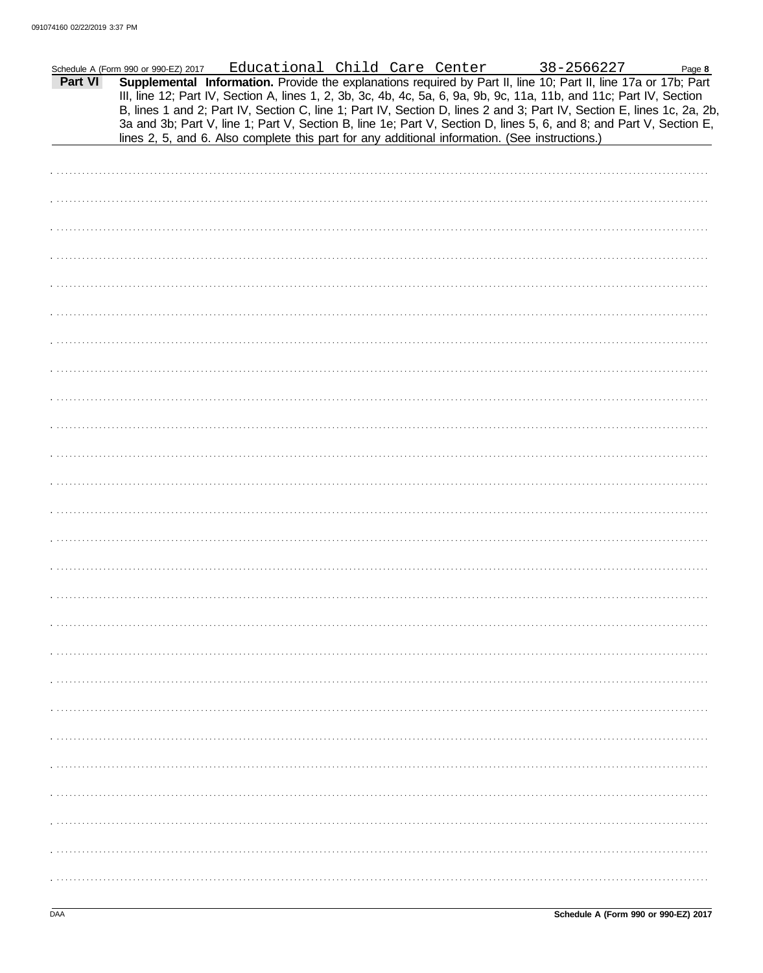|         | Schedule A (Form 990 or 990-EZ) 2017                                                                                                                                                                                                                                                                                                                              |  |  | Educational Child Care Center | 38-2566227 | Page 8 |
|---------|-------------------------------------------------------------------------------------------------------------------------------------------------------------------------------------------------------------------------------------------------------------------------------------------------------------------------------------------------------------------|--|--|-------------------------------|------------|--------|
| Part VI | Supplemental Information. Provide the explanations required by Part II, line 10; Part II, line 17a or 17b; Part<br>III, line 12; Part IV, Section A, lines 1, 2, 3b, 3c, 4b, 4c, 5a, 6, 9a, 9b, 9c, 11a, 11b, and 11c; Part IV, Section<br>B, lines 1 and 2; Part IV, Section C, line 1; Part IV, Section D, lines 2 and 3; Part IV, Section E, lines 1c, 2a, 2b, |  |  |                               |            |        |
|         | 3a and 3b; Part V, line 1; Part V, Section B, line 1e; Part V, Section D, lines 5, 6, and 8; and Part V, Section E,<br>lines 2, 5, and 6. Also complete this part for any additional information. (See instructions.)                                                                                                                                             |  |  |                               |            |        |
|         |                                                                                                                                                                                                                                                                                                                                                                   |  |  |                               |            |        |
|         |                                                                                                                                                                                                                                                                                                                                                                   |  |  |                               |            |        |
|         |                                                                                                                                                                                                                                                                                                                                                                   |  |  |                               |            |        |
|         |                                                                                                                                                                                                                                                                                                                                                                   |  |  |                               |            |        |
|         |                                                                                                                                                                                                                                                                                                                                                                   |  |  |                               |            |        |
|         |                                                                                                                                                                                                                                                                                                                                                                   |  |  |                               |            |        |
|         |                                                                                                                                                                                                                                                                                                                                                                   |  |  |                               |            |        |
|         |                                                                                                                                                                                                                                                                                                                                                                   |  |  |                               |            |        |
|         |                                                                                                                                                                                                                                                                                                                                                                   |  |  |                               |            |        |
|         |                                                                                                                                                                                                                                                                                                                                                                   |  |  |                               |            |        |
|         |                                                                                                                                                                                                                                                                                                                                                                   |  |  |                               |            |        |
|         |                                                                                                                                                                                                                                                                                                                                                                   |  |  |                               |            |        |
|         |                                                                                                                                                                                                                                                                                                                                                                   |  |  |                               |            |        |
|         |                                                                                                                                                                                                                                                                                                                                                                   |  |  |                               |            |        |
|         |                                                                                                                                                                                                                                                                                                                                                                   |  |  |                               |            |        |
|         |                                                                                                                                                                                                                                                                                                                                                                   |  |  |                               |            |        |
|         |                                                                                                                                                                                                                                                                                                                                                                   |  |  |                               |            |        |
|         |                                                                                                                                                                                                                                                                                                                                                                   |  |  |                               |            |        |
|         |                                                                                                                                                                                                                                                                                                                                                                   |  |  |                               |            |        |
|         |                                                                                                                                                                                                                                                                                                                                                                   |  |  |                               |            |        |
|         |                                                                                                                                                                                                                                                                                                                                                                   |  |  |                               |            |        |
|         |                                                                                                                                                                                                                                                                                                                                                                   |  |  |                               |            |        |
|         |                                                                                                                                                                                                                                                                                                                                                                   |  |  |                               |            |        |
|         |                                                                                                                                                                                                                                                                                                                                                                   |  |  |                               |            |        |
|         |                                                                                                                                                                                                                                                                                                                                                                   |  |  |                               |            |        |
|         |                                                                                                                                                                                                                                                                                                                                                                   |  |  |                               |            |        |
|         |                                                                                                                                                                                                                                                                                                                                                                   |  |  |                               |            |        |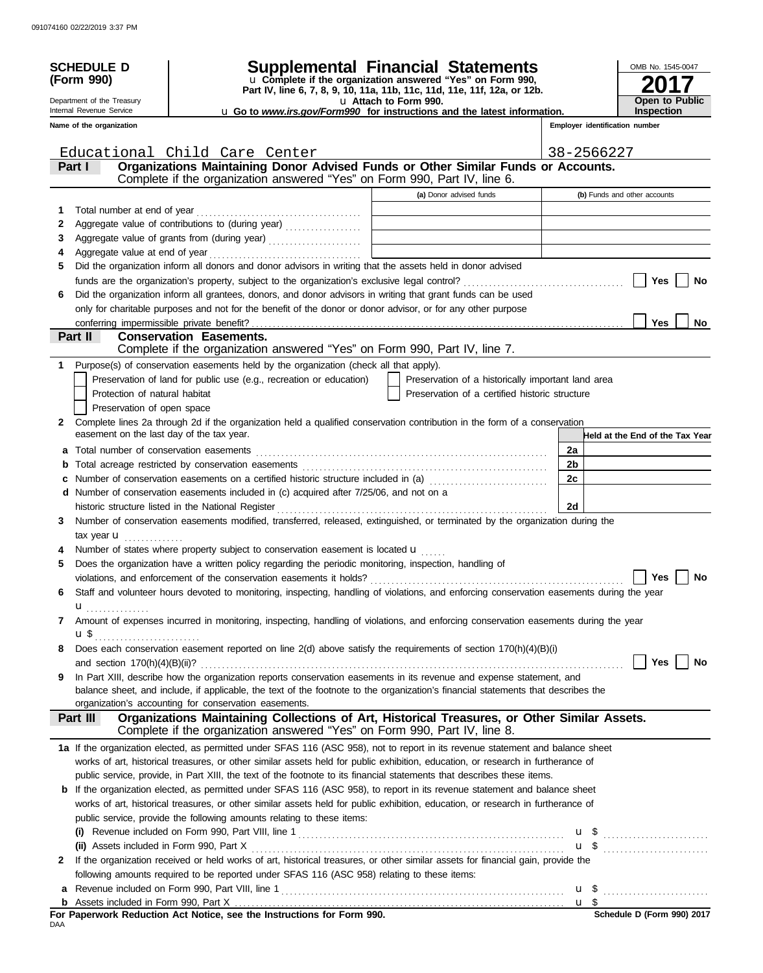|              | <b>SCHEDULE D</b>                         |                                                                                                                                                                                                                                                                       | Supplemental Financial Statements                                                                                     |                       | OMB No. 1545-0047                     |
|--------------|-------------------------------------------|-----------------------------------------------------------------------------------------------------------------------------------------------------------------------------------------------------------------------------------------------------------------------|-----------------------------------------------------------------------------------------------------------------------|-----------------------|---------------------------------------|
|              | (Form 990)                                |                                                                                                                                                                                                                                                                       | u Complete if the organization answered "Yes" on Form 990,                                                            |                       |                                       |
|              | Department of the Treasury                |                                                                                                                                                                                                                                                                       | Part IV, line 6, 7, 8, 9, 10, 11a, 11b, 11c, 11d, 11e, 11f, 12a, or 12b.<br>u Attach to Form 990.                     | <b>Open to Public</b> |                                       |
|              | Internal Revenue Service                  |                                                                                                                                                                                                                                                                       | <b>u</b> Go to <i>www.irs.gov/Form990</i> for instructions and the latest information.                                |                       | <b>Inspection</b>                     |
|              | Name of the organization                  |                                                                                                                                                                                                                                                                       |                                                                                                                       |                       | <b>Emplover identification number</b> |
|              |                                           |                                                                                                                                                                                                                                                                       |                                                                                                                       |                       |                                       |
|              | Part I                                    | Educational Child Care Center<br>Organizations Maintaining Donor Advised Funds or Other Similar Funds or Accounts.                                                                                                                                                    |                                                                                                                       | 38-2566227            |                                       |
|              |                                           | Complete if the organization answered "Yes" on Form 990, Part IV, line 6.                                                                                                                                                                                             |                                                                                                                       |                       |                                       |
|              |                                           |                                                                                                                                                                                                                                                                       | (a) Donor advised funds                                                                                               |                       | (b) Funds and other accounts          |
| 1            | Total number at end of year               |                                                                                                                                                                                                                                                                       |                                                                                                                       |                       |                                       |
| 2            |                                           | Aggregate value of contributions to (during year)                                                                                                                                                                                                                     | <u> 1989 - Johann Barn, mars ann an t-Amhain an t-Amhain an t-Amhain an t-Amhain an t-Amhain an t-Amhain an t-Amh</u> |                       |                                       |
| 3            |                                           |                                                                                                                                                                                                                                                                       |                                                                                                                       |                       |                                       |
| 4            |                                           |                                                                                                                                                                                                                                                                       |                                                                                                                       |                       |                                       |
| 5            |                                           | Did the organization inform all donors and donor advisors in writing that the assets held in donor advised                                                                                                                                                            |                                                                                                                       |                       |                                       |
|              |                                           |                                                                                                                                                                                                                                                                       |                                                                                                                       |                       | Yes<br>No                             |
| 6            |                                           | Did the organization inform all grantees, donors, and donor advisors in writing that grant funds can be used                                                                                                                                                          |                                                                                                                       |                       |                                       |
|              |                                           | only for charitable purposes and not for the benefit of the donor or donor advisor, or for any other purpose                                                                                                                                                          |                                                                                                                       |                       |                                       |
|              |                                           |                                                                                                                                                                                                                                                                       |                                                                                                                       |                       | Yes<br>No                             |
|              | Part II                                   | <b>Conservation Easements.</b><br>Complete if the organization answered "Yes" on Form 990, Part IV, line 7.                                                                                                                                                           |                                                                                                                       |                       |                                       |
| 1            |                                           | Purpose(s) of conservation easements held by the organization (check all that apply).                                                                                                                                                                                 |                                                                                                                       |                       |                                       |
|              |                                           | Preservation of land for public use (e.g., recreation or education)                                                                                                                                                                                                   | Preservation of a historically important land area                                                                    |                       |                                       |
|              | Protection of natural habitat             |                                                                                                                                                                                                                                                                       | Preservation of a certified historic structure                                                                        |                       |                                       |
|              | Preservation of open space                |                                                                                                                                                                                                                                                                       |                                                                                                                       |                       |                                       |
| $\mathbf{2}$ |                                           | Complete lines 2a through 2d if the organization held a qualified conservation contribution in the form of a conservation                                                                                                                                             |                                                                                                                       |                       |                                       |
|              | easement on the last day of the tax year. |                                                                                                                                                                                                                                                                       |                                                                                                                       |                       | Held at the End of the Tax Year       |
| a            |                                           |                                                                                                                                                                                                                                                                       |                                                                                                                       | 2a                    |                                       |
| b            |                                           |                                                                                                                                                                                                                                                                       |                                                                                                                       | 2b                    |                                       |
| c            |                                           | Number of conservation easements on a certified historic structure included in (a) [[[[[[[[[[[[[[[[[[[[[[[[]]]]]]]                                                                                                                                                    |                                                                                                                       | 2c                    |                                       |
|              |                                           | d Number of conservation easements included in (c) acquired after 7/25/06, and not on a                                                                                                                                                                               |                                                                                                                       |                       |                                       |
|              |                                           | historic structure listed in the National Register                                                                                                                                                                                                                    |                                                                                                                       | 2d                    |                                       |
| 3            |                                           | Number of conservation easements modified, transferred, released, extinguished, or terminated by the organization during the                                                                                                                                          |                                                                                                                       |                       |                                       |
|              | tax year <b>u</b>                         |                                                                                                                                                                                                                                                                       |                                                                                                                       |                       |                                       |
|              |                                           | Number of states where property subject to conservation easement is located u                                                                                                                                                                                         |                                                                                                                       |                       |                                       |
| 5            |                                           | Does the organization have a written policy regarding the periodic monitoring, inspection, handling of                                                                                                                                                                |                                                                                                                       |                       |                                       |
|              |                                           | violations, and enforcement of the conservation easements it holds? $\ldots$ $\ldots$ $\ldots$ $\ldots$ $\ldots$ $\ldots$ $\ldots$ $\ldots$ $\ldots$ $\ldots$ $\ldots$ $\ldots$ $\ldots$ $\ldots$                                                                     |                                                                                                                       |                       |                                       |
| 6            |                                           | Staff and volunteer hours devoted to monitoring, inspecting, handling of violations, and enforcing conservation easements during the year                                                                                                                             |                                                                                                                       |                       |                                       |
|              | $\mathbf{u}$                              | Amount of expenses incurred in monitoring, inspecting, handling of violations, and enforcing conservation easements during the year                                                                                                                                   |                                                                                                                       |                       |                                       |
| 7            |                                           |                                                                                                                                                                                                                                                                       |                                                                                                                       |                       |                                       |
| 8            | u\$ <sub></sub>                           | Does each conservation easement reported on line 2(d) above satisfy the requirements of section 170(h)(4)(B)(i)                                                                                                                                                       |                                                                                                                       |                       |                                       |
|              |                                           |                                                                                                                                                                                                                                                                       |                                                                                                                       |                       | Yes<br>No                             |
| 9            |                                           | In Part XIII, describe how the organization reports conservation easements in its revenue and expense statement, and                                                                                                                                                  |                                                                                                                       |                       |                                       |
|              |                                           | balance sheet, and include, if applicable, the text of the footnote to the organization's financial statements that describes the                                                                                                                                     |                                                                                                                       |                       |                                       |
|              |                                           | organization's accounting for conservation easements.                                                                                                                                                                                                                 |                                                                                                                       |                       |                                       |
|              | Part III                                  | Organizations Maintaining Collections of Art, Historical Treasures, or Other Similar Assets.                                                                                                                                                                          |                                                                                                                       |                       |                                       |
|              |                                           | Complete if the organization answered "Yes" on Form 990, Part IV, line 8.                                                                                                                                                                                             |                                                                                                                       |                       |                                       |
|              |                                           | 1a If the organization elected, as permitted under SFAS 116 (ASC 958), not to report in its revenue statement and balance sheet                                                                                                                                       |                                                                                                                       |                       |                                       |
|              |                                           | works of art, historical treasures, or other similar assets held for public exhibition, education, or research in furtherance of                                                                                                                                      |                                                                                                                       |                       |                                       |
|              |                                           | public service, provide, in Part XIII, the text of the footnote to its financial statements that describes these items.                                                                                                                                               |                                                                                                                       |                       |                                       |
|              |                                           | <b>b</b> If the organization elected, as permitted under SFAS 116 (ASC 958), to report in its revenue statement and balance sheet<br>works of art, historical treasures, or other similar assets held for public exhibition, education, or research in furtherance of |                                                                                                                       |                       |                                       |
|              |                                           | public service, provide the following amounts relating to these items:                                                                                                                                                                                                |                                                                                                                       |                       |                                       |
|              |                                           |                                                                                                                                                                                                                                                                       |                                                                                                                       |                       |                                       |
|              |                                           |                                                                                                                                                                                                                                                                       |                                                                                                                       |                       | <b>u</b> \$                           |
| 2            |                                           | If the organization received or held works of art, historical treasures, or other similar assets for financial gain, provide the                                                                                                                                      |                                                                                                                       |                       |                                       |
|              |                                           | following amounts required to be reported under SFAS 116 (ASC 958) relating to these items:                                                                                                                                                                           |                                                                                                                       |                       |                                       |
|              |                                           |                                                                                                                                                                                                                                                                       |                                                                                                                       |                       |                                       |
|              |                                           |                                                                                                                                                                                                                                                                       |                                                                                                                       |                       |                                       |
|              |                                           | For Paperwork Reduction Act Notice, see the Instructions for Form 990.                                                                                                                                                                                                |                                                                                                                       |                       | Schedule D (Form 990) 2017            |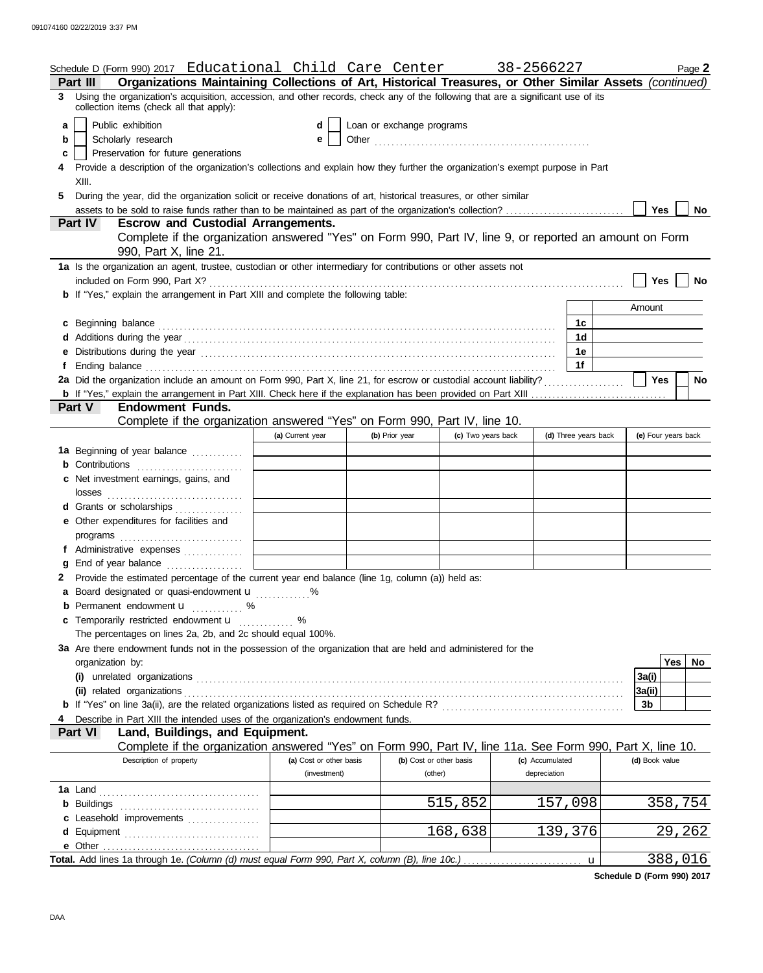|   | Schedule D (Form 990) 2017 Educational Child Care Center 38-2566227                                                                                                                                                                 |                               |                           |                         |                 |                      |                | Page 2              |
|---|-------------------------------------------------------------------------------------------------------------------------------------------------------------------------------------------------------------------------------------|-------------------------------|---------------------------|-------------------------|-----------------|----------------------|----------------|---------------------|
|   | Organizations Maintaining Collections of Art, Historical Treasures, or Other Similar Assets (continued)<br><b>Part III</b>                                                                                                          |                               |                           |                         |                 |                      |                |                     |
|   | 3 Using the organization's acquisition, accession, and other records, check any of the following that are a significant use of its<br>collection items (check all that apply):                                                      |                               |                           |                         |                 |                      |                |                     |
| a | Public exhibition                                                                                                                                                                                                                   | d                             | Loan or exchange programs |                         |                 |                      |                |                     |
| b | Scholarly research                                                                                                                                                                                                                  | е                             |                           |                         |                 |                      |                |                     |
| c | Preservation for future generations                                                                                                                                                                                                 |                               |                           |                         |                 |                      |                |                     |
|   | Provide a description of the organization's collections and explain how they further the organization's exempt purpose in Part                                                                                                      |                               |                           |                         |                 |                      |                |                     |
|   | XIII.                                                                                                                                                                                                                               |                               |                           |                         |                 |                      |                |                     |
| 5 | During the year, did the organization solicit or receive donations of art, historical treasures, or other similar                                                                                                                   |                               |                           |                         |                 |                      |                |                     |
|   |                                                                                                                                                                                                                                     |                               |                           |                         |                 |                      | Yes            | No                  |
|   | <b>Escrow and Custodial Arrangements.</b><br>Part IV                                                                                                                                                                                |                               |                           |                         |                 |                      |                |                     |
|   | Complete if the organization answered "Yes" on Form 990, Part IV, line 9, or reported an amount on Form                                                                                                                             |                               |                           |                         |                 |                      |                |                     |
|   | 990, Part X, line 21.                                                                                                                                                                                                               |                               |                           |                         |                 |                      |                |                     |
|   | 1a Is the organization an agent, trustee, custodian or other intermediary for contributions or other assets not                                                                                                                     |                               |                           |                         |                 |                      |                |                     |
|   | included on Form 990, Part X?                                                                                                                                                                                                       |                               |                           |                         |                 |                      | Yes            | No                  |
|   | <b>b</b> If "Yes," explain the arrangement in Part XIII and complete the following table:                                                                                                                                           |                               |                           |                         |                 |                      |                |                     |
|   |                                                                                                                                                                                                                                     |                               |                           |                         |                 |                      | Amount         |                     |
|   | c Beginning balance                                                                                                                                                                                                                 |                               |                           |                         |                 | 1c                   |                |                     |
|   |                                                                                                                                                                                                                                     |                               |                           |                         |                 | 1d                   |                |                     |
|   | e Distributions during the year manufactured and contact the year manufactured was determined and the vector of                                                                                                                     |                               |                           |                         |                 | 1e                   |                |                     |
| f | Ending balance <i>communication</i> and the contract of the contract of the contract of the contract of the contract of the contract of the contract of the contract of the contract of the contract of the contract of the contrac |                               |                           |                         |                 | 1f                   |                |                     |
|   | 2a Did the organization include an amount on Form 990, Part X, line 21, for escrow or custodial account liability?                                                                                                                  |                               |                           |                         |                 |                      | Yes            | <b>No</b>           |
|   |                                                                                                                                                                                                                                     |                               |                           |                         |                 |                      |                |                     |
|   | Part V<br><b>Endowment Funds.</b>                                                                                                                                                                                                   |                               |                           |                         |                 |                      |                |                     |
|   | Complete if the organization answered "Yes" on Form 990, Part IV, line 10.                                                                                                                                                          |                               |                           |                         |                 |                      |                |                     |
|   |                                                                                                                                                                                                                                     | (a) Current year              | (b) Prior year            | (c) Two years back      |                 | (d) Three years back |                | (e) Four years back |
|   | 1a Beginning of year balance                                                                                                                                                                                                        |                               |                           |                         |                 |                      |                |                     |
|   | <b>b</b> Contributions                                                                                                                                                                                                              |                               |                           |                         |                 |                      |                |                     |
|   | c Net investment earnings, gains, and<br>losses                                                                                                                                                                                     |                               |                           |                         |                 |                      |                |                     |
|   | d Grants or scholarships                                                                                                                                                                                                            |                               |                           |                         |                 |                      |                |                     |
|   | e Other expenditures for facilities and                                                                                                                                                                                             |                               |                           |                         |                 |                      |                |                     |
|   |                                                                                                                                                                                                                                     |                               |                           |                         |                 |                      |                |                     |
|   | f Administrative expenses [11] [11] Administrative expenses                                                                                                                                                                         | the control of the control of |                           |                         |                 |                      |                |                     |
| a |                                                                                                                                                                                                                                     |                               |                           |                         |                 |                      |                |                     |
|   | 2 Provide the estimated percentage of the current year end balance (line 1g, column (a)) held as:                                                                                                                                   |                               |                           |                         |                 |                      |                |                     |
|   | a Board designated or quasi-endowment <b>u</b> %                                                                                                                                                                                    |                               |                           |                         |                 |                      |                |                     |
|   | <b>b</b> Permanent endowment $\mathbf{u}$ %                                                                                                                                                                                         |                               |                           |                         |                 |                      |                |                     |
|   | c Temporarily restricted endowment u  %                                                                                                                                                                                             |                               |                           |                         |                 |                      |                |                     |
|   | The percentages on lines 2a, 2b, and 2c should equal 100%.                                                                                                                                                                          |                               |                           |                         |                 |                      |                |                     |
|   | 3a Are there endowment funds not in the possession of the organization that are held and administered for the                                                                                                                       |                               |                           |                         |                 |                      |                |                     |
|   | organization by:                                                                                                                                                                                                                    |                               |                           |                         |                 |                      |                | Yes<br>No           |
|   |                                                                                                                                                                                                                                     |                               |                           |                         |                 |                      | 3a(i)          |                     |
|   | (ii) related organizations                                                                                                                                                                                                          |                               |                           |                         |                 |                      | 3a(ii)         |                     |
|   |                                                                                                                                                                                                                                     |                               |                           |                         |                 |                      | 3b             |                     |
|   | Describe in Part XIII the intended uses of the organization's endowment funds.                                                                                                                                                      |                               |                           |                         |                 |                      |                |                     |
|   | Part VI<br>Land, Buildings, and Equipment.                                                                                                                                                                                          |                               |                           |                         |                 |                      |                |                     |
|   | Complete if the organization answered "Yes" on Form 990, Part IV, line 11a. See Form 990, Part X, line 10.                                                                                                                          |                               |                           |                         |                 |                      |                |                     |
|   | Description of property                                                                                                                                                                                                             | (a) Cost or other basis       |                           | (b) Cost or other basis | (c) Accumulated |                      | (d) Book value |                     |
|   |                                                                                                                                                                                                                                     | (investment)                  |                           | (other)                 | depreciation    |                      |                |                     |
|   |                                                                                                                                                                                                                                     |                               |                           |                         |                 |                      |                |                     |
|   |                                                                                                                                                                                                                                     |                               |                           | 515,852                 |                 | 157,098              |                | 358,754             |
|   | c Leasehold improvements                                                                                                                                                                                                            |                               |                           |                         |                 |                      |                |                     |
|   | d Equipment                                                                                                                                                                                                                         |                               |                           | 168,638                 | 139,376         |                      |                | 29,262              |
|   |                                                                                                                                                                                                                                     |                               |                           |                         |                 |                      |                |                     |
|   |                                                                                                                                                                                                                                     |                               |                           |                         |                 | $\mathbf u$          |                | 388,016             |

**Schedule D (Form 990) 2017**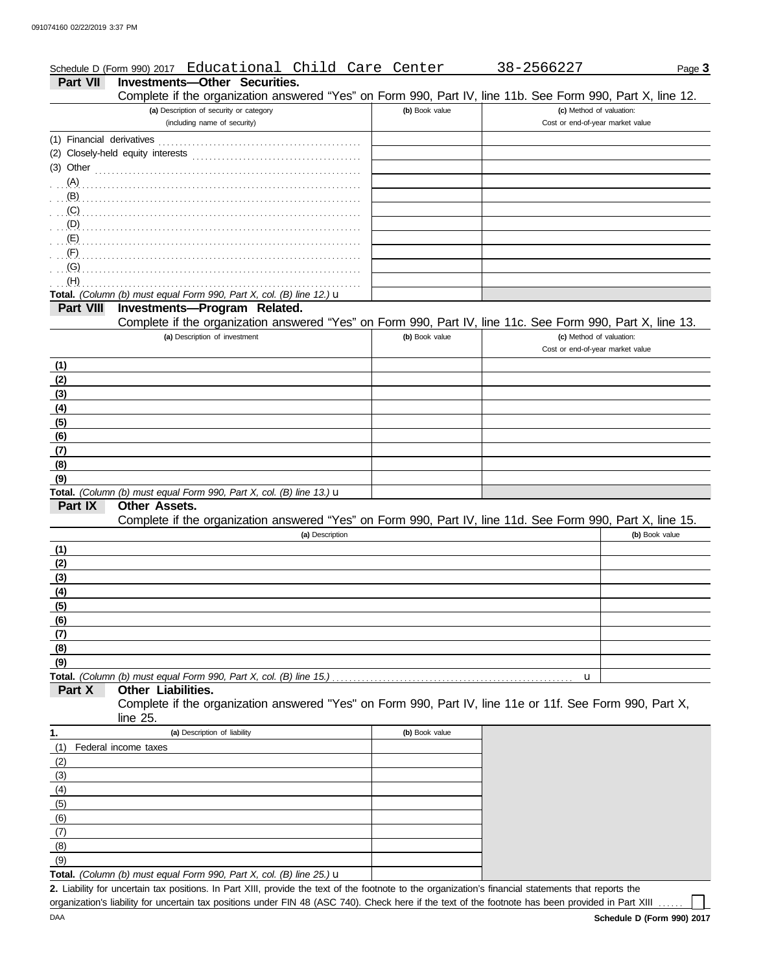### Page **3** Schedule D (Form 990) 2017 Educational Child Care Center 38-2566227

**Part VII Investments—Other Securities.**

|                  | Complete if the organization answered "Yes" on Form 990, Part IV, line 11b. See Form 990, Part X, line 12.           |                |                                  |                |
|------------------|----------------------------------------------------------------------------------------------------------------------|----------------|----------------------------------|----------------|
|                  | (a) Description of security or category                                                                              | (b) Book value | (c) Method of valuation:         |                |
|                  | (including name of security)                                                                                         |                | Cost or end-of-year market value |                |
|                  |                                                                                                                      |                |                                  |                |
|                  |                                                                                                                      |                |                                  |                |
| $(3)$ Other      |                                                                                                                      |                |                                  |                |
| (A)              |                                                                                                                      |                |                                  |                |
| (B)              |                                                                                                                      |                |                                  |                |
| (C)              |                                                                                                                      |                |                                  |                |
| (D)              |                                                                                                                      |                |                                  |                |
| (E)              |                                                                                                                      |                |                                  |                |
| (F)              |                                                                                                                      |                |                                  |                |
| (G)              |                                                                                                                      |                |                                  |                |
| (H)              |                                                                                                                      |                |                                  |                |
|                  | Total. (Column (b) must equal Form 990, Part X, col. (B) line 12.) $\mathbf u$                                       |                |                                  |                |
| <b>Part VIII</b> | Investments-Program Related.                                                                                         |                |                                  |                |
|                  | Complete if the organization answered "Yes" on Form 990, Part IV, line 11c. See Form 990, Part X, line 13.           |                |                                  |                |
|                  | (a) Description of investment                                                                                        | (b) Book value | (c) Method of valuation:         |                |
|                  |                                                                                                                      |                | Cost or end-of-year market value |                |
| (1)              |                                                                                                                      |                |                                  |                |
| (2)              |                                                                                                                      |                |                                  |                |
| (3)              |                                                                                                                      |                |                                  |                |
| (4)              |                                                                                                                      |                |                                  |                |
| (5)              |                                                                                                                      |                |                                  |                |
| (6)              |                                                                                                                      |                |                                  |                |
| (7)              |                                                                                                                      |                |                                  |                |
| (8)              |                                                                                                                      |                |                                  |                |
| (9)              |                                                                                                                      |                |                                  |                |
|                  | Total. (Column (b) must equal Form 990, Part X, col. (B) line 13.) u                                                 |                |                                  |                |
| Part IX          | Other Assets.                                                                                                        |                |                                  |                |
|                  | Complete if the organization answered "Yes" on Form 990, Part IV, line 11d. See Form 990, Part X, line 15.           |                |                                  |                |
|                  | (a) Description                                                                                                      |                |                                  | (b) Book value |
| (1)              |                                                                                                                      |                |                                  |                |
| (2)              |                                                                                                                      |                |                                  |                |
| (3)              |                                                                                                                      |                |                                  |                |
| (4)              |                                                                                                                      |                |                                  |                |
| (5)              |                                                                                                                      |                |                                  |                |
| (6)              |                                                                                                                      |                |                                  |                |
| (7)              |                                                                                                                      |                |                                  |                |
| (8)              |                                                                                                                      |                |                                  |                |
| (9)              |                                                                                                                      |                |                                  |                |
|                  | Total. (Column (b) must equal Form 990, Part X, col. (B) line 15.).                                                  |                | u                                |                |
| Part X           | Other Liabilities.                                                                                                   |                |                                  |                |
|                  | Complete if the organization answered "Yes" on Form 990, Part IV, line 11e or 11f. See Form 990, Part X,<br>line 25. |                |                                  |                |
| 1.               | (a) Description of liability                                                                                         | (b) Book value |                                  |                |
| (1)              | Federal income taxes                                                                                                 |                |                                  |                |
| (2)              |                                                                                                                      |                |                                  |                |
| (3)              |                                                                                                                      |                |                                  |                |
| (4)              |                                                                                                                      |                |                                  |                |
| (5)              |                                                                                                                      |                |                                  |                |
| (6)              |                                                                                                                      |                |                                  |                |
| (7)              |                                                                                                                      |                |                                  |                |
| (8)              |                                                                                                                      |                |                                  |                |

**Total.** *(Column (b) must equal Form 990, Part X, col. (B) line 25.)* u

Liability for uncertain tax positions. In Part XIII, provide the text of the footnote to the organization's financial statements that reports the **2.** organization's liability for uncertain tax positions under FIN 48 (ASC 740). Check here if the text of the footnote has been provided in Part XIII

(9)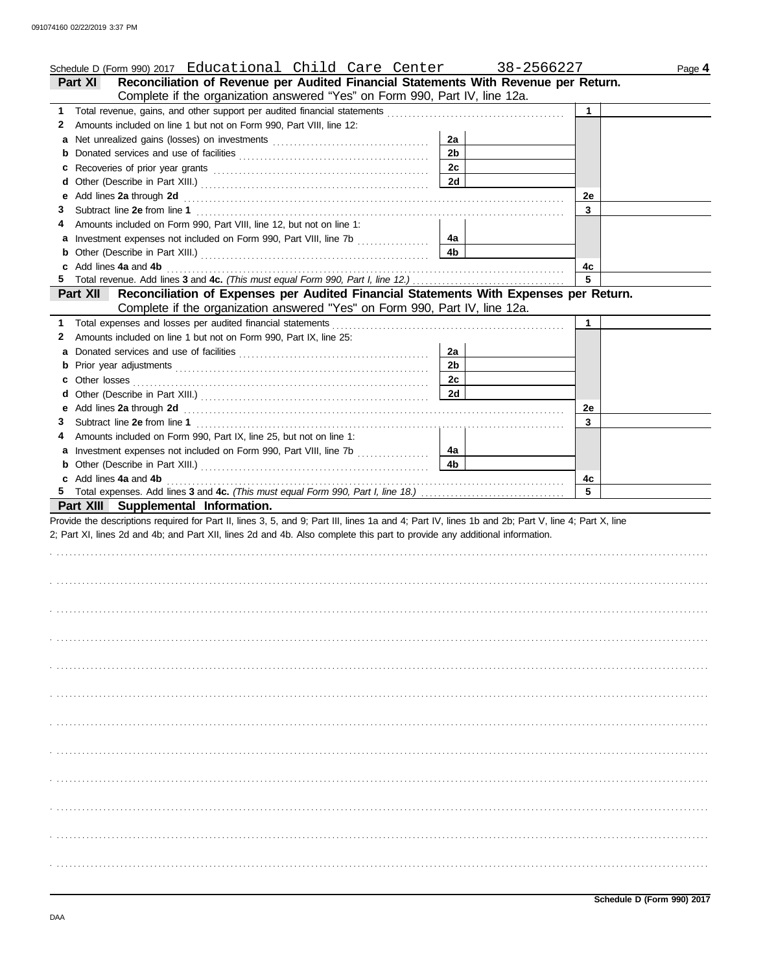|    | Schedule D (Form 990) 2017 Educational Child Care Center                                                                                                                                                                       |                | 38-2566227 |             | Page 4 |
|----|--------------------------------------------------------------------------------------------------------------------------------------------------------------------------------------------------------------------------------|----------------|------------|-------------|--------|
|    | Reconciliation of Revenue per Audited Financial Statements With Revenue per Return.<br><b>Part XI</b>                                                                                                                          |                |            |             |        |
|    | Complete if the organization answered "Yes" on Form 990, Part IV, line 12a.                                                                                                                                                    |                |            |             |        |
|    |                                                                                                                                                                                                                                |                |            | 1           |        |
| 2  | Amounts included on line 1 but not on Form 990, Part VIII, line 12:                                                                                                                                                            |                |            |             |        |
|    |                                                                                                                                                                                                                                | 2a             |            |             |        |
| b  |                                                                                                                                                                                                                                | 2 <sub>b</sub> |            |             |        |
| c  | Recoveries of prior year grants [100] contained a series of prior year grants [100] contained a series of prior                                                                                                                | 2c             |            |             |        |
| d  |                                                                                                                                                                                                                                | 2d             |            |             |        |
| е  | Add lines 2a through 2d [11] [12] Add [12] [12] Add lines 2a through 2d [12] [12] Add lines 2a through 2d                                                                                                                      |                |            | 2e          |        |
| З  |                                                                                                                                                                                                                                |                |            | 3           |        |
| 4  | Amounts included on Form 990, Part VIII, line 12, but not on line 1:                                                                                                                                                           |                |            |             |        |
|    | a Investment expenses not included on Form 990, Part VIII, line 7b [                                                                                                                                                           | 4a             |            |             |        |
| b  |                                                                                                                                                                                                                                | 4b             |            |             |        |
|    | c Add lines 4a and 4b                                                                                                                                                                                                          |                |            | 4с          |        |
| 5. |                                                                                                                                                                                                                                |                |            | 5           |        |
|    | Reconciliation of Expenses per Audited Financial Statements With Expenses per Return.<br><b>Part XII</b>                                                                                                                       |                |            |             |        |
|    | Complete if the organization answered "Yes" on Form 990, Part IV, line 12a.                                                                                                                                                    |                |            |             |        |
|    | 1 Total expenses and losses per audited financial statements [11] [11] Total expenses and losses and losses per audited financial statements [11] Total expenses and losses                                                    |                |            | $\mathbf 1$ |        |
| 2  | Amounts included on line 1 but not on Form 990, Part IX, line 25:                                                                                                                                                              |                |            |             |        |
|    | a Donated services and use of facilities [11] content to content the service of the service of the service of the service of the service of the service of the service of the service of the service of the service of the ser | 2a             |            |             |        |
| b  |                                                                                                                                                                                                                                | 2 <sub>b</sub> |            |             |        |
| c  |                                                                                                                                                                                                                                | 2c             |            |             |        |
| d  |                                                                                                                                                                                                                                | 2d             |            |             |        |
|    |                                                                                                                                                                                                                                |                |            | 2e          |        |
| З  |                                                                                                                                                                                                                                |                |            | 3           |        |
| 4  | Amounts included on Form 990, Part IX, line 25, but not on line 1:                                                                                                                                                             |                |            |             |        |
|    | a Investment expenses not included on Form 990, Part VIII, line 7b                                                                                                                                                             | 4a             |            |             |        |
|    |                                                                                                                                                                                                                                | 4 <sub>b</sub> |            |             |        |
|    | c Add lines 4a and 4b                                                                                                                                                                                                          |                |            | 4c          |        |
|    |                                                                                                                                                                                                                                |                |            | 5           |        |
|    | Part XIII Supplemental Information.                                                                                                                                                                                            |                |            |             |        |
|    | Provide the descriptions required for Part II, lines 3, 5, and 9; Part III, lines 1a and 4; Part IV, lines 1b and 2b; Part V, line 4; Part X, line                                                                             |                |            |             |        |
|    | 2; Part XI, lines 2d and 4b; and Part XII, lines 2d and 4b. Also complete this part to provide any additional information.                                                                                                     |                |            |             |        |
|    |                                                                                                                                                                                                                                |                |            |             |        |
|    |                                                                                                                                                                                                                                |                |            |             |        |
|    |                                                                                                                                                                                                                                |                |            |             |        |
|    |                                                                                                                                                                                                                                |                |            |             |        |
|    |                                                                                                                                                                                                                                |                |            |             |        |
|    |                                                                                                                                                                                                                                |                |            |             |        |
|    |                                                                                                                                                                                                                                |                |            |             |        |
|    |                                                                                                                                                                                                                                |                |            |             |        |
|    |                                                                                                                                                                                                                                |                |            |             |        |
|    |                                                                                                                                                                                                                                |                |            |             |        |
|    |                                                                                                                                                                                                                                |                |            |             |        |
|    |                                                                                                                                                                                                                                |                |            |             |        |
|    |                                                                                                                                                                                                                                |                |            |             |        |
|    |                                                                                                                                                                                                                                |                |            |             |        |
|    |                                                                                                                                                                                                                                |                |            |             |        |
|    |                                                                                                                                                                                                                                |                |            |             |        |
|    |                                                                                                                                                                                                                                |                |            |             |        |
|    |                                                                                                                                                                                                                                |                |            |             |        |
|    |                                                                                                                                                                                                                                |                |            |             |        |
|    |                                                                                                                                                                                                                                |                |            |             |        |
|    |                                                                                                                                                                                                                                |                |            |             |        |
|    |                                                                                                                                                                                                                                |                |            |             |        |
|    |                                                                                                                                                                                                                                |                |            |             |        |
|    |                                                                                                                                                                                                                                |                |            |             |        |
|    |                                                                                                                                                                                                                                |                |            |             |        |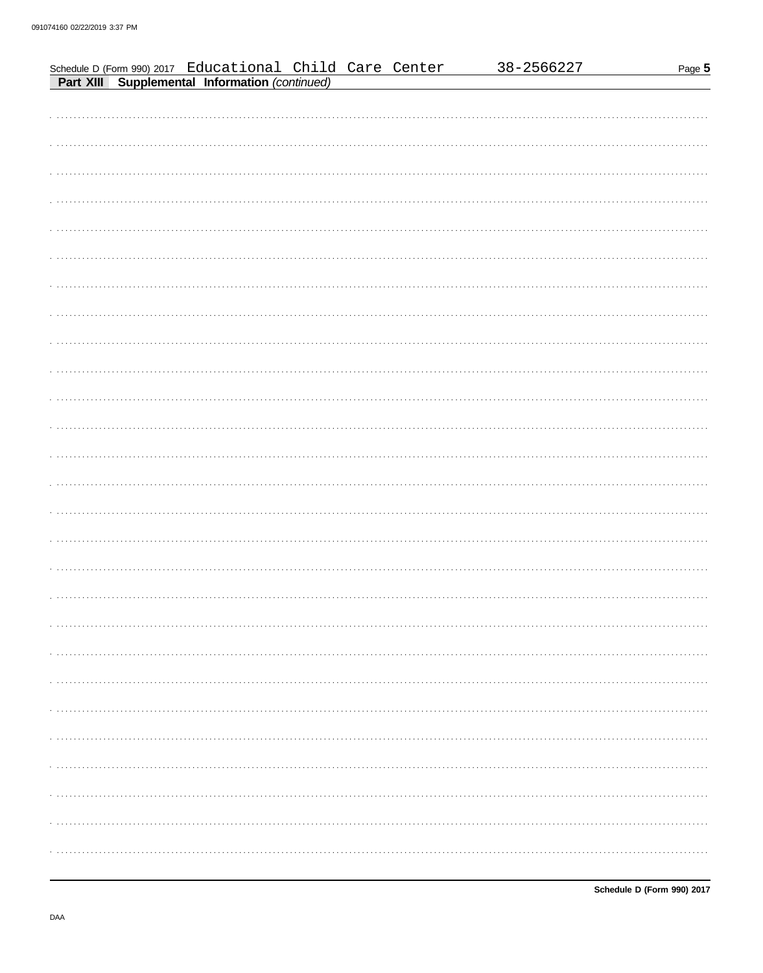|  | Schedule D (Form 990) 2017 Educational Child Care Center<br><b>Part XIII Supplemental Information</b> (continued) |  | 38-2566227 | Page 5 |
|--|-------------------------------------------------------------------------------------------------------------------|--|------------|--------|
|  |                                                                                                                   |  |            |        |
|  |                                                                                                                   |  |            |        |
|  |                                                                                                                   |  |            |        |
|  |                                                                                                                   |  |            |        |
|  |                                                                                                                   |  |            |        |
|  |                                                                                                                   |  |            |        |
|  |                                                                                                                   |  |            |        |
|  |                                                                                                                   |  |            |        |
|  |                                                                                                                   |  |            | .      |
|  |                                                                                                                   |  |            |        |
|  |                                                                                                                   |  |            |        |
|  |                                                                                                                   |  |            |        |
|  |                                                                                                                   |  |            |        |
|  |                                                                                                                   |  |            |        |
|  |                                                                                                                   |  |            |        |
|  |                                                                                                                   |  |            |        |
|  |                                                                                                                   |  |            |        |
|  |                                                                                                                   |  |            |        |
|  |                                                                                                                   |  |            |        |
|  |                                                                                                                   |  |            |        |
|  |                                                                                                                   |  |            |        |
|  |                                                                                                                   |  |            |        |
|  |                                                                                                                   |  |            |        |
|  |                                                                                                                   |  |            |        |
|  |                                                                                                                   |  |            |        |
|  |                                                                                                                   |  |            |        |
|  |                                                                                                                   |  |            |        |
|  |                                                                                                                   |  |            |        |
|  |                                                                                                                   |  |            |        |
|  |                                                                                                                   |  |            |        |
|  |                                                                                                                   |  |            |        |
|  |                                                                                                                   |  |            |        |
|  |                                                                                                                   |  |            |        |
|  |                                                                                                                   |  |            |        |
|  |                                                                                                                   |  |            |        |
|  |                                                                                                                   |  |            |        |
|  |                                                                                                                   |  |            |        |
|  |                                                                                                                   |  |            |        |
|  |                                                                                                                   |  |            |        |
|  |                                                                                                                   |  |            |        |
|  |                                                                                                                   |  |            |        |
|  |                                                                                                                   |  |            |        |
|  |                                                                                                                   |  |            |        |
|  |                                                                                                                   |  |            |        |
|  |                                                                                                                   |  |            |        |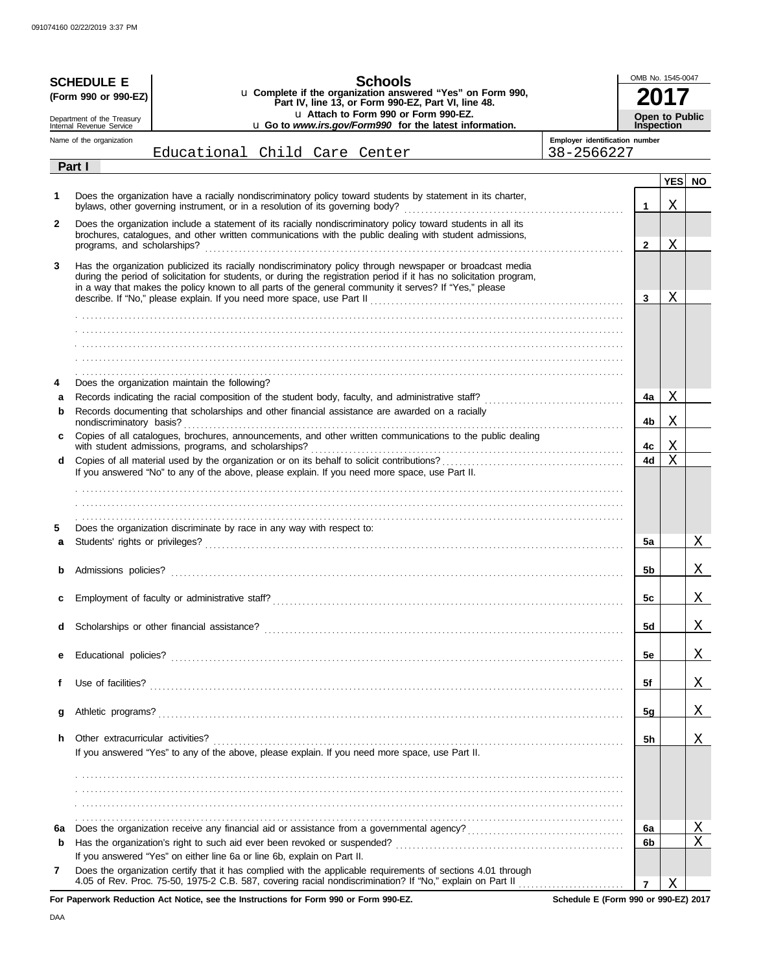|              | <b>SCHEDULE E</b><br>(Form 990 or 990-EZ)              | <b>Schools</b><br>u Complete if the organization answered "Yes" on Form 990,<br>Part IV, line 13, or Form 990-EZ, Part VI, line 48.<br>u Attach to Form 990 or Form 990-EZ.                                                                                                                                                                                                                                            |                                | OMB No. 1545-0047<br>Open to Public |            |           |
|--------------|--------------------------------------------------------|------------------------------------------------------------------------------------------------------------------------------------------------------------------------------------------------------------------------------------------------------------------------------------------------------------------------------------------------------------------------------------------------------------------------|--------------------------------|-------------------------------------|------------|-----------|
|              | Department of the Treasury<br>Internal Revenue Service | u Go to www.irs.gov/Form990 for the latest information.                                                                                                                                                                                                                                                                                                                                                                |                                | <b>Inspection</b>                   |            |           |
|              | Name of the organization                               |                                                                                                                                                                                                                                                                                                                                                                                                                        | Employer identification number |                                     |            |           |
|              | Part I                                                 | Educational Child Care Center                                                                                                                                                                                                                                                                                                                                                                                          | 38-2566227                     |                                     |            |           |
|              |                                                        |                                                                                                                                                                                                                                                                                                                                                                                                                        |                                |                                     | <b>YES</b> | <b>NO</b> |
| 1            |                                                        | Does the organization have a racially nondiscriminatory policy toward students by statement in its charter,                                                                                                                                                                                                                                                                                                            |                                | 1                                   | Χ          |           |
| $\mathbf{2}$ | programs, and scholarships?                            | Does the organization include a statement of its racially nondiscriminatory policy toward students in all its<br>brochures, catalogues, and other written communications with the public dealing with student admissions,                                                                                                                                                                                              |                                | $\mathbf{2}$                        | X          |           |
| 3            |                                                        | Has the organization publicized its racially nondiscriminatory policy through newspaper or broadcast media<br>during the period of solicitation for students, or during the registration period if it has no solicitation program,<br>in a way that makes the policy known to all parts of the general community it serves? If "Yes," please<br>describe. If "No." please explain. If you need more space, use Part II |                                | 3                                   | Χ          |           |
|              |                                                        |                                                                                                                                                                                                                                                                                                                                                                                                                        |                                |                                     |            |           |
|              |                                                        |                                                                                                                                                                                                                                                                                                                                                                                                                        |                                |                                     |            |           |
|              |                                                        |                                                                                                                                                                                                                                                                                                                                                                                                                        |                                |                                     |            |           |
|              |                                                        |                                                                                                                                                                                                                                                                                                                                                                                                                        |                                |                                     |            |           |
|              |                                                        |                                                                                                                                                                                                                                                                                                                                                                                                                        |                                |                                     |            |           |
| 4            |                                                        | Does the organization maintain the following?                                                                                                                                                                                                                                                                                                                                                                          |                                |                                     |            |           |
| a<br>b       |                                                        | Records indicating the racial composition of the student body, faculty, and administrative staff?<br>Records documenting that scholarships and other financial assistance are awarded on a racially                                                                                                                                                                                                                    |                                | 4a                                  | Χ          |           |
|              | nondiscriminatory basis?                               |                                                                                                                                                                                                                                                                                                                                                                                                                        |                                | 4b                                  | Χ          |           |
| c            |                                                        | Copies of all catalogues, brochures, announcements, and other written communications to the public dealing<br>with student admissions, programs, and scholarships?                                                                                                                                                                                                                                                     |                                | 4с                                  | Χ          |           |
| d            |                                                        | If you answered "No" to any of the above, please explain. If you need more space, use Part II.                                                                                                                                                                                                                                                                                                                         |                                | 4d                                  | X          |           |
|              |                                                        |                                                                                                                                                                                                                                                                                                                                                                                                                        |                                |                                     |            |           |
|              |                                                        |                                                                                                                                                                                                                                                                                                                                                                                                                        |                                |                                     |            |           |
|              |                                                        |                                                                                                                                                                                                                                                                                                                                                                                                                        |                                |                                     |            |           |
| 5            |                                                        | Does the organization discriminate by race in any way with respect to:                                                                                                                                                                                                                                                                                                                                                 |                                |                                     |            |           |
| a            |                                                        |                                                                                                                                                                                                                                                                                                                                                                                                                        |                                | 5a                                  |            | Χ         |
|              |                                                        |                                                                                                                                                                                                                                                                                                                                                                                                                        |                                |                                     |            |           |
|              | Admissions policies?                                   |                                                                                                                                                                                                                                                                                                                                                                                                                        |                                | 5b                                  |            | Χ         |
| с            |                                                        |                                                                                                                                                                                                                                                                                                                                                                                                                        |                                | 5c                                  |            | X,        |
|              |                                                        | Scholarships or other financial assistance?                                                                                                                                                                                                                                                                                                                                                                            |                                | 5d                                  |            | Χ         |
| d            |                                                        |                                                                                                                                                                                                                                                                                                                                                                                                                        |                                |                                     |            |           |
| е            |                                                        |                                                                                                                                                                                                                                                                                                                                                                                                                        |                                | 5e                                  |            | X         |
|              |                                                        |                                                                                                                                                                                                                                                                                                                                                                                                                        |                                |                                     |            |           |
| f            | Use of facilities?                                     |                                                                                                                                                                                                                                                                                                                                                                                                                        |                                | 5f                                  |            | X         |
|              |                                                        |                                                                                                                                                                                                                                                                                                                                                                                                                        |                                |                                     |            |           |
| g            | Athletic programs?                                     |                                                                                                                                                                                                                                                                                                                                                                                                                        |                                | 5 <sub>g</sub>                      |            | X         |
| h.           | Other extracurricular activities?                      |                                                                                                                                                                                                                                                                                                                                                                                                                        |                                | 5h                                  |            |           |
|              |                                                        | If you answered "Yes" to any of the above, please explain. If you need more space, use Part II.                                                                                                                                                                                                                                                                                                                        |                                |                                     |            | Χ         |
|              |                                                        |                                                                                                                                                                                                                                                                                                                                                                                                                        |                                |                                     |            |           |
|              |                                                        |                                                                                                                                                                                                                                                                                                                                                                                                                        |                                |                                     |            |           |
|              |                                                        |                                                                                                                                                                                                                                                                                                                                                                                                                        |                                |                                     |            |           |
|              |                                                        |                                                                                                                                                                                                                                                                                                                                                                                                                        |                                |                                     |            |           |
| 6a           |                                                        |                                                                                                                                                                                                                                                                                                                                                                                                                        |                                | 6a                                  |            | <u>X</u>  |
| b            |                                                        |                                                                                                                                                                                                                                                                                                                                                                                                                        |                                | 6b                                  |            | X         |
|              |                                                        | If you answered "Yes" on either line 6a or line 6b, explain on Part II.                                                                                                                                                                                                                                                                                                                                                |                                |                                     |            |           |
| 7            |                                                        | Does the organization certify that it has complied with the applicable requirements of sections 4.01 through                                                                                                                                                                                                                                                                                                           |                                |                                     |            |           |
|              |                                                        | 4.05 of Rev. Proc. 75-50, 1975-2 C.B. 587, covering racial nondiscrimination? If "No," explain on Part II                                                                                                                                                                                                                                                                                                              |                                | 7                                   | Χ          |           |

**For Paperwork Reduction Act Notice, see the Instructions for Form 990 or Form 990-EZ.**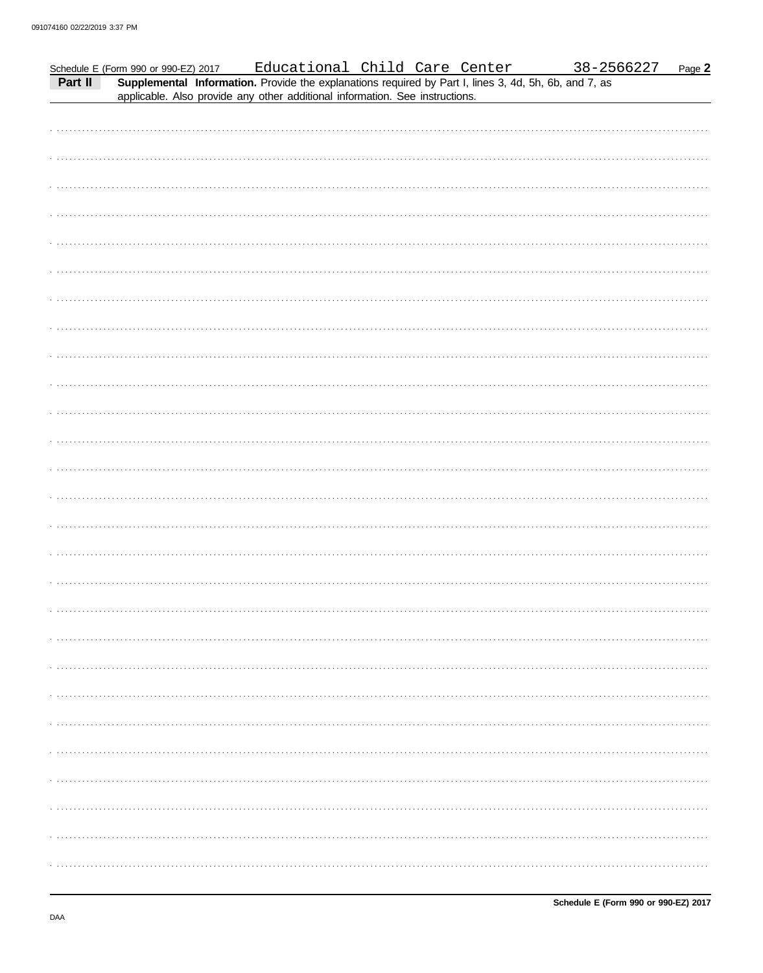| Part II | or 990 or 990-EZ) 2017 Educational Child Care Center 38-25<br><b>Supplemental Information</b> . Provide the explanations required by Part I, lines 3, 4d, 5h, 6b, and 7, as<br>Schedule E (Form 990 or 990-EZ) 2017<br>applicable. Also provide any other additional information. See instructions. |  |  |  | 38-2566227 | Page 2 |
|---------|-----------------------------------------------------------------------------------------------------------------------------------------------------------------------------------------------------------------------------------------------------------------------------------------------------|--|--|--|------------|--------|
|         |                                                                                                                                                                                                                                                                                                     |  |  |  |            |        |
|         |                                                                                                                                                                                                                                                                                                     |  |  |  |            |        |
|         |                                                                                                                                                                                                                                                                                                     |  |  |  |            |        |
|         |                                                                                                                                                                                                                                                                                                     |  |  |  |            |        |
|         |                                                                                                                                                                                                                                                                                                     |  |  |  |            |        |
|         |                                                                                                                                                                                                                                                                                                     |  |  |  |            |        |
|         |                                                                                                                                                                                                                                                                                                     |  |  |  |            |        |
|         |                                                                                                                                                                                                                                                                                                     |  |  |  |            |        |
|         |                                                                                                                                                                                                                                                                                                     |  |  |  |            |        |
|         |                                                                                                                                                                                                                                                                                                     |  |  |  |            |        |
|         |                                                                                                                                                                                                                                                                                                     |  |  |  |            |        |
|         |                                                                                                                                                                                                                                                                                                     |  |  |  |            |        |
|         |                                                                                                                                                                                                                                                                                                     |  |  |  |            |        |
|         |                                                                                                                                                                                                                                                                                                     |  |  |  |            |        |
|         |                                                                                                                                                                                                                                                                                                     |  |  |  |            |        |
|         |                                                                                                                                                                                                                                                                                                     |  |  |  |            |        |
|         |                                                                                                                                                                                                                                                                                                     |  |  |  |            |        |
|         |                                                                                                                                                                                                                                                                                                     |  |  |  |            |        |
|         |                                                                                                                                                                                                                                                                                                     |  |  |  |            |        |
|         |                                                                                                                                                                                                                                                                                                     |  |  |  |            |        |
|         |                                                                                                                                                                                                                                                                                                     |  |  |  |            |        |
|         |                                                                                                                                                                                                                                                                                                     |  |  |  |            |        |
|         |                                                                                                                                                                                                                                                                                                     |  |  |  |            |        |
|         |                                                                                                                                                                                                                                                                                                     |  |  |  |            |        |
|         |                                                                                                                                                                                                                                                                                                     |  |  |  |            |        |
|         |                                                                                                                                                                                                                                                                                                     |  |  |  |            |        |
|         |                                                                                                                                                                                                                                                                                                     |  |  |  |            |        |
|         |                                                                                                                                                                                                                                                                                                     |  |  |  |            |        |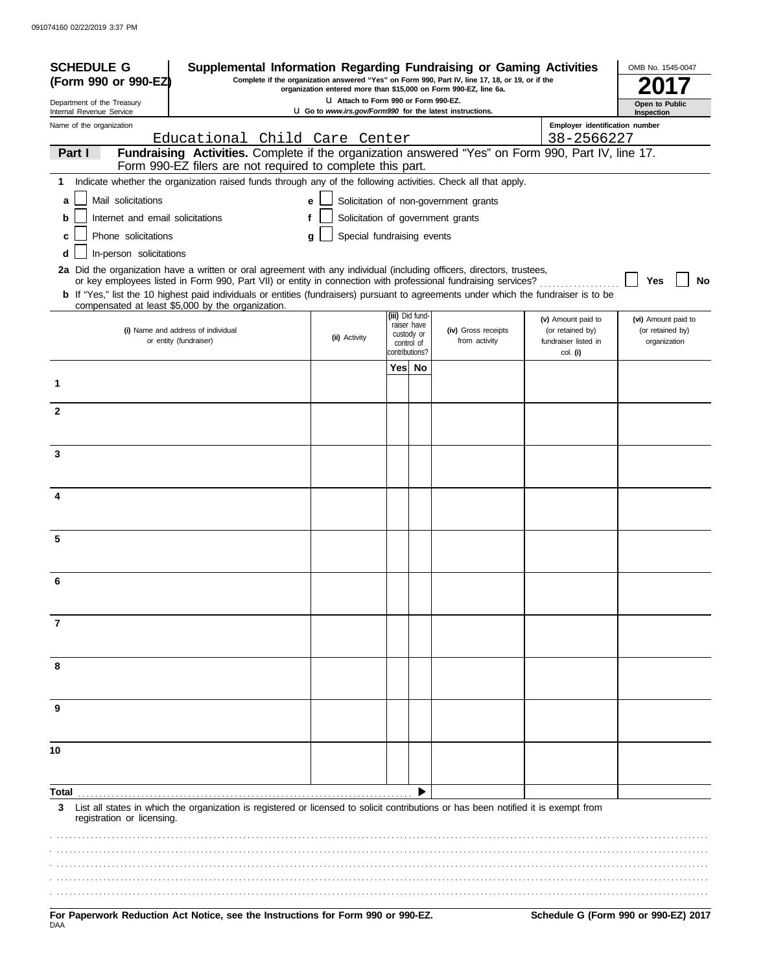| <b>SCHEDULE G</b><br>Supplemental Information Regarding Fundraising or Gaming Activities<br>Complete if the organization answered "Yes" on Form 990, Part IV, line 17, 18, or 19, or if the<br>(Form 990 or 990-EZ)<br>organization entered more than \$15,000 on Form 990-EZ, line 6a. |                                                                                                                                                                                                                                                         |                                                                                                  |                          |                                |                                       |                                        | OMB No. 1545-0047                       |
|-----------------------------------------------------------------------------------------------------------------------------------------------------------------------------------------------------------------------------------------------------------------------------------------|---------------------------------------------------------------------------------------------------------------------------------------------------------------------------------------------------------------------------------------------------------|--------------------------------------------------------------------------------------------------|--------------------------|--------------------------------|---------------------------------------|----------------------------------------|-----------------------------------------|
| Department of the Treasury<br>Internal Revenue Service                                                                                                                                                                                                                                  |                                                                                                                                                                                                                                                         | U Attach to Form 990 or Form 990-EZ.<br>U Go to www.irs.gov/Form990 for the latest instructions. |                          |                                |                                       |                                        | Open to Public<br>Inspection            |
| Name of the organization                                                                                                                                                                                                                                                                |                                                                                                                                                                                                                                                         |                                                                                                  |                          |                                |                                       | Employer identification number         |                                         |
|                                                                                                                                                                                                                                                                                         | Educational Child Care Center                                                                                                                                                                                                                           |                                                                                                  |                          |                                |                                       | 38-2566227                             |                                         |
| Part I                                                                                                                                                                                                                                                                                  | Fundraising Activities. Complete if the organization answered "Yes" on Form 990, Part IV, line 17.<br>Form 990-EZ filers are not required to complete this part.                                                                                        |                                                                                                  |                          |                                |                                       |                                        |                                         |
| 1.                                                                                                                                                                                                                                                                                      | Indicate whether the organization raised funds through any of the following activities. Check all that apply.                                                                                                                                           |                                                                                                  |                          |                                |                                       |                                        |                                         |
| Mail solicitations<br>a                                                                                                                                                                                                                                                                 |                                                                                                                                                                                                                                                         | е                                                                                                |                          |                                | Solicitation of non-government grants |                                        |                                         |
| Internet and email solicitations<br>b                                                                                                                                                                                                                                                   |                                                                                                                                                                                                                                                         | f                                                                                                |                          |                                | Solicitation of government grants     |                                        |                                         |
| Phone solicitations<br>c                                                                                                                                                                                                                                                                |                                                                                                                                                                                                                                                         | Special fundraising events<br>g                                                                  |                          |                                |                                       |                                        |                                         |
| In-person solicitations<br>d                                                                                                                                                                                                                                                            |                                                                                                                                                                                                                                                         |                                                                                                  |                          |                                |                                       |                                        |                                         |
|                                                                                                                                                                                                                                                                                         | 2a Did the organization have a written or oral agreement with any individual (including officers, directors, trustees,                                                                                                                                  |                                                                                                  |                          |                                |                                       |                                        |                                         |
|                                                                                                                                                                                                                                                                                         | or key employees listed in Form 990, Part VII) or entity in connection with professional fundraising services?<br>b If "Yes," list the 10 highest paid individuals or entities (fundraisers) pursuant to agreements under which the fundraiser is to be |                                                                                                  |                          |                                |                                       |                                        | Yes<br>No                               |
|                                                                                                                                                                                                                                                                                         | compensated at least \$5,000 by the organization.                                                                                                                                                                                                       |                                                                                                  |                          |                                |                                       |                                        |                                         |
|                                                                                                                                                                                                                                                                                         | (i) Name and address of individual                                                                                                                                                                                                                      |                                                                                                  |                          | (iii) Did fund-<br>raiser have | (iv) Gross receipts                   | (v) Amount paid to<br>(or retained by) | (vi) Amount paid to<br>(or retained by) |
|                                                                                                                                                                                                                                                                                         | or entity (fundraiser)                                                                                                                                                                                                                                  | (ii) Activity                                                                                    |                          | custody or<br>control of       | from activity                         | fundraiser listed in                   | organization                            |
|                                                                                                                                                                                                                                                                                         |                                                                                                                                                                                                                                                         |                                                                                                  | contributions?<br>Yes No |                                |                                       | col. (i)                               |                                         |
| 1                                                                                                                                                                                                                                                                                       |                                                                                                                                                                                                                                                         |                                                                                                  |                          |                                |                                       |                                        |                                         |
|                                                                                                                                                                                                                                                                                         |                                                                                                                                                                                                                                                         |                                                                                                  |                          |                                |                                       |                                        |                                         |
| $\mathbf{2}$                                                                                                                                                                                                                                                                            |                                                                                                                                                                                                                                                         |                                                                                                  |                          |                                |                                       |                                        |                                         |
|                                                                                                                                                                                                                                                                                         |                                                                                                                                                                                                                                                         |                                                                                                  |                          |                                |                                       |                                        |                                         |
| 3                                                                                                                                                                                                                                                                                       |                                                                                                                                                                                                                                                         |                                                                                                  |                          |                                |                                       |                                        |                                         |
|                                                                                                                                                                                                                                                                                         |                                                                                                                                                                                                                                                         |                                                                                                  |                          |                                |                                       |                                        |                                         |
|                                                                                                                                                                                                                                                                                         |                                                                                                                                                                                                                                                         |                                                                                                  |                          |                                |                                       |                                        |                                         |
| 4                                                                                                                                                                                                                                                                                       |                                                                                                                                                                                                                                                         |                                                                                                  |                          |                                |                                       |                                        |                                         |
|                                                                                                                                                                                                                                                                                         |                                                                                                                                                                                                                                                         |                                                                                                  |                          |                                |                                       |                                        |                                         |
| 5                                                                                                                                                                                                                                                                                       |                                                                                                                                                                                                                                                         |                                                                                                  |                          |                                |                                       |                                        |                                         |
|                                                                                                                                                                                                                                                                                         |                                                                                                                                                                                                                                                         |                                                                                                  |                          |                                |                                       |                                        |                                         |
| 6                                                                                                                                                                                                                                                                                       |                                                                                                                                                                                                                                                         |                                                                                                  |                          |                                |                                       |                                        |                                         |
|                                                                                                                                                                                                                                                                                         |                                                                                                                                                                                                                                                         |                                                                                                  |                          |                                |                                       |                                        |                                         |
| 7                                                                                                                                                                                                                                                                                       |                                                                                                                                                                                                                                                         |                                                                                                  |                          |                                |                                       |                                        |                                         |
|                                                                                                                                                                                                                                                                                         |                                                                                                                                                                                                                                                         |                                                                                                  |                          |                                |                                       |                                        |                                         |
|                                                                                                                                                                                                                                                                                         |                                                                                                                                                                                                                                                         |                                                                                                  |                          |                                |                                       |                                        |                                         |
| 8                                                                                                                                                                                                                                                                                       |                                                                                                                                                                                                                                                         |                                                                                                  |                          |                                |                                       |                                        |                                         |
|                                                                                                                                                                                                                                                                                         |                                                                                                                                                                                                                                                         |                                                                                                  |                          |                                |                                       |                                        |                                         |
| 9                                                                                                                                                                                                                                                                                       |                                                                                                                                                                                                                                                         |                                                                                                  |                          |                                |                                       |                                        |                                         |
|                                                                                                                                                                                                                                                                                         |                                                                                                                                                                                                                                                         |                                                                                                  |                          |                                |                                       |                                        |                                         |
|                                                                                                                                                                                                                                                                                         |                                                                                                                                                                                                                                                         |                                                                                                  |                          |                                |                                       |                                        |                                         |
| 10                                                                                                                                                                                                                                                                                      |                                                                                                                                                                                                                                                         |                                                                                                  |                          |                                |                                       |                                        |                                         |
|                                                                                                                                                                                                                                                                                         |                                                                                                                                                                                                                                                         |                                                                                                  |                          |                                |                                       |                                        |                                         |
| Total                                                                                                                                                                                                                                                                                   |                                                                                                                                                                                                                                                         |                                                                                                  |                          |                                |                                       |                                        |                                         |
| 3<br>registration or licensing.                                                                                                                                                                                                                                                         | List all states in which the organization is registered or licensed to solicit contributions or has been notified it is exempt from                                                                                                                     |                                                                                                  |                          |                                |                                       |                                        |                                         |
|                                                                                                                                                                                                                                                                                         |                                                                                                                                                                                                                                                         |                                                                                                  |                          |                                |                                       |                                        |                                         |
|                                                                                                                                                                                                                                                                                         |                                                                                                                                                                                                                                                         |                                                                                                  |                          |                                |                                       |                                        |                                         |
|                                                                                                                                                                                                                                                                                         |                                                                                                                                                                                                                                                         |                                                                                                  |                          |                                |                                       |                                        |                                         |
|                                                                                                                                                                                                                                                                                         |                                                                                                                                                                                                                                                         |                                                                                                  |                          |                                |                                       |                                        |                                         |
|                                                                                                                                                                                                                                                                                         |                                                                                                                                                                                                                                                         |                                                                                                  |                          |                                |                                       |                                        |                                         |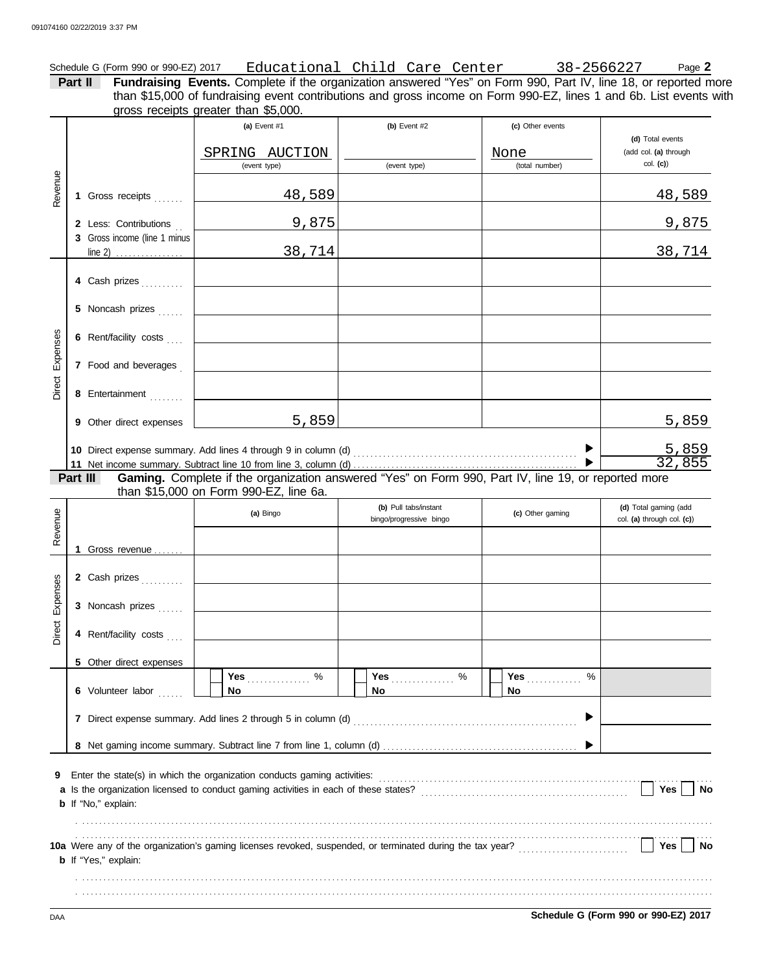Schedule G (Form 990 or 990-EZ) 2017 <u>Educational Child Care Center 38-2566227</u> Page **2** 

**Part II Fundraising Events.** Complete if the organization answered "Yes" on Form 990, Part IV, line 18, or reported more than \$15,000 of fundraising event contributions and gross income on Form 990-EZ, lines 1 and 6b. List events with

|                 |                                                                    | gross receipts greater than \$5,000.                                                                                                                                                                                   |                                                  |                                            |                                                          |  |  |  |  |  |
|-----------------|--------------------------------------------------------------------|------------------------------------------------------------------------------------------------------------------------------------------------------------------------------------------------------------------------|--------------------------------------------------|--------------------------------------------|----------------------------------------------------------|--|--|--|--|--|
|                 |                                                                    | (a) Event #1<br>SPRING AUCTION<br>(event type)                                                                                                                                                                         | (b) Event $#2$<br>(event type)                   | (c) Other events<br>None<br>(total number) | (d) Total events<br>(add col. (a) through<br>$col.$ (c)) |  |  |  |  |  |
| Revenue         | 1 Gross receipts                                                   | 48,589                                                                                                                                                                                                                 |                                                  |                                            | 48,589                                                   |  |  |  |  |  |
|                 | 2 Less: Contributions<br>3 Gross income (line 1 minus              | 9,875                                                                                                                                                                                                                  |                                                  |                                            | 9,875                                                    |  |  |  |  |  |
|                 | $line 2)$                                                          | 38,714                                                                                                                                                                                                                 |                                                  |                                            | 38,714                                                   |  |  |  |  |  |
|                 | 4 Cash prizes                                                      |                                                                                                                                                                                                                        |                                                  |                                            |                                                          |  |  |  |  |  |
|                 | 5 Noncash prizes                                                   |                                                                                                                                                                                                                        |                                                  |                                            |                                                          |  |  |  |  |  |
|                 | 6 Rent/facility costs                                              |                                                                                                                                                                                                                        |                                                  |                                            |                                                          |  |  |  |  |  |
| Direct Expenses | 7 Food and beverages                                               |                                                                                                                                                                                                                        |                                                  |                                            |                                                          |  |  |  |  |  |
|                 | 8 Entertainment                                                    |                                                                                                                                                                                                                        |                                                  |                                            |                                                          |  |  |  |  |  |
|                 | 9 Other direct expenses                                            | 5,859                                                                                                                                                                                                                  |                                                  |                                            | 5,859                                                    |  |  |  |  |  |
|                 | Part III                                                           | Gaming. Complete if the organization answered "Yes" on Form 990, Part IV, line 19, or reported more                                                                                                                    |                                                  |                                            | <u>5,859</u><br>32,855                                   |  |  |  |  |  |
|                 |                                                                    | than \$15,000 on Form 990-EZ, line 6a.                                                                                                                                                                                 |                                                  |                                            |                                                          |  |  |  |  |  |
| Revenue         |                                                                    | (a) Bingo                                                                                                                                                                                                              | (b) Pull tabs/instant<br>bingo/progressive bingo | (c) Other gaming                           | (d) Total gaming (add<br>col. (a) through col. (c))      |  |  |  |  |  |
|                 | 1 Gross revenue                                                    |                                                                                                                                                                                                                        |                                                  |                                            |                                                          |  |  |  |  |  |
|                 | 2 Cash prizes                                                      |                                                                                                                                                                                                                        |                                                  |                                            |                                                          |  |  |  |  |  |
| Expenses        | 3 Noncash prizes                                                   |                                                                                                                                                                                                                        |                                                  |                                            |                                                          |  |  |  |  |  |
| Direct          | 4 Rent/facility costs                                              |                                                                                                                                                                                                                        |                                                  |                                            |                                                          |  |  |  |  |  |
|                 | 5 Other direct expenses                                            |                                                                                                                                                                                                                        |                                                  |                                            |                                                          |  |  |  |  |  |
|                 | 6 Volunteer labor                                                  | Yes %<br><b>No</b>                                                                                                                                                                                                     | Yes %<br><b>No</b>                               | <b>Yes</b><br>%<br>No.                     |                                                          |  |  |  |  |  |
|                 | ▶<br>7 Direct expense summary. Add lines 2 through 5 in column (d) |                                                                                                                                                                                                                        |                                                  |                                            |                                                          |  |  |  |  |  |
|                 |                                                                    |                                                                                                                                                                                                                        |                                                  |                                            |                                                          |  |  |  |  |  |
|                 |                                                                    |                                                                                                                                                                                                                        |                                                  |                                            |                                                          |  |  |  |  |  |
| 9               | <b>b</b> If "No," explain:                                         |                                                                                                                                                                                                                        |                                                  |                                            | Yes<br><b>No</b>                                         |  |  |  |  |  |
|                 | <b>b</b> If "Yes," explain:                                        | 10a Were any of the organization's gaming licenses revoked, suspended, or terminated during the tax year?<br>10a Were any of the organization's gaming licenses revoked, suspended, or terminated during the tax year? |                                                  |                                            | $Yes \mid$<br>No                                         |  |  |  |  |  |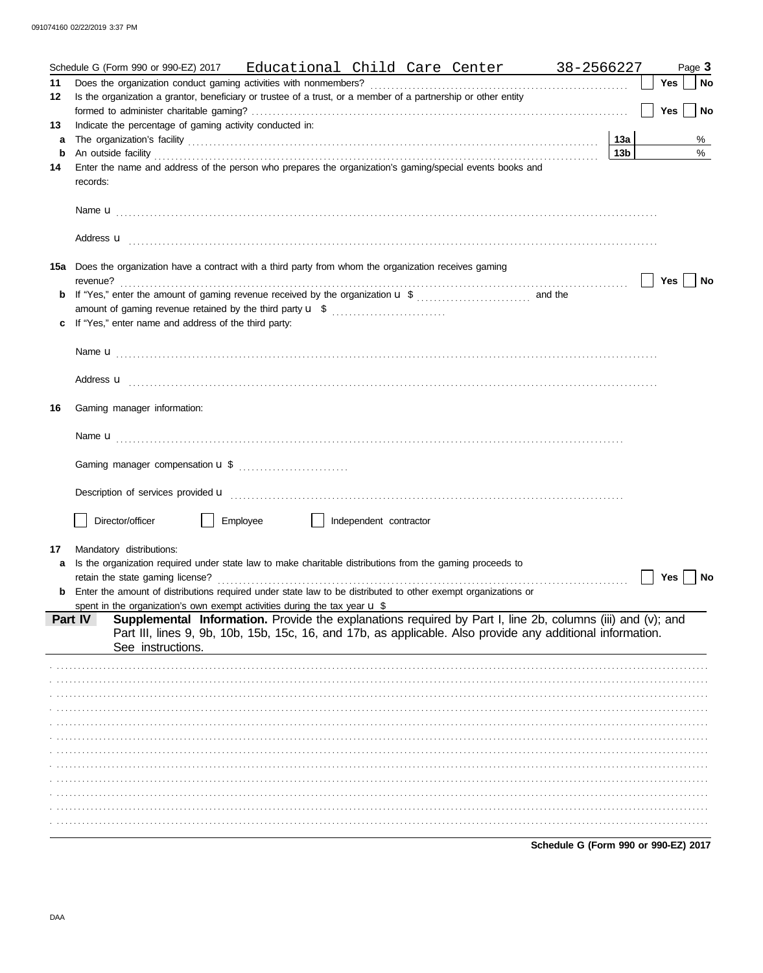|         | Schedule G (Form 990 or 990-EZ) 2017 Educational Child Care Center 38-2566227                                                                                                                                                             |                 |            | Page 3 |
|---------|-------------------------------------------------------------------------------------------------------------------------------------------------------------------------------------------------------------------------------------------|-----------------|------------|--------|
| 11      |                                                                                                                                                                                                                                           |                 | <b>Yes</b> | No     |
| $12 \,$ | Is the organization a grantor, beneficiary or trustee of a trust, or a member of a partnership or other entity                                                                                                                            |                 |            |        |
|         |                                                                                                                                                                                                                                           |                 | <b>Yes</b> | No     |
| 13      | Indicate the percentage of gaming activity conducted in:                                                                                                                                                                                  | 13а             |            | %      |
| a<br>b  |                                                                                                                                                                                                                                           | 13 <sub>b</sub> |            | %      |
| 14      | Enter the name and address of the person who prepares the organization's gaming/special events books and                                                                                                                                  |                 |            |        |
|         | records:                                                                                                                                                                                                                                  |                 |            |        |
|         |                                                                                                                                                                                                                                           |                 |            |        |
|         |                                                                                                                                                                                                                                           |                 |            |        |
|         |                                                                                                                                                                                                                                           |                 |            |        |
|         | Address <b>u</b> <u>decree and the contract of the contract of the contract of the contract of the contract of the contract of the contract of the contract of the contract of the contract of the contract of the contract of the co</u> |                 |            |        |
|         | 15a Does the organization have a contract with a third party from whom the organization receives gaming                                                                                                                                   |                 |            |        |
|         |                                                                                                                                                                                                                                           |                 | Yes        | No     |
| b       |                                                                                                                                                                                                                                           |                 |            |        |
|         | amount of gaming revenue retained by the third party <b>u</b> \$                                                                                                                                                                          |                 |            |        |
| c       | If "Yes," enter name and address of the third party:                                                                                                                                                                                      |                 |            |        |
|         |                                                                                                                                                                                                                                           |                 |            |        |
|         |                                                                                                                                                                                                                                           |                 |            |        |
|         |                                                                                                                                                                                                                                           |                 |            |        |
|         | Address <b>u</b>                                                                                                                                                                                                                          |                 |            |        |
| 16      | Gaming manager information:                                                                                                                                                                                                               |                 |            |        |
|         |                                                                                                                                                                                                                                           |                 |            |        |
|         |                                                                                                                                                                                                                                           |                 |            |        |
|         |                                                                                                                                                                                                                                           |                 |            |        |
|         | Gaming manager compensation <b>u</b> \$                                                                                                                                                                                                   |                 |            |        |
|         |                                                                                                                                                                                                                                           |                 |            |        |
|         | Description of services provided <b>u</b> electron contract the contract of the contract of the contract of the contract of the contract of the contract of the contract of the contract of the contract of the contract of the con       |                 |            |        |
|         | Director/officer<br>Employee<br>    Independent contractor                                                                                                                                                                                |                 |            |        |
|         |                                                                                                                                                                                                                                           |                 |            |        |
| 17      | Mandatory distributions:                                                                                                                                                                                                                  |                 |            |        |
| a       | Is the organization required under state law to make charitable distributions from the gaming proceeds to                                                                                                                                 |                 |            |        |
|         | retain the state gaming license?                                                                                                                                                                                                          |                 | Yes        | No     |
| b       | Enter the amount of distributions required under state law to be distributed to other exempt organizations or                                                                                                                             |                 |            |        |
|         | spent in the organization's own exempt activities during the tax year $\mathbf{u}$ \$                                                                                                                                                     |                 |            |        |
|         | Supplemental Information. Provide the explanations required by Part I, line 2b, columns (iii) and (v); and<br>Part IV                                                                                                                     |                 |            |        |
|         | Part III, lines 9, 9b, 10b, 15b, 15c, 16, and 17b, as applicable. Also provide any additional information.<br>See instructions.                                                                                                           |                 |            |        |
|         |                                                                                                                                                                                                                                           |                 |            |        |
|         |                                                                                                                                                                                                                                           |                 |            |        |
|         |                                                                                                                                                                                                                                           |                 |            |        |
|         |                                                                                                                                                                                                                                           |                 |            |        |
|         |                                                                                                                                                                                                                                           |                 |            |        |
|         |                                                                                                                                                                                                                                           |                 |            |        |
|         |                                                                                                                                                                                                                                           |                 |            |        |
|         |                                                                                                                                                                                                                                           |                 |            |        |
|         |                                                                                                                                                                                                                                           |                 |            |        |
|         |                                                                                                                                                                                                                                           |                 |            |        |
|         |                                                                                                                                                                                                                                           |                 |            |        |
|         |                                                                                                                                                                                                                                           |                 |            |        |
|         | Schedule G (Form 990 or 990-EZ) 2017                                                                                                                                                                                                      |                 |            |        |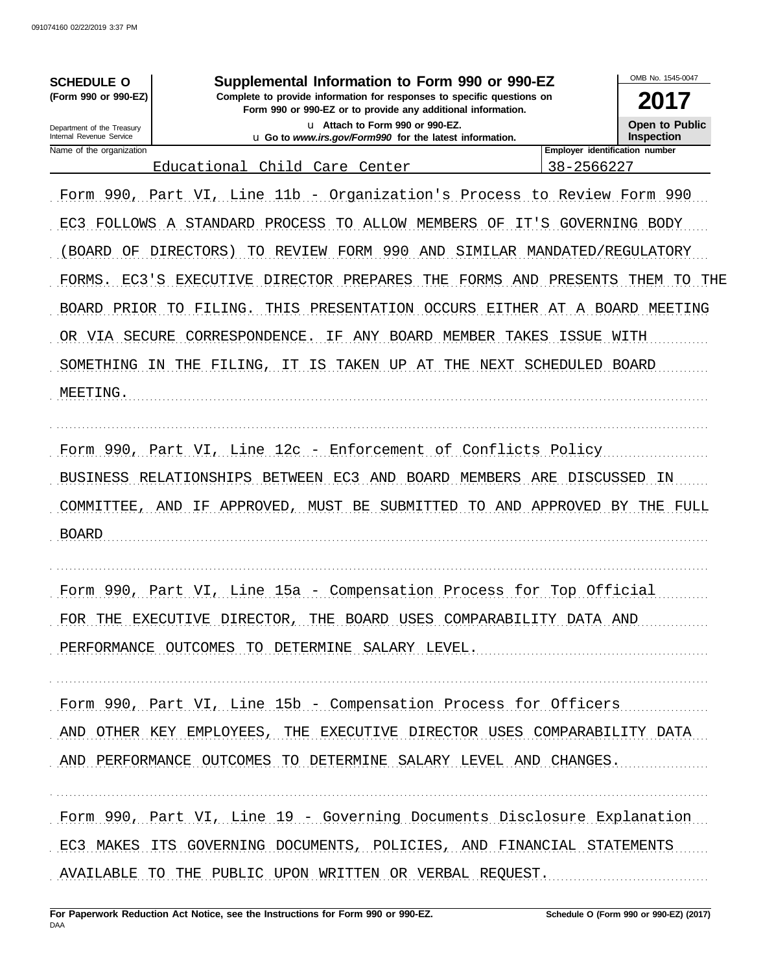| <b>SCHEDULE O</b><br>(Form 990 or 990-EZ)<br>Department of the Treasury                                                         | Supplemental Information to Form 990 or 990-EZ<br>Complete to provide information for responses to specific questions on<br>Form 990 or 990-EZ or to provide any additional information.<br>u Attach to Form 990 or 990-EZ.                                                                                                                                                                 | OMB No. 1545-0047<br>2017<br><b>Open to Public</b>                                          |                                                                          |
|---------------------------------------------------------------------------------------------------------------------------------|---------------------------------------------------------------------------------------------------------------------------------------------------------------------------------------------------------------------------------------------------------------------------------------------------------------------------------------------------------------------------------------------|---------------------------------------------------------------------------------------------|--------------------------------------------------------------------------|
| Internal Revenue Service<br>Name of the organization                                                                            | u Go to www.irs.gov/Form990 for the latest information.                                                                                                                                                                                                                                                                                                                                     | Employer identification number                                                              | <b>Inspection</b>                                                        |
|                                                                                                                                 | Educational Child Care Center                                                                                                                                                                                                                                                                                                                                                               | 38-2566227                                                                                  |                                                                          |
| EC3<br>FOLLOWS<br>BOARD<br>ΟF<br>EC3'S<br>FORMS<br>PRIOR<br><b>BOARD</b><br>SECURE<br>VIA<br>OR.<br>SOMETHING<br>ΤM<br>MEETING. | Form 990, Part VI, Line 11b - Organization's Process to Review Form 990<br>A STANDARD<br>PROCESS<br>ALLOW MEMBERS<br>ΟF<br>TO<br>FORM 990<br>DIRECTORS)<br>REVIEW<br>AND<br>TO<br>EXECUTIVE<br>DIRECTOR PREPARES<br>FORMS<br>THE<br>FILING.<br>THIS PRESENTATION<br>OCCURS<br>TO<br>CORRESPONDENCE<br>ANY BOARD<br>MEMBER<br>ΙF<br>IT IS TAKEN<br>FILING,<br>UP<br>AT<br>THE<br>NEXT<br>THE | IT'S<br>SIMILAR MANDATED/REGULATORY<br>PRESENTS<br>AND<br>ISSUE<br>TAKES<br>SCHEDULED BOARD | GOVERNING BODY<br>THEM<br>THE<br>TО<br>EITHER AT A BOARD MEETING<br>WITH |
| <b>BUSINESS</b><br>COMMITTEE,<br><b>BOARD</b>                                                                                   | Form 990, Part VI, Line 12c - Enforcement of Conflicts Policy<br>RELATIONSHIPS BETWEEN<br>EC3<br><b>BOARD</b><br>MEMBERS<br>AND<br>APPROVED,<br>MUST BE<br>SUBMITTED<br>AND<br>ΙF<br>TO<br>AND                                                                                                                                                                                              | DISCUSSED<br>ARE                                                                            | - IN<br>APPROVED BY THE FULL                                             |
|                                                                                                                                 | Form 990, Part VI, Line 15a - Compensation Process for Top Official                                                                                                                                                                                                                                                                                                                         |                                                                                             |                                                                          |
|                                                                                                                                 |                                                                                                                                                                                                                                                                                                                                                                                             |                                                                                             |                                                                          |
|                                                                                                                                 | FOR THE EXECUTIVE DIRECTOR, THE BOARD USES COMPARABILITY DATA AND                                                                                                                                                                                                                                                                                                                           |                                                                                             |                                                                          |
|                                                                                                                                 | PERFORMANCE OUTCOMES TO DETERMINE SALARY LEVEL.                                                                                                                                                                                                                                                                                                                                             |                                                                                             |                                                                          |
|                                                                                                                                 | Form 990, Part VI, Line 15b - Compensation Process for Officers                                                                                                                                                                                                                                                                                                                             |                                                                                             |                                                                          |
|                                                                                                                                 | AND OTHER KEY EMPLOYEES, THE EXECUTIVE DIRECTOR USES COMPARABILITY DATA                                                                                                                                                                                                                                                                                                                     |                                                                                             |                                                                          |
|                                                                                                                                 | AND PERFORMANCE OUTCOMES TO DETERMINE SALARY LEVEL AND CHANGES.                                                                                                                                                                                                                                                                                                                             |                                                                                             |                                                                          |
|                                                                                                                                 | Form 990, Part VI, Line 19 - Governing Documents Disclosure Explanation<br>EC3 MAKES ITS GOVERNING DOCUMENTS, POLICIES, AND FINANCIAL STATEMENTS                                                                                                                                                                                                                                            |                                                                                             |                                                                          |
|                                                                                                                                 | AVAILABLE TO THE PUBLIC UPON WRITTEN OR VERBAL REQUEST.                                                                                                                                                                                                                                                                                                                                     |                                                                                             |                                                                          |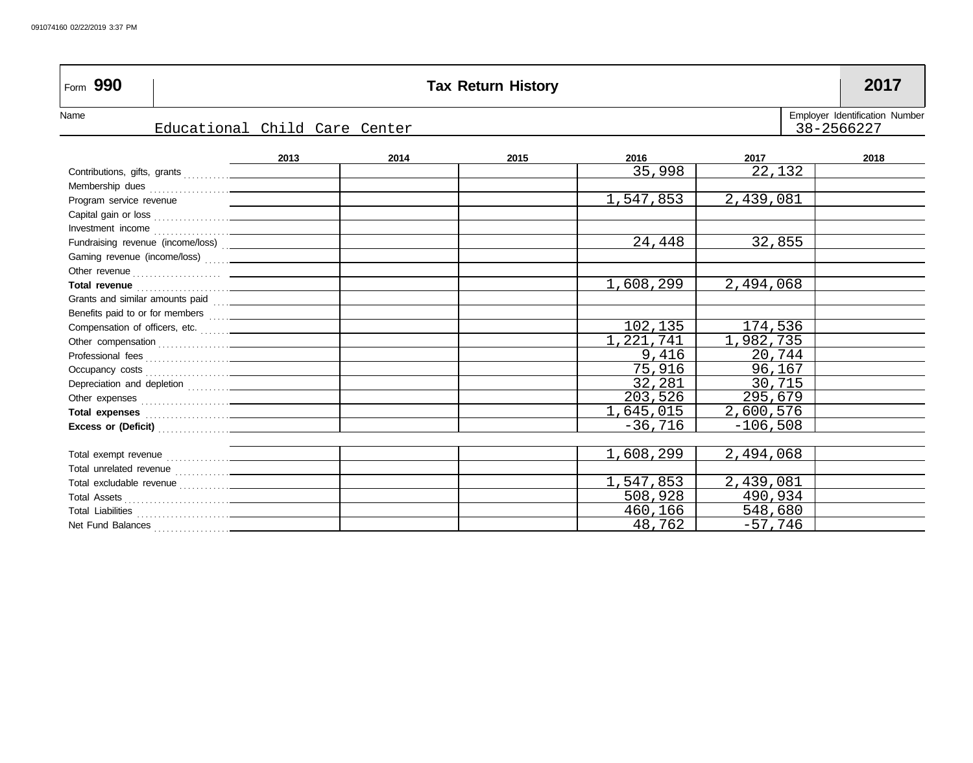| Form 990                                                                                                                                                                                                                             |                               |      | <b>Tax Return History</b> |           |            | 2017                                         |
|--------------------------------------------------------------------------------------------------------------------------------------------------------------------------------------------------------------------------------------|-------------------------------|------|---------------------------|-----------|------------|----------------------------------------------|
| Name                                                                                                                                                                                                                                 | Educational Child Care Center |      |                           |           |            | Employer Identification Number<br>38-2566227 |
|                                                                                                                                                                                                                                      |                               |      |                           |           |            |                                              |
|                                                                                                                                                                                                                                      | 2013                          | 2014 | 2015                      | 2016      | 2017       | 2018                                         |
|                                                                                                                                                                                                                                      |                               |      |                           | 35,998    | 22,132     |                                              |
|                                                                                                                                                                                                                                      |                               |      |                           |           |            |                                              |
| Program service revenue                                                                                                                                                                                                              |                               |      |                           | 1,547,853 | 2,439,081  |                                              |
|                                                                                                                                                                                                                                      |                               |      |                           |           |            |                                              |
|                                                                                                                                                                                                                                      |                               |      |                           |           |            |                                              |
| Fundraising revenue (income/loss) [100]                                                                                                                                                                                              |                               |      |                           | 24,448    | 32,855     |                                              |
|                                                                                                                                                                                                                                      |                               |      |                           |           |            |                                              |
|                                                                                                                                                                                                                                      |                               |      |                           |           |            |                                              |
| Total revenue <b>contract of the contract of the contract of the contract of the contract of the contract of the contract of the contract of the contract of the contract of the contract of the contract of the contract of the</b> |                               |      |                           | 1,608,299 | 2,494,068  |                                              |
|                                                                                                                                                                                                                                      |                               |      |                           |           |            |                                              |
|                                                                                                                                                                                                                                      |                               |      |                           |           |            |                                              |
| Compensation of officers, etc.                                                                                                                                                                                                       |                               |      |                           | 102,135   | 174,536    |                                              |
|                                                                                                                                                                                                                                      |                               |      |                           | 1,221,741 | 1,982,735  |                                              |
|                                                                                                                                                                                                                                      |                               |      |                           | 9,416     | 20,744     |                                              |
|                                                                                                                                                                                                                                      |                               |      |                           | 75,916    | 96,167     |                                              |
|                                                                                                                                                                                                                                      |                               |      |                           | 32,281    | 30,715     |                                              |
|                                                                                                                                                                                                                                      |                               |      |                           | 203,526   | 295,679    |                                              |
|                                                                                                                                                                                                                                      |                               |      |                           | 1,645,015 | 2,600,576  |                                              |
|                                                                                                                                                                                                                                      |                               |      |                           | $-36,716$ | $-106,508$ |                                              |
|                                                                                                                                                                                                                                      |                               |      |                           |           |            |                                              |
|                                                                                                                                                                                                                                      |                               |      |                           | 1,608,299 | 2,494,068  |                                              |
|                                                                                                                                                                                                                                      |                               |      |                           |           |            |                                              |
|                                                                                                                                                                                                                                      |                               |      |                           | 1,547,853 | 2,439,081  |                                              |
|                                                                                                                                                                                                                                      |                               |      |                           | 508,928   | 490,934    |                                              |
|                                                                                                                                                                                                                                      |                               |      |                           | 460,166   | 548,680    |                                              |
|                                                                                                                                                                                                                                      |                               |      |                           | 48,762    | $-57,746$  |                                              |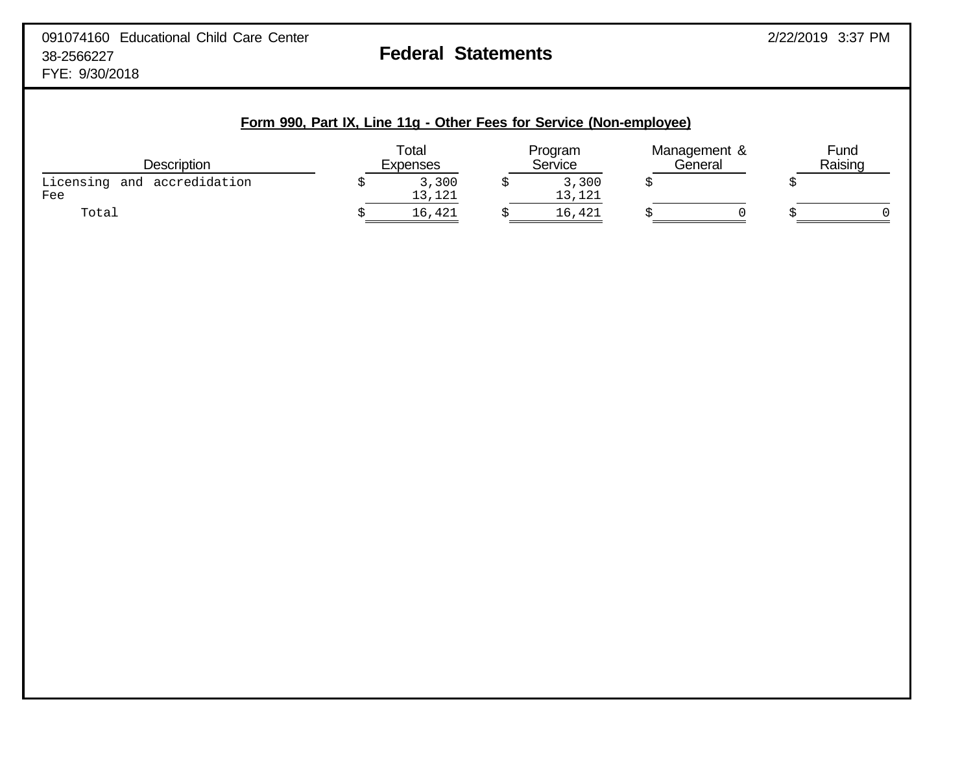| Description                        | Total<br>Expenses     | Program<br>Service    |    | Management &<br>General | Fund<br>Raising |
|------------------------------------|-----------------------|-----------------------|----|-------------------------|-----------------|
| Licensing and accredidation<br>Fee | \$<br>3,300<br>13,121 | \$<br>3,300<br>13,121 | \$ |                         | \$              |
| Total                              | \$<br>16,421          | \$<br>16,421          | Ś  | $\Omega$                |                 |
|                                    |                       |                       |    |                         |                 |
|                                    |                       |                       |    |                         |                 |
|                                    |                       |                       |    |                         |                 |
|                                    |                       |                       |    |                         |                 |
|                                    |                       |                       |    |                         |                 |